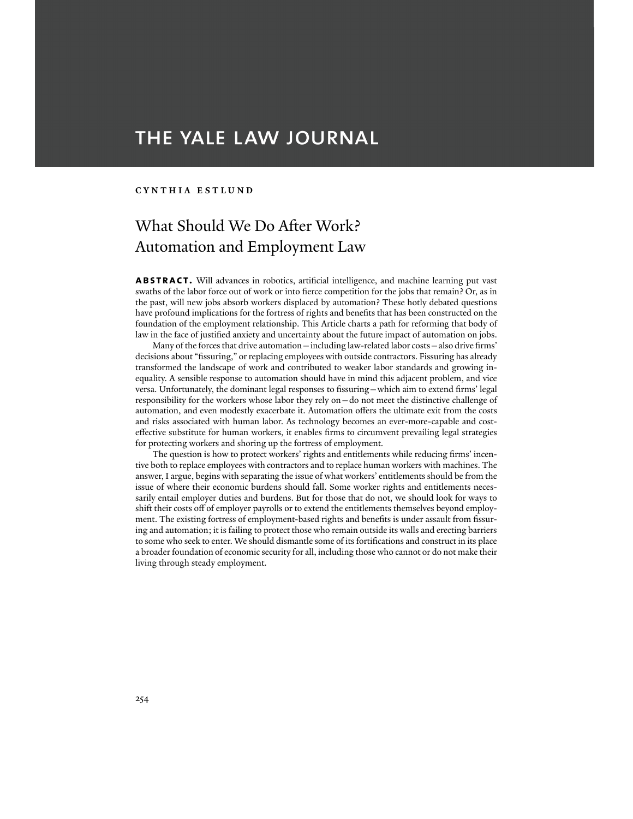# THE YALE LAW JOURNAL

## **CYNTHIA ESTLUND**

## What Should We Do After Work? Automation and Employment Law

**ABSTRACT.** Will advances in robotics, artificial intelligence, and machine learning put vast swaths of the labor force out of work or into fierce competition for the jobs that remain? Or, as in the past, will new jobs absorb workers displaced by automation? These hotly debated questions have profound implications for the fortress of rights and benefits that has been constructed on the foundation of the employment relationship. This Article charts a path for reforming that body of law in the face of justified anxiety and uncertainty about the future impact of automation on jobs.

 Many of the forces that drive automation—including law-related labor costs—also drive firms' decisions about "fissuring," or replacing employees with outside contractors. Fissuring has already transformed the landscape of work and contributed to weaker labor standards and growing inequality. A sensible response to automation should have in mind this adjacent problem, and vice versa. Unfortunately, the dominant legal responses to fissuring—which aim to extend firms' legal responsibility for the workers whose labor they rely on—do not meet the distinctive challenge of automation, and even modestly exacerbate it. Automation offers the ultimate exit from the costs and risks associated with human labor. As technology becomes an ever-more-capable and costeffective substitute for human workers, it enables firms to circumvent prevailing legal strategies for protecting workers and shoring up the fortress of employment.

 The question is how to protect workers' rights and entitlements while reducing firms' incentive both to replace employees with contractors and to replace human workers with machines. The answer, I argue, begins with separating the issue of what workers' entitlements should be from the issue of where their economic burdens should fall. Some worker rights and entitlements necessarily entail employer duties and burdens. But for those that do not, we should look for ways to shift their costs off of employer payrolls or to extend the entitlements themselves beyond employment. The existing fortress of employment-based rights and benefits is under assault from fissuring and automation; it is failing to protect those who remain outside its walls and erecting barriers to some who seek to enter. We should dismantle some of its fortifications and construct in its place a broader foundation of economic security for all, including those who cannot or do not make their living through steady employment.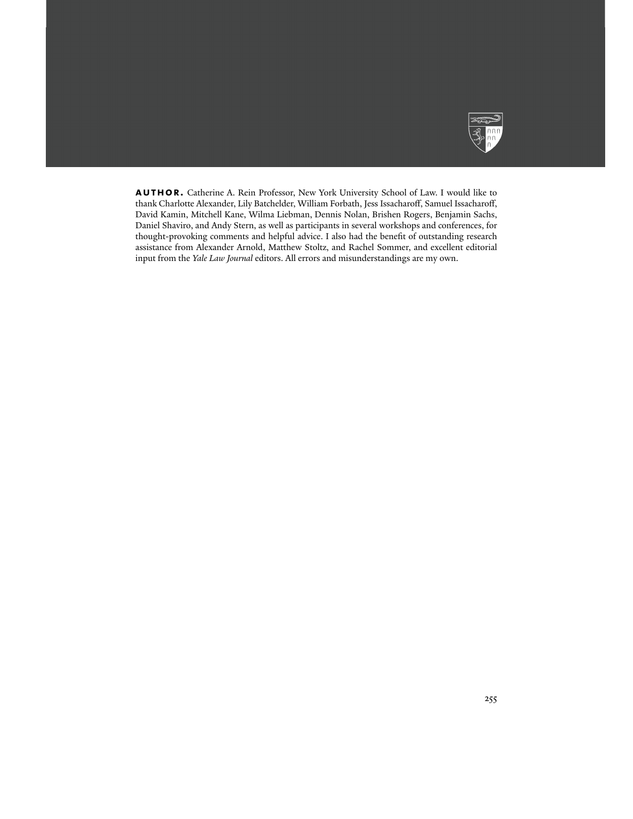

**author.** Catherine A. Rein Professor, New York University School of Law. I would like to thank Charlotte Alexander, Lily Batchelder, William Forbath, Jess Issacharoff, Samuel Issacharoff, David Kamin, Mitchell Kane, Wilma Liebman, Dennis Nolan, Brishen Rogers, Benjamin Sachs, Daniel Shaviro, and Andy Stern, as well as participants in several workshops and conferences, for thought-provoking comments and helpful advice. I also had the benefit of outstanding research assistance from Alexander Arnold, Matthew Stoltz, and Rachel Sommer, and excellent editorial input from the *Yale Law Journal* editors. All errors and misunderstandings are my own.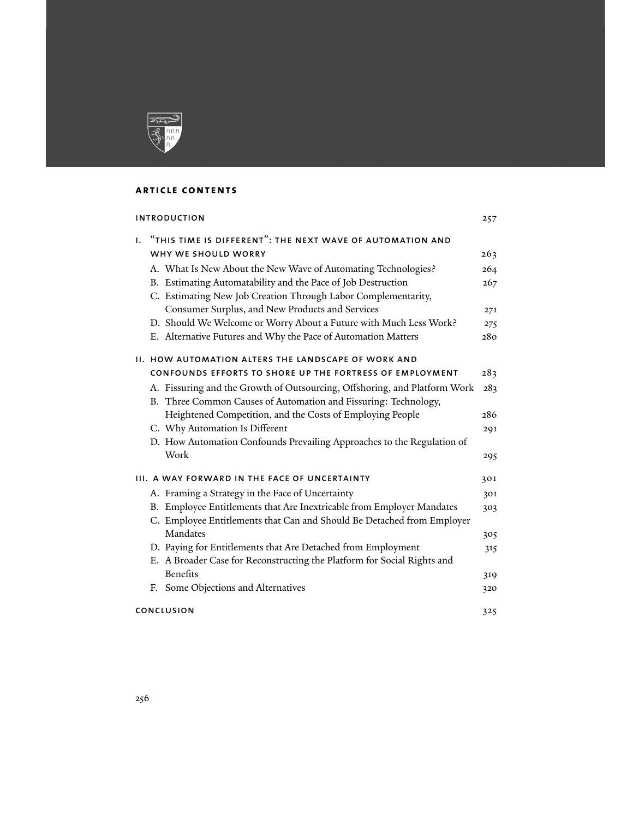

## **article contents**

| <b>INTRODUCTION</b>                           |                                                                           | 257 |
|-----------------------------------------------|---------------------------------------------------------------------------|-----|
| Ι.                                            | "THIS TIME IS DIFFERENT": THE NEXT WAVE OF AUTOMATION AND                 |     |
|                                               | WHY WE SHOULD WORRY                                                       | 263 |
|                                               | A. What Is New About the New Wave of Automating Technologies?             | 264 |
|                                               | B. Estimating Automatability and the Pace of Job Destruction              | 267 |
|                                               | C. Estimating New Job Creation Through Labor Complementarity,             |     |
|                                               | Consumer Surplus, and New Products and Services                           | 271 |
|                                               | D. Should We Welcome or Worry About a Future with Much Less Work?         | 275 |
|                                               | E. Alternative Futures and Why the Pace of Automation Matters             | 280 |
|                                               | <b>II. HOW AUTOMATION ALTERS THE LANDSCAPE OF WORK AND</b>                |     |
|                                               | CONFOUNDS EFFORTS TO SHORE UP THE FORTRESS OF EMPLOYMENT                  | 283 |
|                                               | A. Fissuring and the Growth of Outsourcing, Offshoring, and Platform Work | 283 |
|                                               | B. Three Common Causes of Automation and Fissuring: Technology,           |     |
|                                               | Heightened Competition, and the Costs of Employing People                 | 286 |
|                                               | C. Why Automation Is Different                                            | 291 |
|                                               | D. How Automation Confounds Prevailing Approaches to the Regulation of    |     |
|                                               | Work                                                                      | 295 |
| III. A WAY FORWARD IN THE FACE OF UNCERTAINTY |                                                                           | 301 |
|                                               | A. Framing a Strategy in the Face of Uncertainty                          | 301 |
|                                               | B. Employee Entitlements that Are Inextricable from Employer Mandates     | 303 |
|                                               | C. Employee Entitlements that Can and Should Be Detached from Employer    |     |
|                                               | Mandates                                                                  | 305 |
|                                               | D. Paying for Entitlements that Are Detached from Employment              | 315 |
|                                               | E. A Broader Case for Reconstructing the Platform for Social Rights and   |     |
|                                               | <b>Benefits</b>                                                           | 319 |
|                                               | F. Some Objections and Alternatives                                       | 320 |
| <b>CONCLUSION</b>                             |                                                                           | 325 |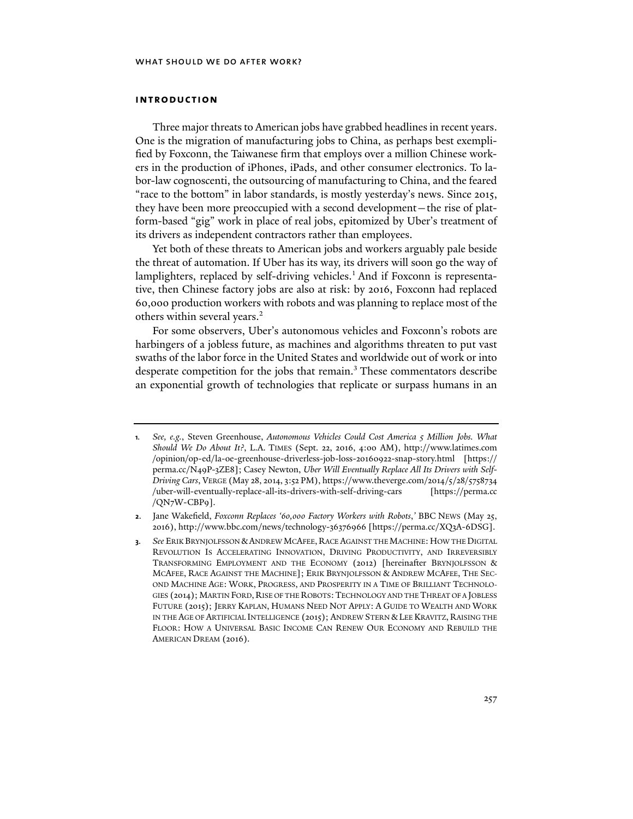## **introduction**

Three major threats to American jobs have grabbed headlines in recent years. One is the migration of manufacturing jobs to China, as perhaps best exemplified by Foxconn, the Taiwanese firm that employs over a million Chinese workers in the production of iPhones, iPads, and other consumer electronics. To labor-law cognoscenti, the outsourcing of manufacturing to China, and the feared "race to the bottom" in labor standards, is mostly yesterday's news. Since 2015, they have been more preoccupied with a second development—the rise of platform-based "gig" work in place of real jobs, epitomized by Uber's treatment of its drivers as independent contractors rather than employees.

Yet both of these threats to American jobs and workers arguably pale beside the threat of automation. If Uber has its way, its drivers will soon go the way of lamplighters, replaced by self-driving vehicles.<sup>1</sup> And if Foxconn is representative, then Chinese factory jobs are also at risk: by 2016, Foxconn had replaced 60,000 production workers with robots and was planning to replace most of the others within several years.<sup>2</sup>

For some observers, Uber's autonomous vehicles and Foxconn's robots are harbingers of a jobless future, as machines and algorithms threaten to put vast swaths of the labor force in the United States and worldwide out of work or into desperate competition for the jobs that remain.<sup>3</sup> These commentators describe an exponential growth of technologies that replicate or surpass humans in an

**<sup>1</sup>***. See, e.g.*, Steven Greenhouse, *Autonomous Vehicles Could Cost America 5 Million Jobs. What Should We Do About It?*, L.A. TIMES (Sept. 22, 2016, 4:00 AM), http://www.latimes.com /opinion/op-ed/la-oe-greenhouse-driverless-job-loss-20160922-snap-story.html [https:// perma.cc/N49P-3ZE8]; Casey Newton, *Uber Will Eventually Replace All Its Drivers with Self-Driving Cars*, VERGE (May 28, 2014, 3:52 PM), https://www.theverge.com/2014/5/28/5758734 /uber-will-eventually-replace-all-its-drivers-with-self-driving-cars [https://perma.cc /QN7W-CBP9].

**<sup>2</sup>**. Jane Wakefield, *Foxconn Replaces '60,000 Factory Workers with Robots*,*'* BBC NEWS (May 25, 2016), http://www.bbc.com/news/technology-36376966 [https://perma.cc/XQ3A-6DSG].

**<sup>3</sup>**. See ERIK BRYNJOLFSSON & ANDREW MCAFEE, RACE AGAINST THE MACHINE: HOW THE DIGITAL REVOLUTION IS ACCELERATING INNOVATION, DRIVING PRODUCTIVITY, AND IRREVERSIBLY TRANSFORMING EMPLOYMENT AND THE ECONOMY (2012) [hereinafter BRYNJOLFSSON & MCAFEE, RACE AGAINST THE MACHINE]; ERIK BRYNJOLFSSON & ANDREW MCAFEE, THE SEC-OND MACHINE AGE: WORK, PROGRESS, AND PROSPERITY IN A TIME OF BRILLIANT TECHNOLO-GIES (2014); MARTIN FORD, RISE OF THE ROBOTS:TECHNOLOGY AND THE THREAT OF A JOBLESS FUTURE (2015); JERRY KAPLAN, HUMANS NEED NOT APPLY: A GUIDE TO WEALTH AND WORK IN THE AGE OF ARTIFICIAL INTELLIGENCE (2015); ANDREW STERN &LEE KRAVITZ, RAISING THE FLOOR: HOW A UNIVERSAL BASIC INCOME CAN RENEW OUR ECONOMY AND REBUILD THE AMERICAN DREAM (2016).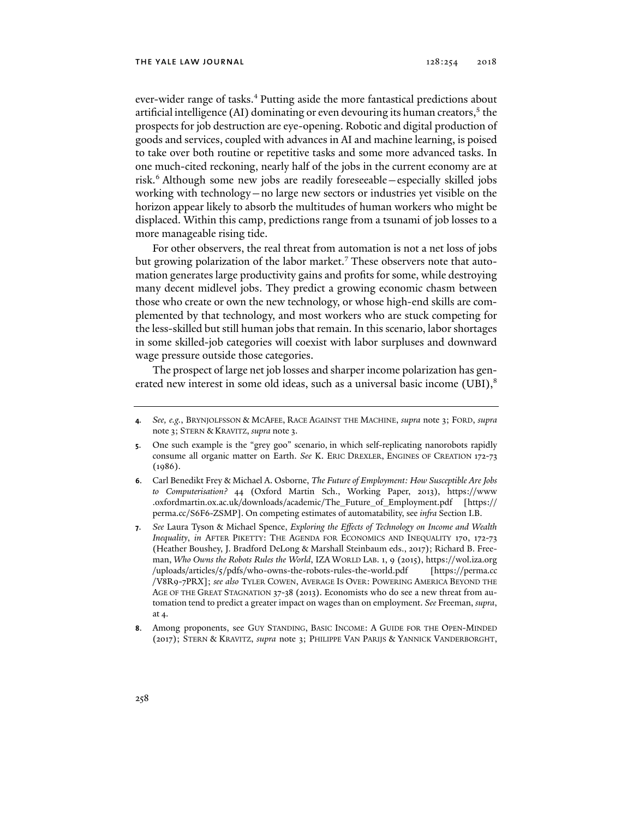ever-wider range of tasks.<sup>4</sup> Putting aside the more fantastical predictions about artificial intelligence (AI) dominating or even devouring its human creators, $^{\rm 5}$  the prospects for job destruction are eye-opening. Robotic and digital production of goods and services, coupled with advances in AI and machine learning, is poised to take over both routine or repetitive tasks and some more advanced tasks. In one much-cited reckoning, nearly half of the jobs in the current economy are at risk.6 Although some new jobs are readily foreseeable—especially skilled jobs working with technology—no large new sectors or industries yet visible on the horizon appear likely to absorb the multitudes of human workers who might be displaced. Within this camp, predictions range from a tsunami of job losses to a more manageable rising tide.

For other observers, the real threat from automation is not a net loss of jobs but growing polarization of the labor market.<sup>7</sup> These observers note that automation generates large productivity gains and profits for some, while destroying many decent midlevel jobs. They predict a growing economic chasm between those who create or own the new technology, or whose high-end skills are complemented by that technology, and most workers who are stuck competing for the less-skilled but still human jobs that remain. In this scenario, labor shortages in some skilled-job categories will coexist with labor surpluses and downward wage pressure outside those categories.

The prospect of large net job losses and sharper income polarization has generated new interest in some old ideas, such as a universal basic income  $(UBI)$ ,<sup>8</sup>

**<sup>4</sup>***. See, e.g.*, BRYNJOLFSSON & MCAFEE, RACE AGAINST THE MACHINE, *supra* note 3; FORD, *supra*  note 3; STERN & KRAVITZ, *supra* note 3.

**<sup>5</sup>**. One such example is the "grey goo" scenario, in which self-replicating nanorobots rapidly consume all organic matter on Earth. *See* K. ERIC DREXLER, ENGINES OF CREATION 172-73  $(1086)$ .

**<sup>6</sup>**. Carl Benedikt Frey & Michael A. Osborne, *The Future of Employment: How Susceptible Are Jobs to Computerisation?* 44 (Oxford Martin Sch., Working Paper, 2013), https://www .oxfordmartin.ox.ac.uk/downloads/academic/The\_Future\_of\_Employment.pdf [https:// perma.cc/S6F6-ZSMP]. On competing estimates of automatability, see *infra* Section I.B.

**<sup>7</sup>**. *See* Laura Tyson & Michael Spence, *Exploring the Effects of Technology on Income and Wealth Inequality, in AFTER PIKETTY: THE AGENDA FOR ECONOMICS AND INEQUALITY 170, 172-73* (Heather Boushey, J. Bradford DeLong & Marshall Steinbaum eds., 2017); Richard B. Freeman, *Who Owns the Robots Rules the World*, IZA WORLD LAB. 1, 9 (2015), https://wol.iza.org /uploads/articles/5/pdfs/who-owns-the-robots-rules-the-world.pdf [https://perma.cc /V8R9-7PRX]; *see also* TYLER COWEN, AVERAGE IS OVER: POWERING AMERICA BEYOND THE AGE OF THE GREAT STAGNATION 37-38 (2013). Economists who do see a new threat from automation tend to predict a greater impact on wages than on employment. *See* Freeman, *supra*, at 4.

**<sup>8</sup>**. Among proponents, see GUY STANDING, BASIC INCOME: A GUIDE FOR THE OPEN-MINDED (2017); STERN & KRAVITZ, *supra* note 3; PHILIPPE VAN PARIJS & YANNICK VANDERBORGHT,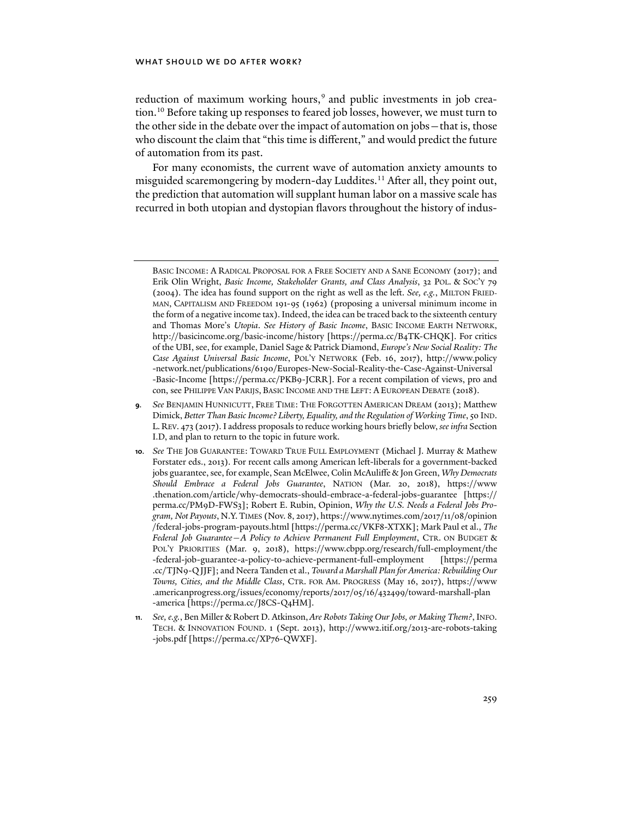reduction of maximum working hours,<sup>9</sup> and public investments in job creation.<sup>10</sup> Before taking up responses to feared job losses, however, we must turn to the other side in the debate over the impact of automation on jobs—that is, those who discount the claim that "this time is different," and would predict the future of automation from its past.

For many economists, the current wave of automation anxiety amounts to misguided scaremongering by modern-day Luddites.<sup>11</sup> After all, they point out, the prediction that automation will supplant human labor on a massive scale has recurred in both utopian and dystopian flavors throughout the history of indus-

BASIC INCOME: A RADICAL PROPOSAL FOR A FREE SOCIETY AND A SANE ECONOMY (2017); and Erik Olin Wright, *Basic Income, Stakeholder Grants, and Class Analysis*, 32 POL. & SOC'Y 79 (2004). The idea has found support on the right as well as the left. *See, e.g.*, MILTON FRIED-MAN, CAPITALISM AND FREEDOM 191-95 (1962) (proposing a universal minimum income in the form of a negative income tax). Indeed, the idea can be traced back to the sixteenth century and Thomas More's *Utopia*. *See History of Basic Income*, BASIC INCOME EARTH NETWORK, http://basicincome.org/basic-income/history [https://perma.cc/B4TK-CHQK]. For critics of the UBI, see, for example, Daniel Sage & Patrick Diamond, *Europe's New Social Reality: The Case Against Universal Basic Income*, POL'Y NETWORK (Feb. 16, 2017), http://www.policy -network.net/publications/6190/Europes-New-Social-Reality-the-Case-Against-Universal -Basic-Income [https://perma.cc/PKB9-JCRR]. For a recent compilation of views, pro and con, see PHILIPPE VAN PARIJS, BASIC INCOME AND THE LEFT: A EUROPEAN DEBATE (2018).

**<sup>9</sup>***. See* BENJAMIN HUNNICUTT, FREE TIME: THE FORGOTTEN AMERICAN DREAM (2013); Matthew Dimick, *Better Than Basic Income? Liberty, Equality, and the Regulation of Working Time*, 50 IND. L. REV. 473 (2017). I address proposals to reduce working hours briefly below, *see infra* Section I.D, and plan to return to the topic in future work.

**<sup>10</sup>***. See* THE JOB GUARANTEE: TOWARD TRUE FULL EMPLOYMENT (Michael J. Murray & Mathew Forstater eds., 2013). For recent calls among American left-liberals for a government-backed jobs guarantee, see, for example, Sean McElwee, Colin McAuliffe & Jon Green, *Why Democrats Should Embrace a Federal Jobs Guarantee*, NATION (Mar. 20, 2018), https://www .thenation.com/article/why-democrats-should-embrace-a-federal-jobs-guarantee [https:// perma.cc/PM9D-FWS3]; Robert E. Rubin, Opinion, *Why the U.S. Needs a Federal Jobs Program, Not Payouts*, N.Y.TIMES (Nov. 8, 2017), https://www.nytimes.com/2017/11/08/opinion /federal-jobs-program-payouts.html [https://perma.cc/VKF8-XTXK]; Mark Paul et al., *The Federal Job Guarantee—A Policy to Achieve Permanent Full Employment*, CTR. ON BUDGET & POL'Y PRIORITIES (Mar. 9, 2018), https://www.cbpp.org/research/full-employment/the -federal-job-guarantee-a-policy-to-achieve-permanent-full-employment [https://perma .cc/TJN9-QJJF]; and Neera Tanden et al., *Toward a Marshall Plan for America: Rebuilding Our Towns, Cities, and the Middle Class*, CTR. FOR AM. PROGRESS (May 16, 2017), https://www .americanprogress.org/issues/economy/reports/2017/05/16/432499/toward-marshall-plan -america [https://perma.cc/J8CS-Q4HM].

**<sup>11</sup>***. See, e.g.*, Ben Miller & Robert D. Atkinson,*Are Robots Taking Our Jobs, or Making Them?*, INFO. TECH. & INNOVATION FOUND. 1 (Sept. 2013), http://www2.itif.org/2013-are-robots-taking -jobs.pdf [https://perma.cc/XP76-QWXF].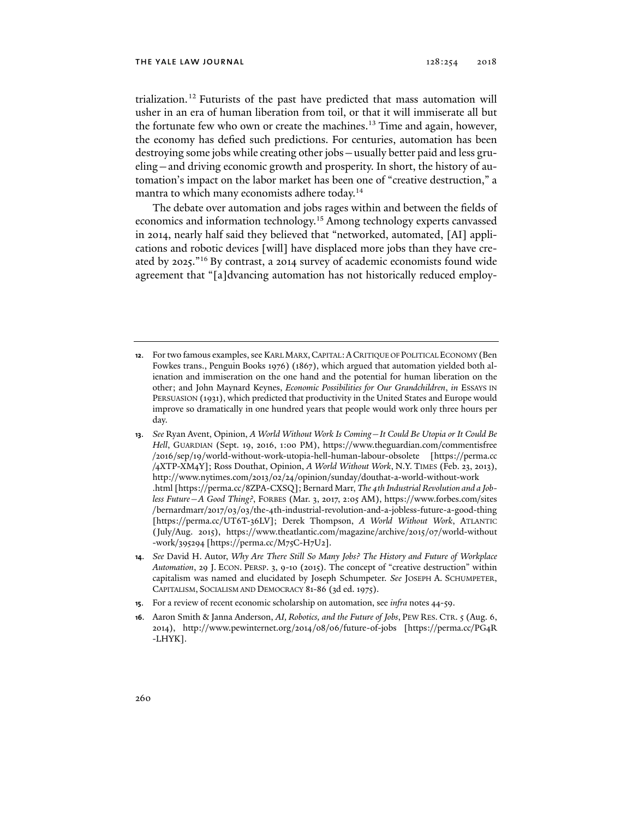trialization.<sup>12</sup> Futurists of the past have predicted that mass automation will usher in an era of human liberation from toil, or that it will immiserate all but the fortunate few who own or create the machines.<sup>13</sup> Time and again, however, the economy has defied such predictions. For centuries, automation has been destroying some jobs while creating other jobs—usually better paid and less grueling—and driving economic growth and prosperity. In short, the history of automation's impact on the labor market has been one of "creative destruction," a mantra to which many economists adhere today.14

The debate over automation and jobs rages within and between the fields of economics and information technology.15 Among technology experts canvassed in 2014, nearly half said they believed that "networked, automated, [AI] applications and robotic devices [will] have displaced more jobs than they have created by 2025."16 By contrast, a 2014 survey of academic economists found wide agreement that "[a]dvancing automation has not historically reduced employ-

- **13**. *See* Ryan Avent, Opinion, *A World Without Work Is Coming—It Could Be Utopia or It Could Be Hell*, GUARDIAN (Sept. 19, 2016, 1:00 PM), https://www.theguardian.com/commentisfree /2016/sep/19/world-without-work-utopia-hell-human-labour-obsolete [https://perma.cc /4XTP-XM4Y]; Ross Douthat, Opinion, *A World Without Work*, N.Y. TIMES (Feb. 23, 2013), http://www.nytimes.com/2013/02/24/opinion/sunday/douthat-a-world-without-work .html [https://perma.cc/8ZPA-CXSQ]; Bernard Marr, *The 4th Industrial Revolution and a Jobless Future—A Good Thing?*, FORBES (Mar. 3, 2017, 2:05 AM), https://www.forbes.com/sites /bernardmarr/2017/03/03/the-4th-industrial-revolution-and-a-jobless-future-a-good-thing [https://perma.cc/UT6T-36LV]; Derek Thompson, *A World Without Work*, ATLANTIC (July/Aug. 2015), https://www.theatlantic.com/magazine/archive/2015/07/world-without -work/395294 [https://perma.cc/M75C-H7U2].
- **14**. *See* David H. Autor, *Why Are There Still So Many Jobs? The History and Future of Workplace Automation*, 29 J. ECON. PERSP. 3, 9-10 (2015). The concept of "creative destruction" within capitalism was named and elucidated by Joseph Schumpeter. *See* JOSEPH A. SCHUMPETER, CAPITALISM, SOCIALISM AND DEMOCRACY 81-86 (3d ed. 1975).
- **15**. For a review of recent economic scholarship on automation, see *infra* notes 44-59.
- **16**. Aaron Smith & Janna Anderson, *AI, Robotics, and the Future of Jobs*, PEW RES. CTR. 5 (Aug. 6, 2014), http://www.pewinternet.org/2014/08/06/future-of-jobs [https://perma.cc/PG4R -LHYK].

**<sup>12</sup>**. For two famous examples, see KARL MARX,CAPITAL:ACRITIQUE OF POLITICAL ECONOMY (Ben Fowkes trans., Penguin Books 1976) (1867), which argued that automation yielded both alienation and immiseration on the one hand and the potential for human liberation on the other; and John Maynard Keynes, *Economic Possibilities for Our Grandchildren*, *in* ESSAYS IN PERSUASION (1931), which predicted that productivity in the United States and Europe would improve so dramatically in one hundred years that people would work only three hours per day.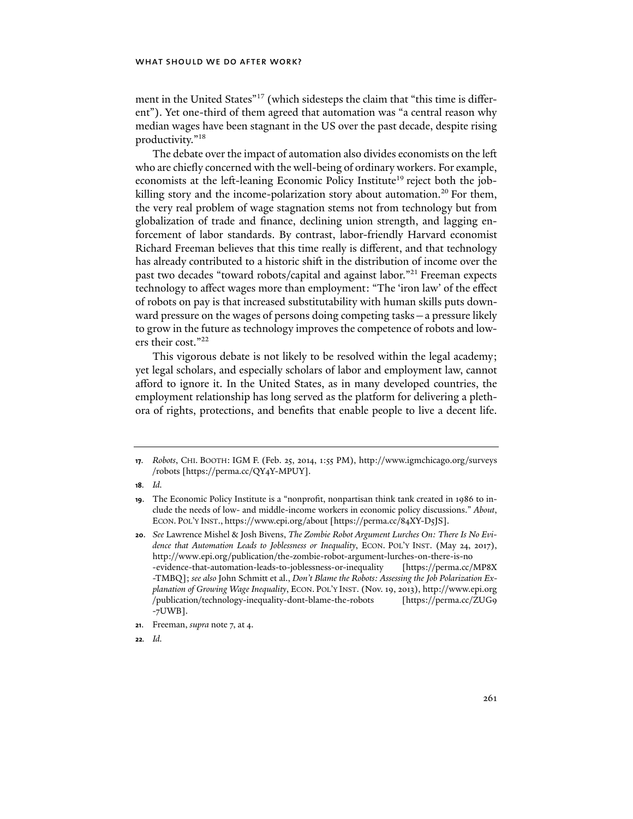ment in the United States"17 (which sidesteps the claim that "this time is different"). Yet one-third of them agreed that automation was "a central reason why median wages have been stagnant in the US over the past decade, despite rising productivity."18

The debate over the impact of automation also divides economists on the left who are chiefly concerned with the well-being of ordinary workers. For example, economists at the left-leaning Economic Policy Institute<sup>19</sup> reject both the jobkilling story and the income-polarization story about automation.<sup>20</sup> For them, the very real problem of wage stagnation stems not from technology but from globalization of trade and finance, declining union strength, and lagging enforcement of labor standards. By contrast, labor-friendly Harvard economist Richard Freeman believes that this time really is different, and that technology has already contributed to a historic shift in the distribution of income over the past two decades "toward robots/capital and against labor."21 Freeman expects technology to affect wages more than employment: "The 'iron law' of the effect of robots on pay is that increased substitutability with human skills puts downward pressure on the wages of persons doing competing tasks—a pressure likely to grow in the future as technology improves the competence of robots and lowers their cost."22

This vigorous debate is not likely to be resolved within the legal academy; yet legal scholars, and especially scholars of labor and employment law, cannot afford to ignore it. In the United States, as in many developed countries, the employment relationship has long served as the platform for delivering a plethora of rights, protections, and benefits that enable people to live a decent life.

**18***. Id.*

**<sup>17</sup>***. Robots*, CHI. BOOTH: IGM F. (Feb. 25, 2014, 1:55 PM), http://www.igmchicago.org/surveys /robots [https://perma.cc/QY4Y-MPUY].

**<sup>19</sup>**. The Economic Policy Institute is a "nonprofit, nonpartisan think tank created in 1986 to include the needs of low- and middle-income workers in economic policy discussions." *About*, ECON. POL'Y INST., https://www.epi.org/about [https://perma.cc/84XY-D5JS].

**<sup>20</sup>**. *See* Lawrence Mishel & Josh Bivens, *The Zombie Robot Argument Lurches On: There Is No Evidence that Automation Leads to Joblessness or Inequality*, ECON. POL'Y INST. (May 24, 2017), http://www.epi.org/publication/the-zombie-robot-argument-lurches-on-there-is-no -evidence-that-automation-leads-to-joblessness-or-inequality [https://perma.cc/MP8X -TMBQ]; *see also* John Schmitt et al., *Don't Blame the Robots: Assessing the Job Polarization Explanation of Growing Wage Inequality*, ECON. POL'Y INST. (Nov. 19, 2013), http://www.epi.org /publication/technology-inequality-dont-blame-the-robots [https://perma.cc/ZUG9 -7UWB].

**<sup>21</sup>**. Freeman, *supra* note 7, at 4.

**<sup>22</sup>***. Id.*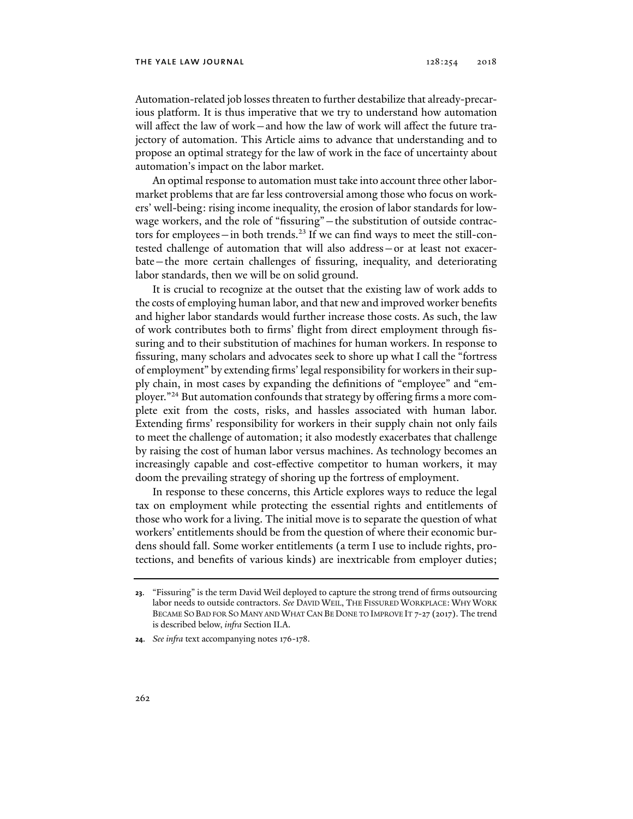### THE YALE LAW JOURNAL  $128:254$   $2018$

Automation-related job losses threaten to further destabilize that already-precarious platform. It is thus imperative that we try to understand how automation will affect the law of work—and how the law of work will affect the future trajectory of automation. This Article aims to advance that understanding and to propose an optimal strategy for the law of work in the face of uncertainty about automation's impact on the labor market.

An optimal response to automation must take into account three other labormarket problems that are far less controversial among those who focus on workers' well-being: rising income inequality, the erosion of labor standards for lowwage workers, and the role of "fissuring"—the substitution of outside contractors for employees—in both trends.<sup>23</sup> If we can find ways to meet the still-contested challenge of automation that will also address—or at least not exacerbate—the more certain challenges of fissuring, inequality, and deteriorating labor standards, then we will be on solid ground.

It is crucial to recognize at the outset that the existing law of work adds to the costs of employing human labor, and that new and improved worker benefits and higher labor standards would further increase those costs. As such, the law of work contributes both to firms' flight from direct employment through fissuring and to their substitution of machines for human workers. In response to fissuring, many scholars and advocates seek to shore up what I call the "fortress of employment" by extending firms' legal responsibility for workers in their supply chain, in most cases by expanding the definitions of "employee" and "employer."24 But automation confounds that strategy by offering firms a more complete exit from the costs, risks, and hassles associated with human labor. Extending firms' responsibility for workers in their supply chain not only fails to meet the challenge of automation; it also modestly exacerbates that challenge by raising the cost of human labor versus machines. As technology becomes an increasingly capable and cost-effective competitor to human workers, it may doom the prevailing strategy of shoring up the fortress of employment.

In response to these concerns, this Article explores ways to reduce the legal tax on employment while protecting the essential rights and entitlements of those who work for a living. The initial move is to separate the question of what workers' entitlements should be from the question of where their economic burdens should fall. Some worker entitlements (a term I use to include rights, protections, and benefits of various kinds) are inextricable from employer duties;

**<sup>23</sup>**. "Fissuring" is the term David Weil deployed to capture the strong trend of firms outsourcing labor needs to outside contractors. *See* DAVID WEIL, THE FISSURED WORKPLACE: WHY WORK BECAME SO BAD FOR SO MANY AND WHAT CAN BE DONE TO IMPROVE IT 7-27 (2017). The trend is described below, *infra* Section II.A.

**<sup>24</sup>**. *See infra* text accompanying notes 176-178.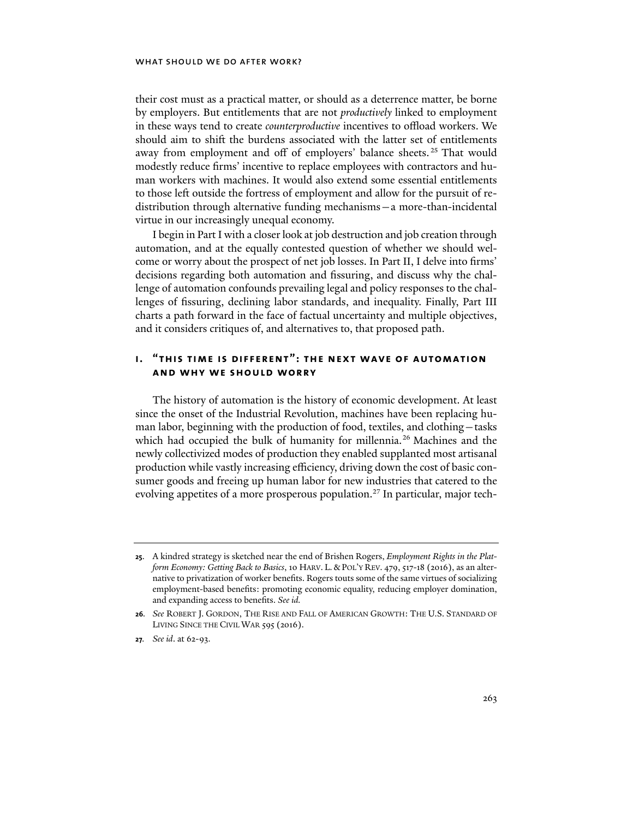their cost must as a practical matter, or should as a deterrence matter, be borne by employers. But entitlements that are not *productively* linked to employment in these ways tend to create *counterproductive* incentives to offload workers. We should aim to shift the burdens associated with the latter set of entitlements away from employment and off of employers' balance sheets.<sup>25</sup> That would modestly reduce firms' incentive to replace employees with contractors and human workers with machines. It would also extend some essential entitlements to those left outside the fortress of employment and allow for the pursuit of redistribution through alternative funding mechanisms—a more-than-incidental virtue in our increasingly unequal economy.

I begin in Part I with a closer look at job destruction and job creation through automation, and at the equally contested question of whether we should welcome or worry about the prospect of net job losses. In Part II, I delve into firms' decisions regarding both automation and fissuring, and discuss why the challenge of automation confounds prevailing legal and policy responses to the challenges of fissuring, declining labor standards, and inequality. Finally, Part III charts a path forward in the face of factual uncertainty and multiple objectives, and it considers critiques of, and alternatives to, that proposed path.

## **i. "this time is different": the next wave of automation and why we should worry**

The history of automation is the history of economic development. At least since the onset of the Industrial Revolution, machines have been replacing human labor, beginning with the production of food, textiles, and clothing—tasks which had occupied the bulk of humanity for millennia.<sup>26</sup> Machines and the newly collectivized modes of production they enabled supplanted most artisanal production while vastly increasing efficiency, driving down the cost of basic consumer goods and freeing up human labor for new industries that catered to the evolving appetites of a more prosperous population.<sup>27</sup> In particular, major tech-

**<sup>25</sup>**. A kindred strategy is sketched near the end of Brishen Rogers, *Employment Rights in the Platform Economy: Getting Back to Basics*, 10 HARV. L. & POL'Y REV. 479, 517-18 (2016), as an alternative to privatization of worker benefits. Rogers touts some of the same virtues of socializing employment-based benefits: promoting economic equality, reducing employer domination, and expanding access to benefits. *See id.* 

**<sup>26</sup>***. See* ROBERT J. GORDON, THE RISE AND FALL OF AMERICAN GROWTH: THE U.S. STANDARD OF LIVING SINCE THE CIVIL WAR 595 (2016).

**<sup>27</sup>***. See id*. at 62-93.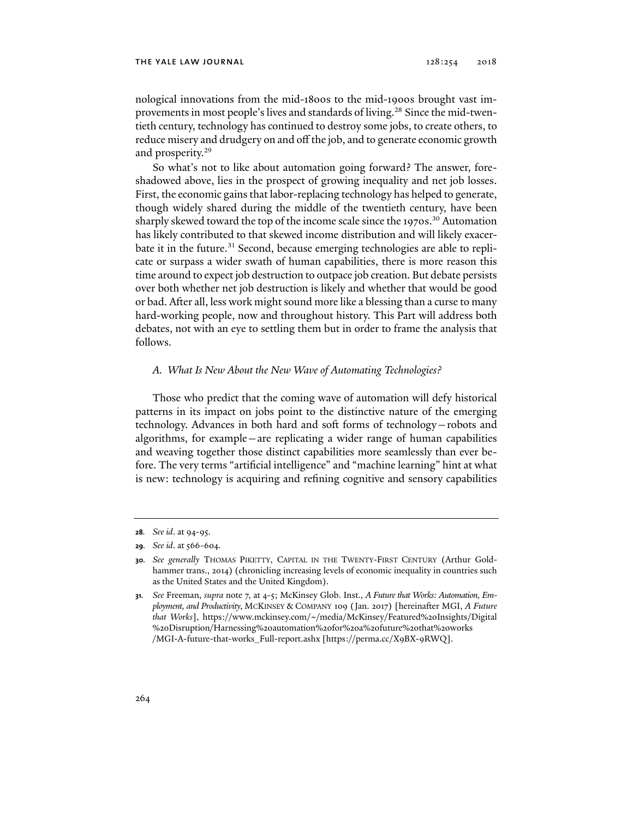nological innovations from the mid-1800s to the mid-1900s brought vast improvements in most people's lives and standards of living.<sup>28</sup> Since the mid-twentieth century, technology has continued to destroy some jobs, to create others, to reduce misery and drudgery on and off the job, and to generate economic growth and prosperity.<sup>29</sup>

So what's not to like about automation going forward? The answer, foreshadowed above, lies in the prospect of growing inequality and net job losses. First, the economic gains that labor-replacing technology has helped to generate, though widely shared during the middle of the twentieth century, have been sharply skewed toward the top of the income scale since the 1970s.<sup>30</sup> Automation has likely contributed to that skewed income distribution and will likely exacerbate it in the future.<sup>31</sup> Second, because emerging technologies are able to replicate or surpass a wider swath of human capabilities, there is more reason this time around to expect job destruction to outpace job creation. But debate persists over both whether net job destruction is likely and whether that would be good or bad. After all, less work might sound more like a blessing than a curse to many hard-working people, now and throughout history. This Part will address both debates, not with an eye to settling them but in order to frame the analysis that follows.

## *A. What Is New About the New Wave of Automating Technologies?*

Those who predict that the coming wave of automation will defy historical patterns in its impact on jobs point to the distinctive nature of the emerging technology. Advances in both hard and soft forms of technology—robots and algorithms, for example—are replicating a wider range of human capabilities and weaving together those distinct capabilities more seamlessly than ever before. The very terms "artificial intelligence" and "machine learning" hint at what is new: technology is acquiring and refining cognitive and sensory capabilities

**<sup>28</sup>***. See id*. at 94-95.

**<sup>29</sup>***. See id*. at 566-604.

**<sup>30</sup>***. See generally* THOMAS PIKETTY, CAPITAL IN THE TWENTY-FIRST CENTURY (Arthur Goldhammer trans., 2014) (chronicling increasing levels of economic inequality in countries such as the United States and the United Kingdom).

**<sup>31</sup>***. See* Freeman, *supra* note 7, at 4-5; McKinsey Glob. Inst., *A Future that Works: Automation, Employment, and Productivity*, MCKINSEY & COMPANY 109 (Jan. 2017) [hereinafter MGI, *A Future that Works*], https://www.mckinsey.com/~/media/McKinsey/Featured%20Insights/Digital %20Disruption/Harnessing%20automation%20for%20a%20future%20that%20works /MGI-A-future-that-works\_Full-report.ashx [https://perma.cc/X9BX-9RWQ].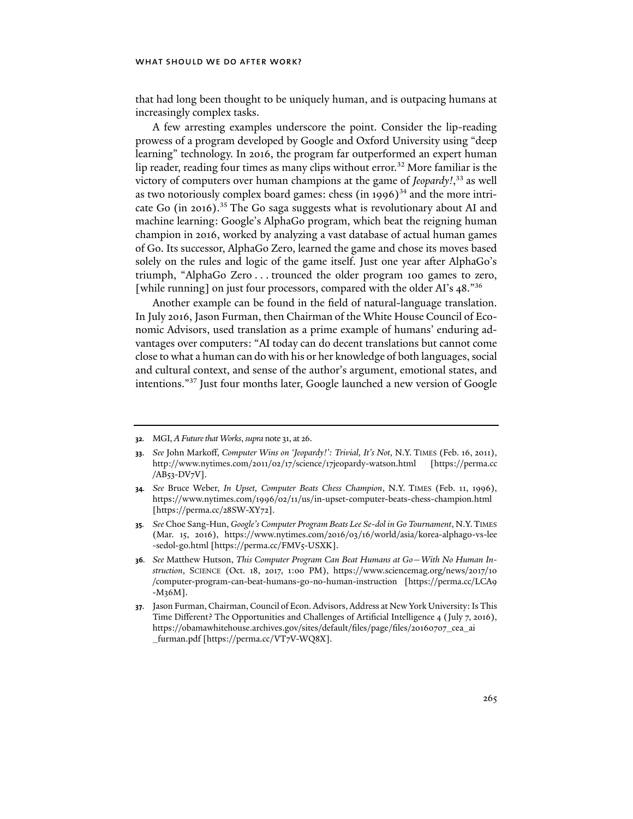## WHAT SHOULD WE DO AFTER WORK?

that had long been thought to be uniquely human, and is outpacing humans at increasingly complex tasks.

A few arresting examples underscore the point. Consider the lip-reading prowess of a program developed by Google and Oxford University using "deep learning" technology. In 2016, the program far outperformed an expert human lip reader, reading four times as many clips without error.<sup>32</sup> More familiar is the victory of computers over human champions at the game of *Jeopardy!*, 33 as well as two notoriously complex board games: chess  $(in 1996)^{34}$  and the more intricate Go (in 2016).<sup>35</sup> The Go saga suggests what is revolutionary about AI and machine learning: Google's AlphaGo program, which beat the reigning human champion in 2016, worked by analyzing a vast database of actual human games of Go. Its successor, AlphaGo Zero, learned the game and chose its moves based solely on the rules and logic of the game itself. Just one year after AlphaGo's triumph, "AlphaGo Zero . . . trounced the older program 100 games to zero, [while running] on just four processors, compared with the older AI's 48."<sup>36</sup>

Another example can be found in the field of natural-language translation. In July 2016, Jason Furman, then Chairman of the White House Council of Economic Advisors, used translation as a prime example of humans' enduring advantages over computers: "AI today can do decent translations but cannot come close to what a human can do with his or her knowledge of both languages, social and cultural context, and sense of the author's argument, emotional states, and intentions."37 Just four months later, Google launched a new version of Google

**<sup>32</sup>***.* MGI, *A Future that Works*, *supra* note 31, at 26.

**<sup>33</sup>**. *See* John Markoff, *Computer Wins on 'Jeopardy!': Trivial, It's Not*, N.Y. TIMES (Feb. 16, 2011), http://www.nytimes.com/2011/02/17/science/17jeopardy-watson.html [https://perma.cc /AB53-DV7V].

**<sup>34</sup>***. See* Bruce Weber, *In Upset, Computer Beats Chess Champion*, N.Y. TIMES (Feb. 11, 1996), https://www.nytimes.com/1996/02/11/us/in-upset-computer-beats-chess-champion.html [https://perma.cc/28SW-XY72].

**<sup>35</sup>***. See* Choe Sang-Hun, *Google's Computer Program Beats Lee Se-dol in Go Tournament*, N.Y.TIMES (Mar. 15, 2016), https://www.nytimes.com/2016/03/16/world/asia/korea-alphago-vs-lee -sedol-go.html [https://perma.cc/FMV5-USXK].

**<sup>36</sup>***. See* Matthew Hutson, *This Computer Program Can Beat Humans at Go*—*With No Human Instruction*, SCIENCE (Oct. 18, 2017, 1:00 PM), https://www.sciencemag.org/news/2017/10 /computer-program-can-beat-humans-go-no-human-instruction [https://perma.cc/LCA9 -M36M].

**<sup>37</sup>**. Jason Furman, Chairman, Council of Econ. Advisors, Address at New York University: Is This Time Different? The Opportunities and Challenges of Artificial Intelligence 4 (July 7, 2016), https://obamawhitehouse.archives.gov/sites/default/files/page/files/20160707\_cea\_ai \_furman.pdf [https://perma.cc/VT7V-WQ8X].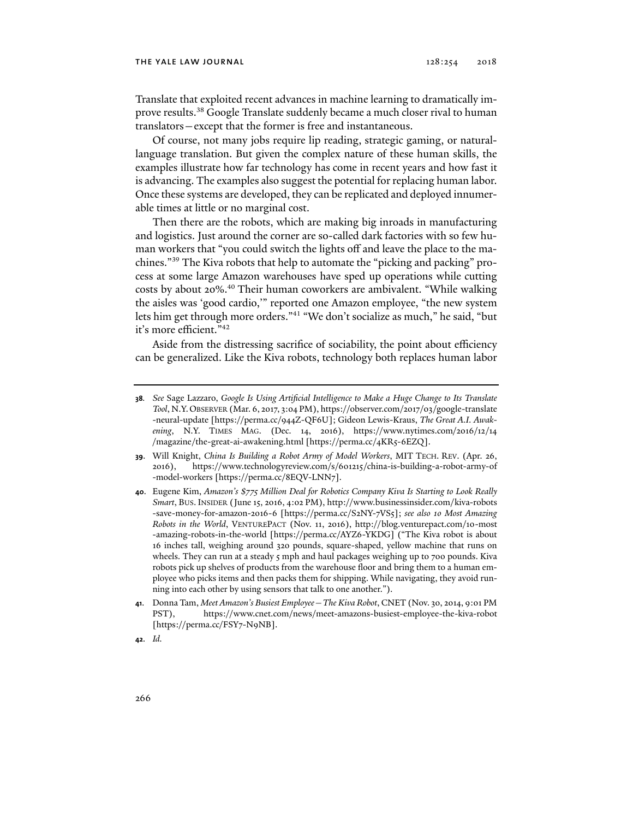Translate that exploited recent advances in machine learning to dramatically improve results.<sup>38</sup> Google Translate suddenly became a much closer rival to human translators—except that the former is free and instantaneous.

Of course, not many jobs require lip reading, strategic gaming, or naturallanguage translation. But given the complex nature of these human skills, the examples illustrate how far technology has come in recent years and how fast it is advancing. The examples also suggest the potential for replacing human labor. Once these systems are developed, they can be replicated and deployed innumerable times at little or no marginal cost.

Then there are the robots, which are making big inroads in manufacturing and logistics. Just around the corner are so-called dark factories with so few human workers that "you could switch the lights off and leave the place to the machines."39 The Kiva robots that help to automate the "picking and packing" process at some large Amazon warehouses have sped up operations while cutting costs by about 20%.<sup>40</sup> Their human coworkers are ambivalent. "While walking the aisles was 'good cardio,'" reported one Amazon employee, "the new system lets him get through more orders."41 "We don't socialize as much," he said, "but it's more efficient."42

Aside from the distressing sacrifice of sociability, the point about efficiency can be generalized. Like the Kiva robots, technology both replaces human labor

- **39**. Will Knight, *China Is Building a Robot Army of Model Workers*, MIT TECH. REV. (Apr. 26, 2016), https://www.technologyreview.com/s/601215/china-is-building-a-robot-army-of -model-workers [https://perma.cc/8EQV-LNN7].
- **40**. Eugene Kim, *Amazon's \$775 Million Deal for Robotics Company Kiva Is Starting to Look Really Smart*, BUS.INSIDER (June 15, 2016, 4:02 PM), http://www.businessinsider.com/kiva-robots -save-money-for-amazon-2016-6 [https://perma.cc/S2NY-7VS5]; *see also 10 Most Amazing Robots in the World*, VENTUREPACT (Nov. 11, 2016), http://blog.venturepact.com/10-most -amazing-robots-in-the-world [https://perma.cc/AYZ6-YKDG] ("The Kiva robot is about 16 inches tall, weighing around 320 pounds, square-shaped, yellow machine that runs on wheels. They can run at a steady  $5$  mph and haul packages weighing up to 700 pounds. Kiva robots pick up shelves of products from the warehouse floor and bring them to a human employee who picks items and then packs them for shipping. While navigating, they avoid running into each other by using sensors that talk to one another.").
- **41**. Donna Tam, *Meet Amazon's Busiest Employee—The Kiva Robot*, CNET (Nov. 30, 2014, 9:01 PM PST), https://www.cnet.com/news/meet-amazons-busiest-employee-the-kiva-robot [https://perma.cc/FSY7-N9NB].
- **42**. *Id.*

**<sup>38</sup>***. See* Sage Lazzaro, *Google Is Using Artificial Intelligence to Make a Huge Change to Its Translate Tool*, N.Y.OBSERVER (Mar. 6, 2017, 3:04 PM), https://observer.com/2017/03/google-translate -neural-update [https://perma.cc/944Z-QF6U]; Gideon Lewis-Kraus, *The Great A.I. Awakening*, N.Y. TIMES MAG. (Dec. 14, 2016), https://www.nytimes.com/2016/12/14 /magazine/the-great-ai-awakening.html [https://perma.cc/4KR5-6EZQ].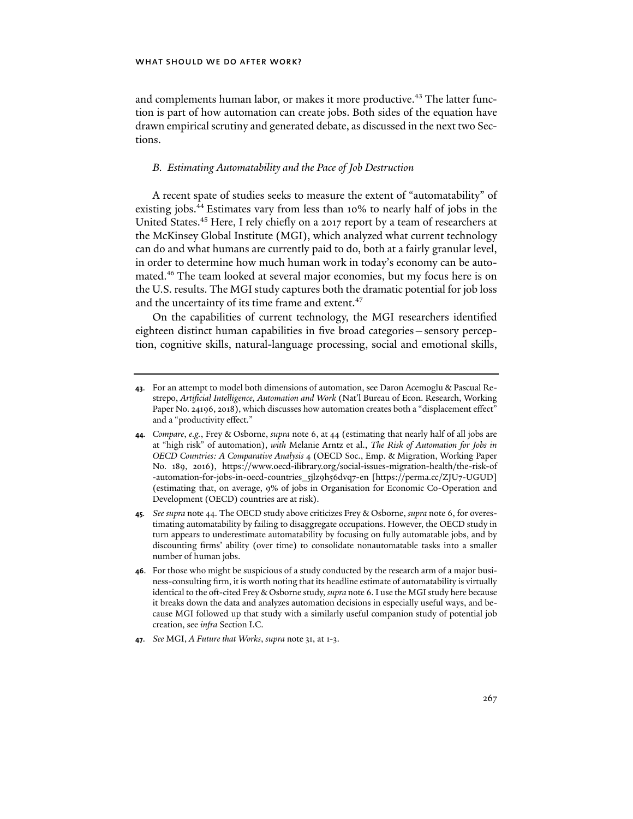and complements human labor, or makes it more productive.<sup>43</sup> The latter function is part of how automation can create jobs. Both sides of the equation have drawn empirical scrutiny and generated debate, as discussed in the next two Sections.

## *B. Estimating Automatability and the Pace of Job Destruction*

A recent spate of studies seeks to measure the extent of "automatability" of existing jobs.<sup>44</sup> Estimates vary from less than 10% to nearly half of jobs in the United States.45 Here, I rely chiefly on a 2017 report by a team of researchers at the McKinsey Global Institute (MGI), which analyzed what current technology can do and what humans are currently paid to do, both at a fairly granular level, in order to determine how much human work in today's economy can be automated.<sup>46</sup> The team looked at several major economies, but my focus here is on the U.S. results. The MGI study captures both the dramatic potential for job loss and the uncertainty of its time frame and extent.<sup>47</sup>

On the capabilities of current technology, the MGI researchers identified eighteen distinct human capabilities in five broad categories—sensory perception, cognitive skills, natural-language processing, social and emotional skills,

**47**. *See* MGI, *A Future that Works*, *supra* note 31, at 1-3.

**<sup>43</sup>**. For an attempt to model both dimensions of automation, see Daron Acemoglu & Pascual Restrepo, *Artificial Intelligence, Automation and Work* (Nat'l Bureau of Econ. Research, Working Paper No. 24196, 2018), which discusses how automation creates both a "displacement effect" and a "productivity effect."

**<sup>44</sup>***. Compare*, *e.g.*, Frey & Osborne, *supra* note 6, at 44 (estimating that nearly half of all jobs are at "high risk" of automation), *with* Melanie Arntz et al., *The Risk of Automation for Jobs in OECD Countries: A Comparative Analysis* 4 (OECD Soc., Emp. & Migration, Working Paper No. 189, 2016), https://www.oecd-ilibrary.org/social-issues-migration-health/the-risk-of -automation-for-jobs-in-oecd-countries\_5jlz9h56dvq7-en [https://perma.cc/ZJU7-UGUD] (estimating that, on average, 9% of jobs in Organisation for Economic Co-Operation and Development (OECD) countries are at risk).

**<sup>45</sup>***. See supra* note 44. The OECD study above criticizes Frey & Osborne, *supra* note 6, for overestimating automatability by failing to disaggregate occupations. However, the OECD study in turn appears to underestimate automatability by focusing on fully automatable jobs, and by discounting firms' ability (over time) to consolidate nonautomatable tasks into a smaller number of human jobs.

**<sup>46</sup>**. For those who might be suspicious of a study conducted by the research arm of a major business-consulting firm, it is worth noting that its headline estimate of automatability is virtually identical to the oft-cited Frey & Osborne study, *supra* note 6. I use the MGI study here because it breaks down the data and analyzes automation decisions in especially useful ways, and because MGI followed up that study with a similarly useful companion study of potential job creation, see *infra* Section I.C.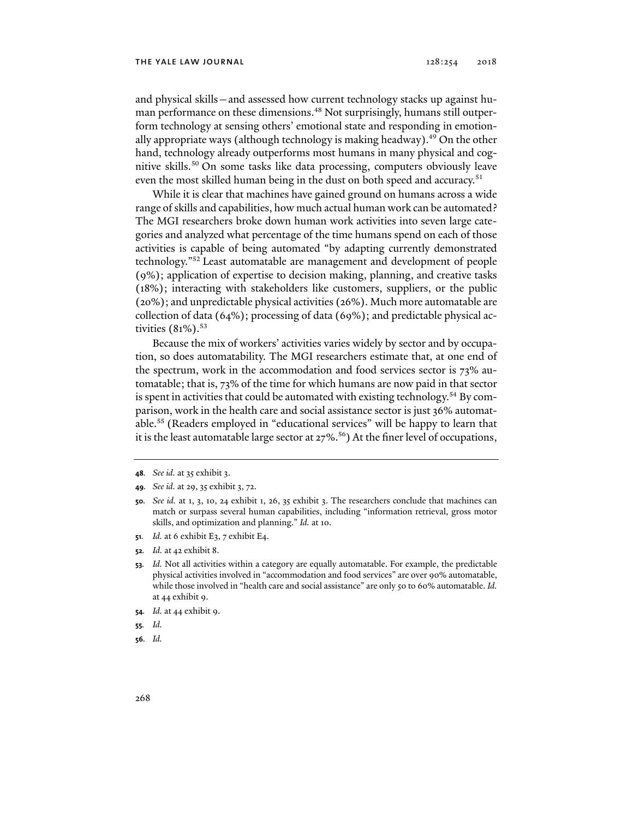### THE YALE LAW JOURNAL  $128:254$   $2018$

and physical skills—and assessed how current technology stacks up against human performance on these dimensions.<sup>48</sup> Not surprisingly, humans still outperform technology at sensing others' emotional state and responding in emotionally appropriate ways (although technology is making headway).<sup>49</sup> On the other hand, technology already outperforms most humans in many physical and cognitive skills.50 On some tasks like data processing, computers obviously leave even the most skilled human being in the dust on both speed and accuracy.<sup>51</sup>

While it is clear that machines have gained ground on humans across a wide range of skills and capabilities, how much actual human work can be automated? The MGI researchers broke down human work activities into seven large categories and analyzed what percentage of the time humans spend on each of those activities is capable of being automated "by adapting currently demonstrated technology."52 Least automatable are management and development of people (9%); application of expertise to decision making, planning, and creative tasks (18%); interacting with stakeholders like customers, suppliers, or the public (20%); and unpredictable physical activities (26%). Much more automatable are collection of data (64%); processing of data (69%); and predictable physical activities  $(81\%)$ .<sup>53</sup>

Because the mix of workers' activities varies widely by sector and by occupation, so does automatability. The MGI researchers estimate that, at one end of the spectrum, work in the accommodation and food services sector is 73% automatable; that is, 73% of the time for which humans are now paid in that sector is spent in activities that could be automated with existing technology.<sup>54</sup> By comparison, work in the health care and social assistance sector is just 36% automatable.55 (Readers employed in "educational services" will be happy to learn that it is the least automatable large sector at  $27\%$ .<sup>56</sup>) At the finer level of occupations,

- **50***. See id.* at 1, 3, 10, 24 exhibit 1, 26, 35 exhibit 3. The researchers conclude that machines can match or surpass several human capabilities, including "information retrieval, gross motor skills, and optimization and planning." *Id.* at 10.
- **51***. Id.* at 6 exhibit E3, 7 exhibit E4.
- **52***. Id.* at 42 exhibit 8.
- **53***. Id.* Not all activities within a category are equally automatable. For example, the predictable physical activities involved in "accommodation and food services" are over 90% automatable, while those involved in "health care and social assistance" are only 50 to 60% automatable. *Id.*  at 44 exhibit 9.
- **54***. Id.* at 44 exhibit 9.
- **55***. Id.*
- **56***. Id.*

**<sup>48</sup>***. See id.* at 35 exhibit 3.

**<sup>49</sup>***. See id.* at 29, 35 exhibit 3, 72.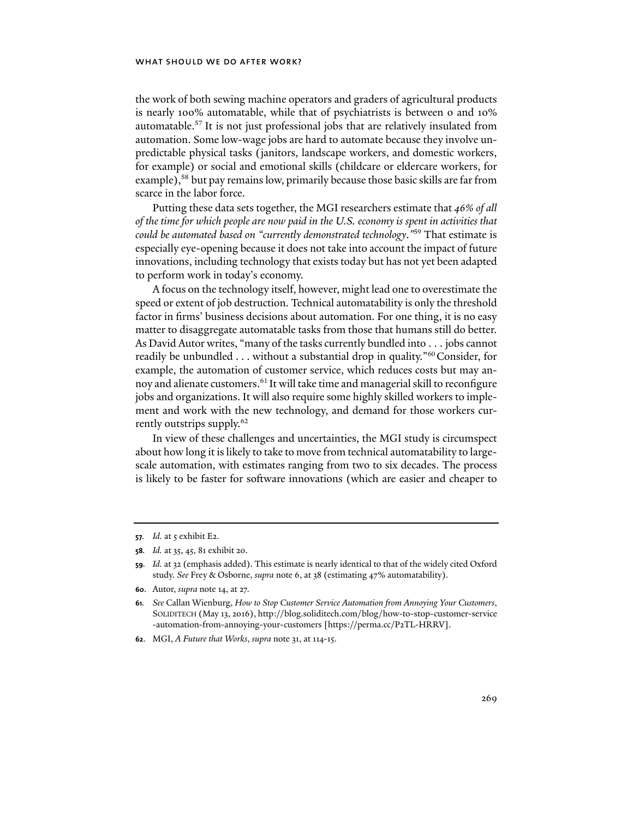## WHAT SHOULD WE DO AFTER WORK?

the work of both sewing machine operators and graders of agricultural products is nearly 100% automatable, while that of psychiatrists is between 0 and 10% automatable.57 It is not just professional jobs that are relatively insulated from automation. Some low-wage jobs are hard to automate because they involve unpredictable physical tasks (janitors, landscape workers, and domestic workers, for example) or social and emotional skills (childcare or eldercare workers, for example),<sup>58</sup> but pay remains low, primarily because those basic skills are far from scarce in the labor force.

Putting these data sets together, the MGI researchers estimate that *46% of all of the time for which people are now paid in the U.S. economy is spent in activities that could be automated based on "currently demonstrated technology*.*"*59 That estimate is especially eye-opening because it does not take into account the impact of future innovations, including technology that exists today but has not yet been adapted to perform work in today's economy.

A focus on the technology itself, however, might lead one to overestimate the speed or extent of job destruction. Technical automatability is only the threshold factor in firms' business decisions about automation. For one thing, it is no easy matter to disaggregate automatable tasks from those that humans still do better. As David Autor writes, "many of the tasks currently bundled into . . . jobs cannot readily be unbundled . . . without a substantial drop in quality."60 Consider, for example, the automation of customer service, which reduces costs but may annoy and alienate customers.<sup>61</sup> It will take time and managerial skill to reconfigure jobs and organizations. It will also require some highly skilled workers to implement and work with the new technology, and demand for those workers currently outstrips supply.<sup>62</sup>

In view of these challenges and uncertainties, the MGI study is circumspect about how long it is likely to take to move from technical automatability to largescale automation, with estimates ranging from two to six decades. The process is likely to be faster for software innovations (which are easier and cheaper to

**<sup>57.</sup>** *Id.* at 5 exhibit E2.

**<sup>58</sup>***. Id.* at 35, 45, 81 exhibit 20.

**<sup>59</sup>***. Id.* at 32 (emphasis added). This estimate is nearly identical to that of the widely cited Oxford study. *See* Frey & Osborne, *supra* note 6, at 38 (estimating 47% automatability).

**<sup>60</sup>**. Autor, *supra* note 14, at 27.

**<sup>61</sup>***. See* Callan Wienburg, *How to Stop Customer Service Automation from Annoying Your Customers*, SOLIDITECH (May 13, 2016), http://blog.soliditech.com/blog/how-to-stop-customer-service -automation-from-annoying-your-customers [https://perma.cc/P2TL-HRRV].

**<sup>62</sup>**. MGI, *A Future that Works*, *supra* note 31, at 114-15.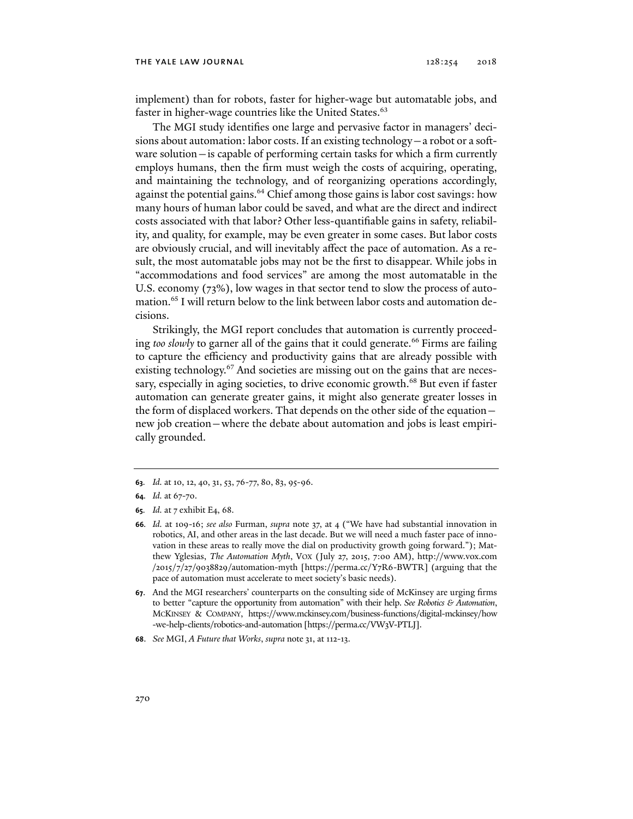implement) than for robots, faster for higher-wage but automatable jobs, and faster in higher-wage countries like the United States.<sup>63</sup>

The MGI study identifies one large and pervasive factor in managers' decisions about automation: labor costs. If an existing technology—a robot or a software solution—is capable of performing certain tasks for which a firm currently employs humans, then the firm must weigh the costs of acquiring, operating, and maintaining the technology, and of reorganizing operations accordingly, against the potential gains.<sup>64</sup> Chief among those gains is labor cost savings: how many hours of human labor could be saved, and what are the direct and indirect costs associated with that labor? Other less-quantifiable gains in safety, reliability, and quality, for example, may be even greater in some cases. But labor costs are obviously crucial, and will inevitably affect the pace of automation. As a result, the most automatable jobs may not be the first to disappear. While jobs in "accommodations and food services" are among the most automatable in the U.S. economy (73%), low wages in that sector tend to slow the process of automation.65 I will return below to the link between labor costs and automation decisions.

Strikingly, the MGI report concludes that automation is currently proceeding *too slowly* to garner all of the gains that it could generate.<sup>66</sup> Firms are failing to capture the efficiency and productivity gains that are already possible with existing technology.<sup>67</sup> And societies are missing out on the gains that are necessary, especially in aging societies, to drive economic growth.<sup>68</sup> But even if faster automation can generate greater gains, it might also generate greater losses in the form of displaced workers. That depends on the other side of the equation new job creation—where the debate about automation and jobs is least empirically grounded.

**<sup>63</sup>***. Id.* at 10, 12, 40, 31, 53, 76-77, 80, 83, 95-96.

**<sup>64</sup>***. Id.* at 67-70.

**<sup>65</sup>***. Id.* at 7 exhibit E4, 68.

**<sup>66</sup>***. Id.* at 109-16; *see also* Furman, *supra* note 37, at 4 ("We have had substantial innovation in robotics, AI, and other areas in the last decade. But we will need a much faster pace of innovation in these areas to really move the dial on productivity growth going forward."); Matthew Yglesias, *The Automation Myth*, VOX (July 27, 2015, 7:00 AM), http://www.vox.com /2015/7/27/9038829/automation-myth [https://perma.cc/Y7R6-BWTR] (arguing that the pace of automation must accelerate to meet society's basic needs).

**<sup>67</sup>**. And the MGI researchers' counterparts on the consulting side of McKinsey are urging firms to better "capture the opportunity from automation" with their help. *See Robotics & Automation*, MCKINSEY & COMPANY, https://www.mckinsey.com/business-functions/digital-mckinsey/how -we-help-clients/robotics-and-automation [https://perma.cc/VW3V-PTLJ].

**<sup>68</sup>**. *See* MGI, *A Future that Works*, *supra* note 31, at 112-13.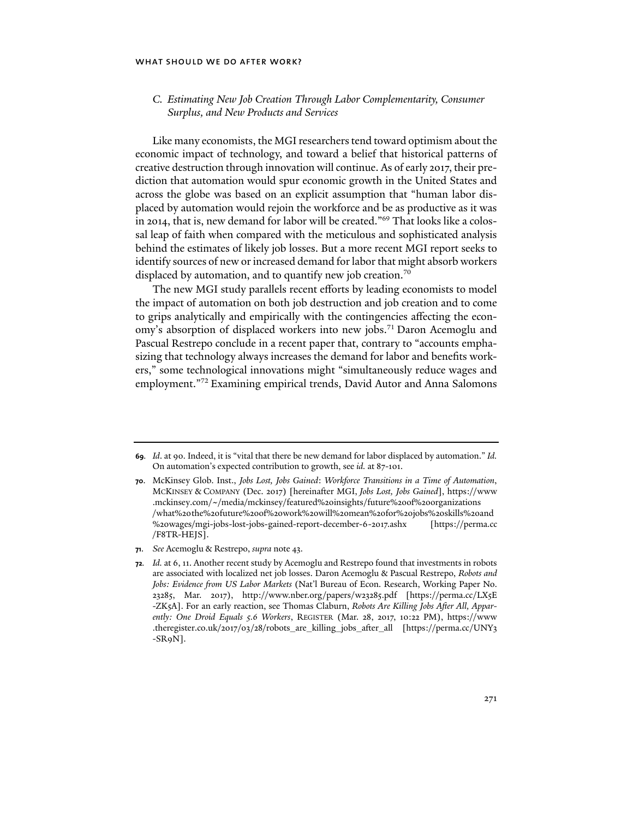### WHAT SHOULD WE DO AFTER WORK?

## *C. Estimating New Job Creation Through Labor Complementarity, Consumer Surplus, and New Products and Services*

Like many economists, the MGI researchers tend toward optimism about the economic impact of technology, and toward a belief that historical patterns of creative destruction through innovation will continue. As of early 2017, their prediction that automation would spur economic growth in the United States and across the globe was based on an explicit assumption that "human labor displaced by automation would rejoin the workforce and be as productive as it was in 2014, that is, new demand for labor will be created."69 That looks like a colossal leap of faith when compared with the meticulous and sophisticated analysis behind the estimates of likely job losses. But a more recent MGI report seeks to identify sources of new or increased demand for labor that might absorb workers displaced by automation, and to quantify new job creation.<sup>70</sup>

The new MGI study parallels recent efforts by leading economists to model the impact of automation on both job destruction and job creation and to come to grips analytically and empirically with the contingencies affecting the economy's absorption of displaced workers into new jobs.<sup>71</sup> Daron Acemoglu and Pascual Restrepo conclude in a recent paper that, contrary to "accounts emphasizing that technology always increases the demand for labor and benefits workers," some technological innovations might "simultaneously reduce wages and employment."72 Examining empirical trends, David Autor and Anna Salomons

**71**. *See* Acemoglu & Restrepo, *supra* note 43.

**<sup>69</sup>***. Id*. at 90. Indeed, it is "vital that there be new demand for labor displaced by automation." *Id.*  On automation's expected contribution to growth, see *id.* at 87-101.

**<sup>70</sup>**. McKinsey Glob. Inst., *Jobs Lost, Jobs Gained*: *Workforce Transitions in a Time of Automation*, MCKINSEY & COMPANY (Dec. 2017) [hereinafter MGI, *Jobs Lost, Jobs Gained*], https://www .mckinsey.com/~/media/mckinsey/featured%20insights/future%20of%20organizations /what%20the%20future%20of%20work%20will%20mean%20for%20jobs%20skills%20and %20wages/mgi-jobs-lost-jobs-gained-report-december-6-2017.ashx [https://perma.cc /F8TR-HEJS].

**<sup>72</sup>***. Id.* at 6, 11. Another recent study by Acemoglu and Restrepo found that investments in robots are associated with localized net job losses. Daron Acemoglu & Pascual Restrepo, *Robots and Jobs: Evidence from US Labor Markets* (Nat'l Bureau of Econ. Research, Working Paper No. 23285, Mar. 2017), http://www.nber.org/papers/w23285.pdf [https://perma.cc/LX5E -ZK5A]. For an early reaction, see Thomas Claburn, *Robots Are Killing Jobs After All, Apparently: One Droid Equals 5.6 Workers*, REGISTER (Mar. 28, 2017, 10:22 PM), https://www .theregister.co.uk/2017/03/28/robots\_are\_killing\_jobs\_after\_all [https://perma.cc/UNY3 -SR9N].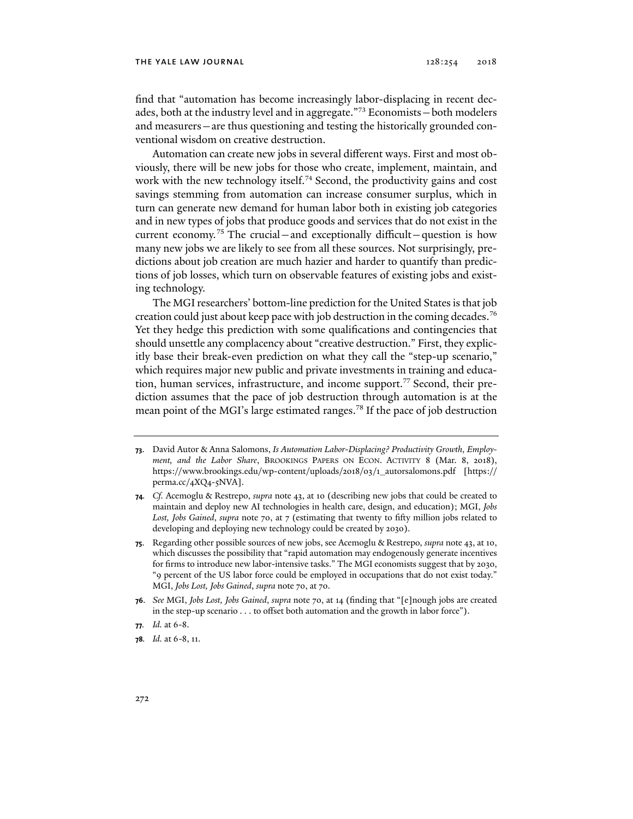### THE YALE LAW JOURNAL  $128:254$   $2018$

find that "automation has become increasingly labor-displacing in recent decades, both at the industry level and in aggregate."73 Economists—both modelers and measurers—are thus questioning and testing the historically grounded conventional wisdom on creative destruction.

Automation can create new jobs in several different ways. First and most obviously, there will be new jobs for those who create, implement, maintain, and work with the new technology itself.<sup>74</sup> Second, the productivity gains and cost savings stemming from automation can increase consumer surplus, which in turn can generate new demand for human labor both in existing job categories and in new types of jobs that produce goods and services that do not exist in the current economy.<sup>75</sup> The crucial—and exceptionally difficult—question is how many new jobs we are likely to see from all these sources. Not surprisingly, predictions about job creation are much hazier and harder to quantify than predictions of job losses, which turn on observable features of existing jobs and existing technology.

The MGI researchers' bottom-line prediction for the United States is that job creation could just about keep pace with job destruction in the coming decades.<sup>76</sup> Yet they hedge this prediction with some qualifications and contingencies that should unsettle any complacency about "creative destruction." First, they explicitly base their break-even prediction on what they call the "step-up scenario," which requires major new public and private investments in training and education, human services, infrastructure, and income support.77 Second, their prediction assumes that the pace of job destruction through automation is at the mean point of the MGI's large estimated ranges.<sup>78</sup> If the pace of job destruction

- **74***. Cf.* Acemoglu & Restrepo, *supra* note 43, at 10 (describing new jobs that could be created to maintain and deploy new AI technologies in health care, design, and education); MGI, *Jobs Lost, Jobs Gained*, *supra* note 70, at 7 (estimating that twenty to fifty million jobs related to developing and deploying new technology could be created by 2030).
- **75**. Regarding other possible sources of new jobs, see Acemoglu & Restrepo, *supra* note 43, at 10, which discusses the possibility that "rapid automation may endogenously generate incentives for firms to introduce new labor-intensive tasks." The MGI economists suggest that by 2030, "9 percent of the US labor force could be employed in occupations that do not exist today." MGI, *Jobs Lost, Jobs Gained*, *supra* note 70, at 70.
- **76**. *See* MGI, *Jobs Lost, Jobs Gained*, *supra* note 70, at 14 (finding that "[e]nough jobs are created in the step-up scenario . . . to offset both automation and the growth in labor force").

**78***. Id.* at 6-8, 11.

**<sup>73</sup>**. David Autor & Anna Salomons, *Is Automation Labor-Displacing? Productivity Growth, Employment, and the Labor Share*, BROOKINGS PAPERS ON ECON. ACTIVITY 8 (Mar. 8, 2018), https://www.brookings.edu/wp-content/uploads/2018/03/1\_autorsalomons.pdf [https:// perma.cc/4XQ4-5NVA].

**<sup>77</sup>***. Id.* at 6-8.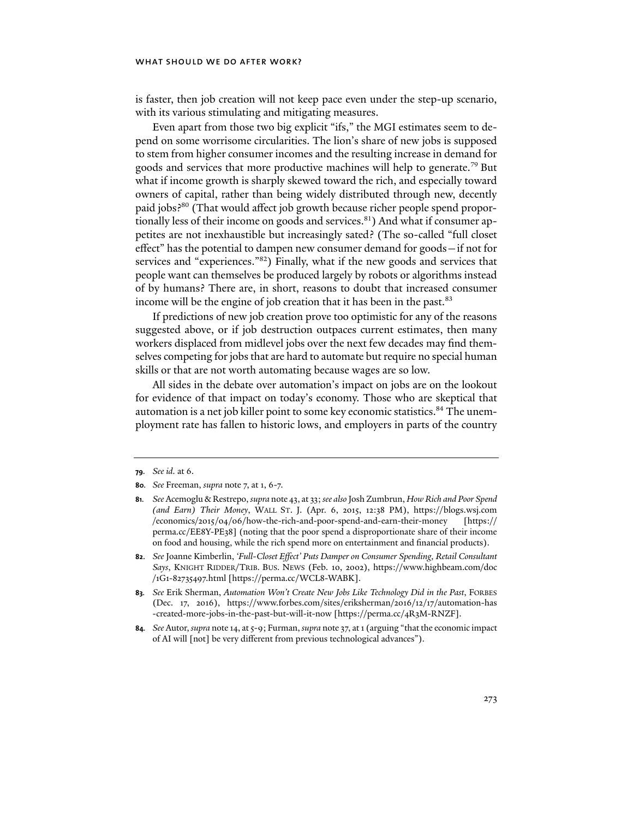## WHAT SHOULD WE DO AFTER WORK?

is faster, then job creation will not keep pace even under the step-up scenario, with its various stimulating and mitigating measures.

Even apart from those two big explicit "ifs," the MGI estimates seem to depend on some worrisome circularities. The lion's share of new jobs is supposed to stem from higher consumer incomes and the resulting increase in demand for goods and services that more productive machines will help to generate.79 But what if income growth is sharply skewed toward the rich, and especially toward owners of capital, rather than being widely distributed through new, decently paid jobs?<sup>80</sup> (That would affect job growth because richer people spend proportionally less of their income on goods and services.<sup>81</sup>) And what if consumer appetites are not inexhaustible but increasingly sated? (The so-called "full closet effect" has the potential to dampen new consumer demand for goods—if not for services and "experiences."<sup>82</sup>) Finally, what if the new goods and services that people want can themselves be produced largely by robots or algorithms instead of by humans? There are, in short, reasons to doubt that increased consumer income will be the engine of job creation that it has been in the past.<sup>83</sup>

If predictions of new job creation prove too optimistic for any of the reasons suggested above, or if job destruction outpaces current estimates, then many workers displaced from midlevel jobs over the next few decades may find themselves competing for jobs that are hard to automate but require no special human skills or that are not worth automating because wages are so low.

All sides in the debate over automation's impact on jobs are on the lookout for evidence of that impact on today's economy. Those who are skeptical that automation is a net job killer point to some key economic statistics.<sup>84</sup> The unemployment rate has fallen to historic lows, and employers in parts of the country

**<sup>79</sup>***. See id.* at 6.

**<sup>80</sup>***. See* Freeman, *supra* note 7, at 1, 6-7.

**<sup>81</sup>***. See* Acemoglu & Restrepo, *supra* note 43, at 33; *see also* Josh Zumbrun, *How Rich and Poor Spend (and Earn) Their Money*, WALL ST. J. (Apr. 6, 2015, 12:38 PM), https://blogs.wsj.com /economics/2015/04/06/how-the-rich-and-poor-spend-and-earn-their-money [https:// perma.cc/EE8Y-PE38] (noting that the poor spend a disproportionate share of their income on food and housing, while the rich spend more on entertainment and financial products).

**<sup>82</sup>**. *See* Joanne Kimberlin, *'Full-Closet Effect' Puts Damper on Consumer Spending, Retail Consultant Says*, KNIGHT RIDDER/TRIB. BUS. NEWS (Feb. 10, 2002), https://www.highbeam.com/doc /1G1-82735497.html [https://perma.cc/WCL8-WABK].

**<sup>83</sup>***. See* Erik Sherman, *Automation Won't Create New Jobs Like Technology Did in the Past*, FORBES (Dec. 17, 2016), https://www.forbes.com/sites/eriksherman/2016/12/17/automation-has -created-more-jobs-in-the-past-but-will-it-now [https://perma.cc/4R3M-RNZF].

**<sup>84</sup>***. See* Autor, *supra* note 14, at 5-9; Furman, *supra* note 37, at 1 (arguing "that the economic impact of AI will [not] be very different from previous technological advances").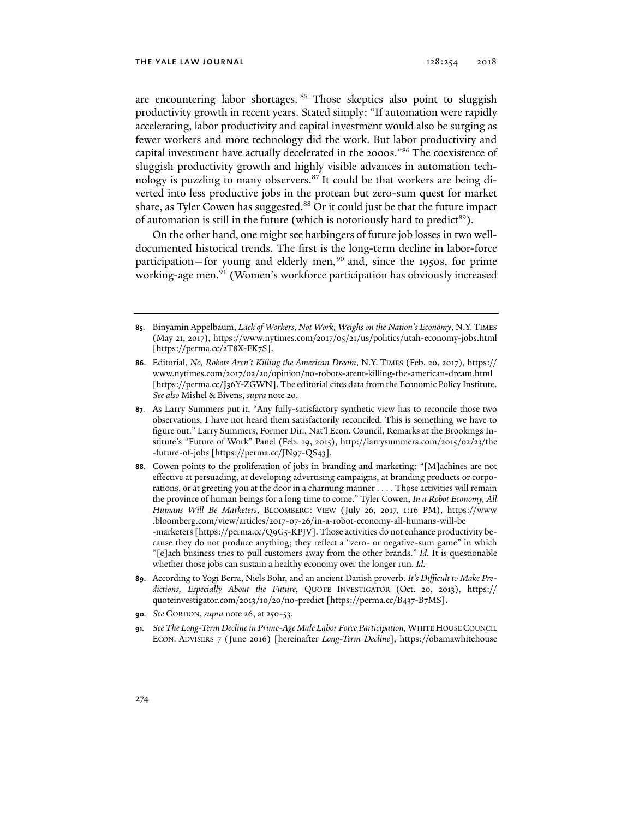are encountering labor shortages. <sup>85</sup> Those skeptics also point to sluggish productivity growth in recent years. Stated simply: "If automation were rapidly accelerating, labor productivity and capital investment would also be surging as fewer workers and more technology did the work. But labor productivity and capital investment have actually decelerated in the 2000s."86 The coexistence of sluggish productivity growth and highly visible advances in automation technology is puzzling to many observers.<sup>87</sup> It could be that workers are being diverted into less productive jobs in the protean but zero-sum quest for market share, as Tyler Cowen has suggested.<sup>88</sup> Or it could just be that the future impact of automation is still in the future (which is notoriously hard to predict<sup>89</sup>).

On the other hand, one might see harbingers of future job losses in two welldocumented historical trends. The first is the long-term decline in labor-force participation–for young and elderly men,<sup>90</sup> and, since the 1950s, for prime working-age men.91 (Women's workforce participation has obviously increased

- **86**. Editorial, *No, Robots Aren't Killing the American Dream*, N.Y. TIMES (Feb. 20, 2017), https:// www.nytimes.com/2017/02/20/opinion/no-robots-arent-killing-the-american-dream.html [https://perma.cc/J36Y-ZGWN]. The editorial cites data from the Economic Policy Institute. *See also* Mishel & Bivens, *supra* note 20.
- **87**. As Larry Summers put it, "Any fully-satisfactory synthetic view has to reconcile those two observations. I have not heard them satisfactorily reconciled. This is something we have to figure out." Larry Summers, Former Dir., Nat'l Econ. Council, Remarks at the Brookings Institute's "Future of Work" Panel (Feb. 19, 2015), http://larrysummers.com/2015/02/23/the -future-of-jobs [https://perma.cc/JN97-QS43].
- **88**. Cowen points to the proliferation of jobs in branding and marketing: "[M]achines are not effective at persuading, at developing advertising campaigns, at branding products or corporations, or at greeting you at the door in a charming manner . . . . Those activities will remain the province of human beings for a long time to come." Tyler Cowen, *In a Robot Economy, All Humans Will Be Marketers*, BLOOMBERG: VIEW (July 26, 2017, 1:16 PM), https://www .bloomberg.com/view/articles/2017-07-26/in-a-robot-economy-all-humans-will-be -marketers [https://perma.cc/Q9G5-KPJV]. Those activities do not enhance productivity because they do not produce anything; they reflect a "zero- or negative-sum game" in which "[e]ach business tries to pull customers away from the other brands." *Id.* It is questionable whether those jobs can sustain a healthy economy over the longer run. *Id.*
- **89**. According to Yogi Berra, Niels Bohr, and an ancient Danish proverb. *It's Difficult to Make Predictions, Especially About the Future*, QUOTE INVESTIGATOR (Oct. 20, 2013), https:// quoteinvestigator.com/2013/10/20/no-predict [https://perma.cc/B437-B7MS].
- **90***. See* GORDON, *supra* note 26, at 250-53.
- **91***. See The Long-Term Decline in Prime-Age Male Labor Force Participation,* WHITE HOUSE COUNCIL ECON. ADVISERS 7 (June 2016) [hereinafter *Long-Term Decline*], https://obamawhitehouse

**<sup>85</sup>**. Binyamin Appelbaum, *Lack of Workers, Not Work, Weighs on the Nation's Economy*, N.Y.TIMES (May 21, 2017), https://www.nytimes.com/2017/05/21/us/politics/utah-economy-jobs.html [https://perma.cc/2T8X-FK7S].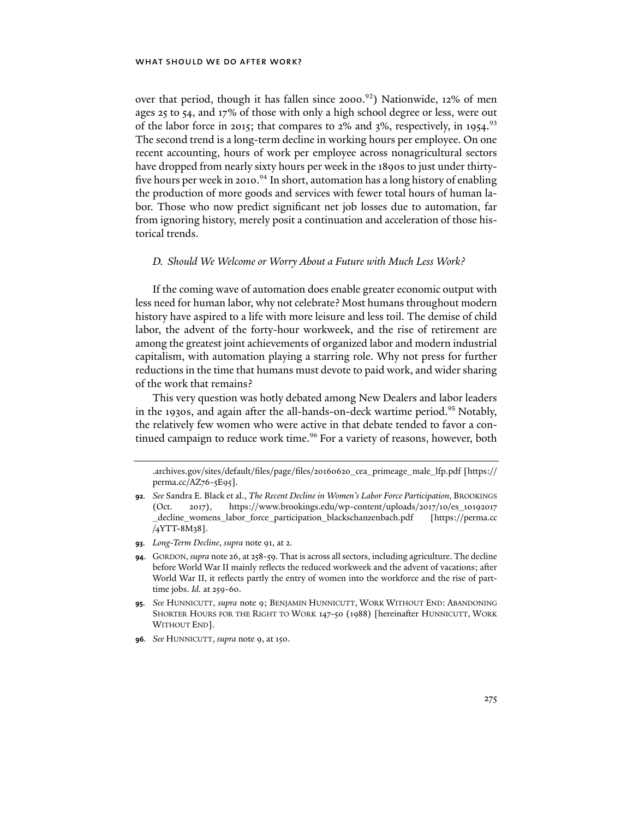## WHAT SHOULD WE DO AFTER WORK?

over that period, though it has fallen since 2000.<sup>92</sup>) Nationwide, 12% of men ages 25 to 54, and 17% of those with only a high school degree or less, were out of the labor force in 2015; that compares to 2% and  $3\%$ , respectively, in 1954.<sup>93</sup> The second trend is a long-term decline in working hours per employee. On one recent accounting, hours of work per employee across nonagricultural sectors have dropped from nearly sixty hours per week in the 1890s to just under thirtyfive hours per week in 2010.<sup>94</sup> In short, automation has a long history of enabling the production of more goods and services with fewer total hours of human labor. Those who now predict significant net job losses due to automation, far from ignoring history, merely posit a continuation and acceleration of those historical trends.

## *D. Should We Welcome or Worry About a Future with Much Less Work?*

If the coming wave of automation does enable greater economic output with less need for human labor, why not celebrate? Most humans throughout modern history have aspired to a life with more leisure and less toil. The demise of child labor, the advent of the forty-hour workweek, and the rise of retirement are among the greatest joint achievements of organized labor and modern industrial capitalism, with automation playing a starring role. Why not press for further reductions in the time that humans must devote to paid work, and wider sharing of the work that remains?

This very question was hotly debated among New Dealers and labor leaders in the 1930s, and again after the all-hands-on-deck wartime period.95 Notably, the relatively few women who were active in that debate tended to favor a continued campaign to reduce work time.<sup>96</sup> For a variety of reasons, however, both

- **93***. Long-Term Decline*, *supra* note 91, at 2.
- **94**. GORDON, *supra* note 26, at 258-59. That is across all sectors, including agriculture. The decline before World War II mainly reflects the reduced workweek and the advent of vacations; after World War II, it reflects partly the entry of women into the workforce and the rise of parttime jobs. *Id.* at 259-60.
- **95***. See* HUNNICUTT, *supra* note 9; BENJAMIN HUNNICUTT, WORK WITHOUT END: ABANDONING SHORTER HOURS FOR THE RIGHT TO WORK 147-50 (1988) [hereinafter HUNNICUTT, WORK WITHOUT END].
- **96***. See* HUNNICUTT, *supra* note 9, at 150.

<sup>.</sup>archives.gov/sites/default/files/page/files/20160620\_cea\_primeage\_male\_lfp.pdf [https:// perma.cc/AZ76-5E95].

**<sup>92</sup>***. See* Sandra E. Black et al., *The Recent Decline in Women's Labor Force Participation*, BROOKINGS (Oct. 2017), https://www.brookings.edu/wp-content/uploads/2017/10/es\_10192017 \_decline\_womens\_labor\_force\_participation\_blackschanzenbach.pdf [https://perma.cc /4YTT-8M38].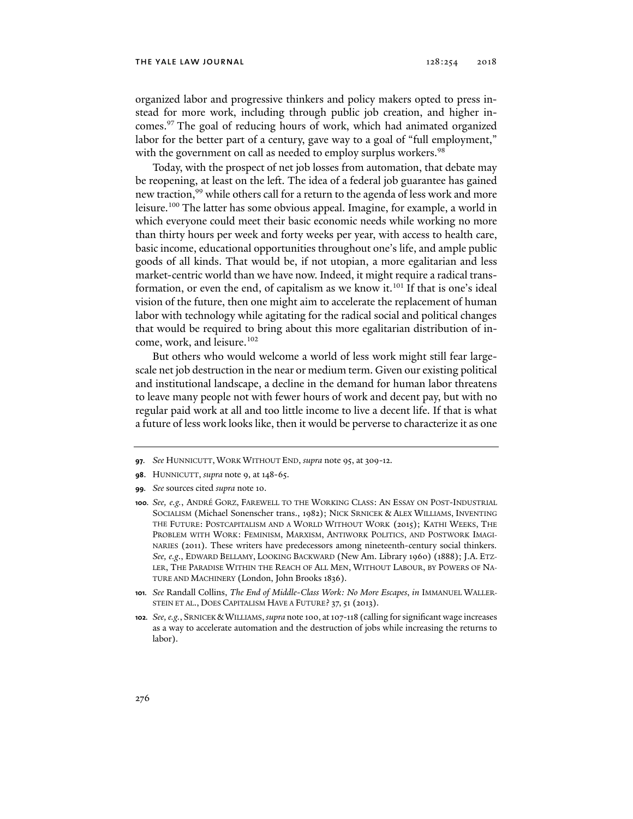#### THE YALE LAW JOURNAL  $128:254$   $2018$

organized labor and progressive thinkers and policy makers opted to press instead for more work, including through public job creation, and higher incomes.97 The goal of reducing hours of work, which had animated organized labor for the better part of a century, gave way to a goal of "full employment," with the government on call as needed to employ surplus workers.<sup>98</sup>

Today, with the prospect of net job losses from automation, that debate may be reopening, at least on the left. The idea of a federal job guarantee has gained new traction,<sup>99</sup> while others call for a return to the agenda of less work and more leisure.<sup>100</sup> The latter has some obvious appeal. Imagine, for example, a world in which everyone could meet their basic economic needs while working no more than thirty hours per week and forty weeks per year, with access to health care, basic income, educational opportunities throughout one's life, and ample public goods of all kinds. That would be, if not utopian, a more egalitarian and less market-centric world than we have now. Indeed, it might require a radical transformation, or even the end, of capitalism as we know it.<sup>101</sup> If that is one's ideal vision of the future, then one might aim to accelerate the replacement of human labor with technology while agitating for the radical social and political changes that would be required to bring about this more egalitarian distribution of income, work, and leisure.<sup>102</sup>

But others who would welcome a world of less work might still fear largescale net job destruction in the near or medium term. Given our existing political and institutional landscape, a decline in the demand for human labor threatens to leave many people not with fewer hours of work and decent pay, but with no regular paid work at all and too little income to live a decent life. If that is what a future of less work looks like, then it would be perverse to characterize it as one

- **99***. See* sources cited *supra* note 10.
- **100***. See, e.g.*, ANDRÉ GORZ, FAREWELL TO THE WORKING CLASS: AN ESSAY ON POST-INDUSTRIAL SOCIALISM (Michael Sonenscher trans., 1982); NICK SRNICEK & ALEX WILLIAMS, INVENTING THE FUTURE: POSTCAPITALISM AND A WORLD WITHOUT WORK (2015); KATHI WEEKS, THE PROBLEM WITH WORK: FEMINISM, MARXISM, ANTIWORK POLITICS, AND POSTWORK IMAGI-NARIES (2011). These writers have predecessors among nineteenth-century social thinkers*. See, e.g*., EDWARD BELLAMY, LOOKING BACKWARD (New Am. Library 1960) (1888); J.A. ETZ-LER, THE PARADISE WITHIN THE REACH OF ALL MEN, WITHOUT LABOUR, BY POWERS OF NA-TURE AND MACHINERY (London, John Brooks 1836).
- **101***. See* Randall Collins, *The End of Middle-Class Work: No More Escapes*, *in* IMMANUEL WALLER-STEIN ET AL., DOES CAPITALISM HAVE A FUTURE? 37, 51 (2013).
- **102***. See, e.g.*, SRNICEK &WILLIAMS, *supra* note 100, at 107-118 (calling for significant wage increases as a way to accelerate automation and the destruction of jobs while increasing the returns to labor).

**<sup>97</sup>***. See* HUNNICUTT, WORK WITHOUT END, *supra* note 95, at 309-12.

**<sup>98</sup>**. HUNNICUTT, *supra* note 9, at 148-65.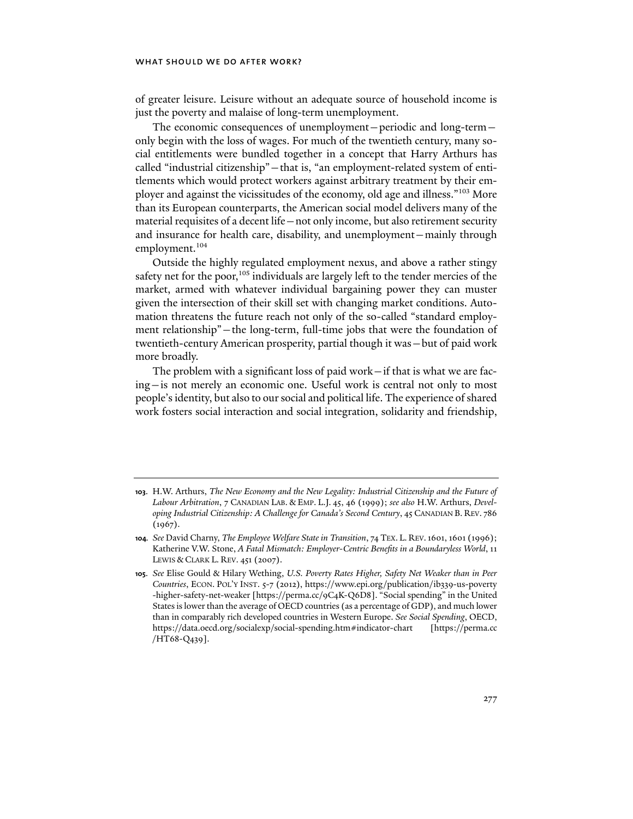## WHAT SHOULD WE DO AFTER WORK?

of greater leisure. Leisure without an adequate source of household income is just the poverty and malaise of long-term unemployment.

The economic consequences of unemployment—periodic and long-term only begin with the loss of wages. For much of the twentieth century, many social entitlements were bundled together in a concept that Harry Arthurs has called "industrial citizenship"—that is, "an employment-related system of entitlements which would protect workers against arbitrary treatment by their employer and against the vicissitudes of the economy, old age and illness."103 More than its European counterparts, the American social model delivers many of the material requisites of a decent life—not only income, but also retirement security and insurance for health care, disability, and unemployment—mainly through employment.<sup>104</sup>

Outside the highly regulated employment nexus, and above a rather stingy safety net for the poor,<sup>105</sup> individuals are largely left to the tender mercies of the market, armed with whatever individual bargaining power they can muster given the intersection of their skill set with changing market conditions. Automation threatens the future reach not only of the so-called "standard employment relationship"—the long-term, full-time jobs that were the foundation of twentieth-century American prosperity, partial though it was—but of paid work more broadly.

The problem with a significant loss of paid work—if that is what we are facing—is not merely an economic one. Useful work is central not only to most people's identity, but also to our social and political life. The experience of shared work fosters social interaction and social integration, solidarity and friendship,

**<sup>103</sup>**. H.W. Arthurs, *The New Economy and the New Legality: Industrial Citizenship and the Future of Labour Arbitration*, 7 CANADIAN LAB. & EMP. L.J. 45, 46 (1999); *see also* H.W. Arthurs, *Developing Industrial Citizenship: A Challenge for Canada's Second Century*, 45 CANADIAN B. REV. 786 (1967).

**<sup>104</sup>***. See* David Charny, *The Employee Welfare State in Transition*, 74 TEX. L. REV.1601, 1601 (1996); Katherine V.W. Stone, *A Fatal Mismatch: Employer-Centric Benefits in a Boundaryless World*, 11 LEWIS & CLARK L. REV. 451 (2007).

**<sup>105</sup>**. *See* Elise Gould & Hilary Wething, *U.S. Poverty Rates Higher, Safety Net Weaker than in Peer Countries*, ECON. POL'Y INST. 5-7 (2012), https://www.epi.org/publication/ib339-us-poverty -higher-safety-net-weaker [https://perma.cc/9C4K-Q6D8]. "Social spending" in the United States is lower than the average of OECD countries (as a percentage of GDP), and much lower than in comparably rich developed countries in Western Europe. *See Social Spending*, OECD, https://data.oecd.org/socialexp/social-spending.htm#indicator-chart [https://perma.cc /HT68-Q439].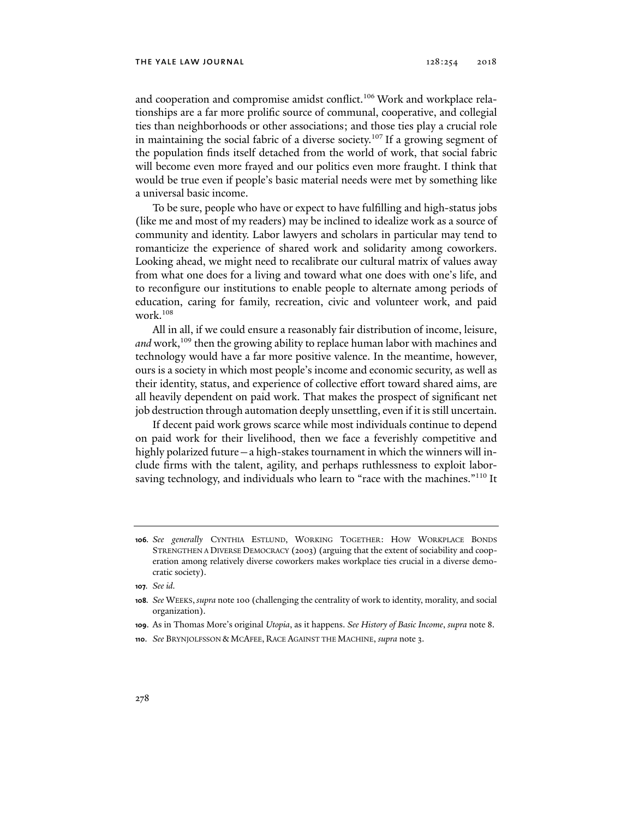and cooperation and compromise amidst conflict.<sup>106</sup> Work and workplace relationships are a far more prolific source of communal, cooperative, and collegial ties than neighborhoods or other associations; and those ties play a crucial role in maintaining the social fabric of a diverse society.<sup>107</sup> If a growing segment of the population finds itself detached from the world of work, that social fabric will become even more frayed and our politics even more fraught. I think that would be true even if people's basic material needs were met by something like a universal basic income.

To be sure, people who have or expect to have fulfilling and high-status jobs (like me and most of my readers) may be inclined to idealize work as a source of community and identity. Labor lawyers and scholars in particular may tend to romanticize the experience of shared work and solidarity among coworkers. Looking ahead, we might need to recalibrate our cultural matrix of values away from what one does for a living and toward what one does with one's life, and to reconfigure our institutions to enable people to alternate among periods of education, caring for family, recreation, civic and volunteer work, and paid work.108

All in all, if we could ensure a reasonably fair distribution of income, leisure, *and* work,<sup>109</sup> then the growing ability to replace human labor with machines and technology would have a far more positive valence. In the meantime, however, ours is a society in which most people's income and economic security, as well as their identity, status, and experience of collective effort toward shared aims, are all heavily dependent on paid work. That makes the prospect of significant net job destruction through automation deeply unsettling, even if it is still uncertain.

If decent paid work grows scarce while most individuals continue to depend on paid work for their livelihood, then we face a feverishly competitive and highly polarized future—a high-stakes tournament in which the winners will include firms with the talent, agility, and perhaps ruthlessness to exploit laborsaving technology, and individuals who learn to "race with the machines."<sup>110</sup> It

**<sup>106</sup>***. See generally* CYNTHIA ESTLUND, WORKING TOGETHER: HOW WORKPLACE BONDS STRENGTHEN A DIVERSE DEMOCRACY (2003) (arguing that the extent of sociability and cooperation among relatively diverse coworkers makes workplace ties crucial in a diverse democratic society).

**<sup>107</sup>***. See id.*

**<sup>108</sup>***. See* WEEKS, *supra* note 100 (challenging the centrality of work to identity, morality, and social organization).

**<sup>109</sup>**. As in Thomas More's original *Utopia*, as it happens. *See History of Basic Income*, *supra* note 8.

**<sup>110</sup>**. *See* BRYNJOLFSSON & MCAFEE, RACE AGAINST THE MACHINE, *supra* note 3.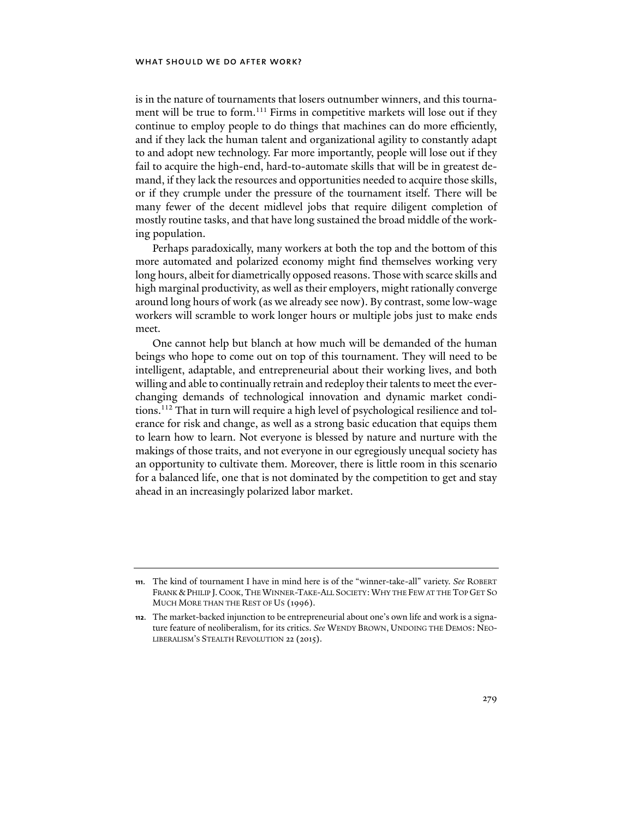is in the nature of tournaments that losers outnumber winners, and this tournament will be true to form.<sup>111</sup> Firms in competitive markets will lose out if they continue to employ people to do things that machines can do more efficiently, and if they lack the human talent and organizational agility to constantly adapt to and adopt new technology. Far more importantly, people will lose out if they fail to acquire the high-end, hard-to-automate skills that will be in greatest demand, if they lack the resources and opportunities needed to acquire those skills, or if they crumple under the pressure of the tournament itself. There will be many fewer of the decent midlevel jobs that require diligent completion of mostly routine tasks, and that have long sustained the broad middle of the working population.

Perhaps paradoxically, many workers at both the top and the bottom of this more automated and polarized economy might find themselves working very long hours, albeit for diametrically opposed reasons. Those with scarce skills and high marginal productivity, as well as their employers, might rationally converge around long hours of work (as we already see now). By contrast, some low-wage workers will scramble to work longer hours or multiple jobs just to make ends meet.

One cannot help but blanch at how much will be demanded of the human beings who hope to come out on top of this tournament. They will need to be intelligent, adaptable, and entrepreneurial about their working lives, and both willing and able to continually retrain and redeploy their talents to meet the everchanging demands of technological innovation and dynamic market conditions.112 That in turn will require a high level of psychological resilience and tolerance for risk and change, as well as a strong basic education that equips them to learn how to learn. Not everyone is blessed by nature and nurture with the makings of those traits, and not everyone in our egregiously unequal society has an opportunity to cultivate them. Moreover, there is little room in this scenario for a balanced life, one that is not dominated by the competition to get and stay ahead in an increasingly polarized labor market.

**<sup>111</sup>**. The kind of tournament I have in mind here is of the "winner-take-all" variety. *See* ROBERT FRANK &PHILIP J.COOK,THE WINNER-TAKE-ALL SOCIETY:WHY THE FEW AT THE TOP GET SO MUCH MORE THAN THE REST OF US (1996).

**<sup>112</sup>**. The market-backed injunction to be entrepreneurial about one's own life and work is a signature feature of neoliberalism, for its critics. *See* WENDY BROWN, UNDOING THE DEMOS: NEO-LIBERALISM'S STEALTH REVOLUTION 22 (2015).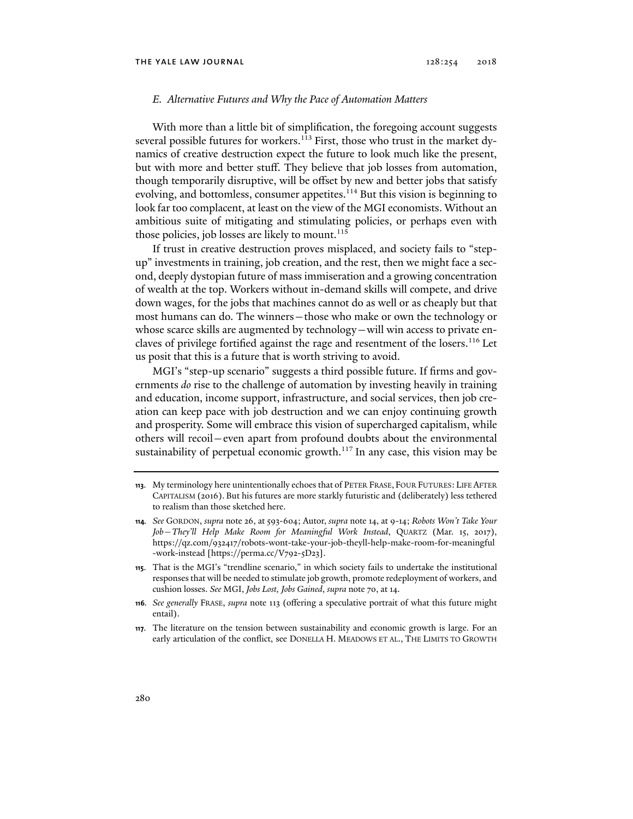### *E. Alternative Futures and Why the Pace of Automation Matters*

With more than a little bit of simplification, the foregoing account suggests several possible futures for workers.<sup>113</sup> First, those who trust in the market dynamics of creative destruction expect the future to look much like the present, but with more and better stuff. They believe that job losses from automation, though temporarily disruptive, will be offset by new and better jobs that satisfy evolving, and bottomless, consumer appetites.<sup>114</sup> But this vision is beginning to look far too complacent, at least on the view of the MGI economists. Without an ambitious suite of mitigating and stimulating policies, or perhaps even with those policies, job losses are likely to mount.<sup>115</sup>

If trust in creative destruction proves misplaced, and society fails to "stepup" investments in training, job creation, and the rest, then we might face a second, deeply dystopian future of mass immiseration and a growing concentration of wealth at the top. Workers without in-demand skills will compete, and drive down wages, for the jobs that machines cannot do as well or as cheaply but that most humans can do. The winners—those who make or own the technology or whose scarce skills are augmented by technology—will win access to private enclaves of privilege fortified against the rage and resentment of the losers.<sup>116</sup> Let us posit that this is a future that is worth striving to avoid.

MGI's "step-up scenario" suggests a third possible future. If firms and governments *do* rise to the challenge of automation by investing heavily in training and education, income support, infrastructure, and social services, then job creation can keep pace with job destruction and we can enjoy continuing growth and prosperity. Some will embrace this vision of supercharged capitalism, while others will recoil—even apart from profound doubts about the environmental sustainability of perpetual economic growth.<sup>117</sup> In any case, this vision may be

- **115**. That is the MGI's "trendline scenario," in which society fails to undertake the institutional responses that will be needed to stimulate job growth, promote redeployment of workers, and cushion losses. *See* MGI, *Jobs Lost, Jobs Gained*, *supra* note 70, at 14.
- **116***. See generally* FRASE, *supra* note 113 (offering a speculative portrait of what this future might entail).
- **117**. The literature on the tension between sustainability and economic growth is large. For an early articulation of the conflict, see DONELLA H. MEADOWS ET AL., THE LIMITS TO GROWTH

**<sup>113</sup>**. My terminology here unintentionally echoes that of PETER FRASE, FOUR FUTURES: LIFE AFTER CAPITALISM (2016). But his futures are more starkly futuristic and (deliberately) less tethered to realism than those sketched here.

**<sup>114</sup>***. See* GORDON, *supra* note 26, at 593-604; Autor, *supra* note 14, at 9-14; *Robots Won't Take Your Job—They'll Help Make Room for Meaningful Work Instead*, QUARTZ (Mar. 15, 2017), https://qz.com/932417/robots-wont-take-your-job-theyll-help-make-room-for-meaningful -work-instead [https://perma.cc/V792-5D23].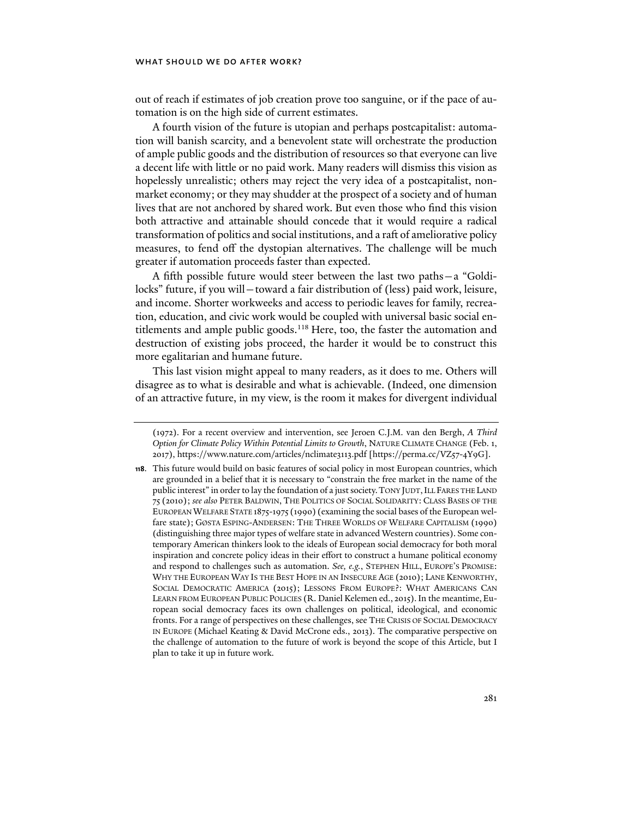out of reach if estimates of job creation prove too sanguine, or if the pace of automation is on the high side of current estimates.

A fourth vision of the future is utopian and perhaps postcapitalist: automation will banish scarcity, and a benevolent state will orchestrate the production of ample public goods and the distribution of resources so that everyone can live a decent life with little or no paid work. Many readers will dismiss this vision as hopelessly unrealistic; others may reject the very idea of a postcapitalist, nonmarket economy; or they may shudder at the prospect of a society and of human lives that are not anchored by shared work. But even those who find this vision both attractive and attainable should concede that it would require a radical transformation of politics and social institutions, and a raft of ameliorative policy measures, to fend off the dystopian alternatives. The challenge will be much greater if automation proceeds faster than expected.

A fifth possible future would steer between the last two paths—a "Goldilocks" future, if you will—toward a fair distribution of (less) paid work, leisure, and income. Shorter workweeks and access to periodic leaves for family, recreation, education, and civic work would be coupled with universal basic social entitlements and ample public goods.<sup>118</sup> Here, too, the faster the automation and destruction of existing jobs proceed, the harder it would be to construct this more egalitarian and humane future.

This last vision might appeal to many readers, as it does to me. Others will disagree as to what is desirable and what is achievable. (Indeed, one dimension of an attractive future, in my view, is the room it makes for divergent individual

<sup>(1972).</sup> For a recent overview and intervention, see Jeroen C.J.M. van den Bergh, *A Third Option for Climate Policy Within Potential Limits to Growth*, NATURE CLIMATE CHANGE (Feb. 1, 2017), https://www.nature.com/articles/nclimate3113.pdf [https://perma.cc/VZ57-4Y9G].

**<sup>118</sup>**. This future would build on basic features of social policy in most European countries, which are grounded in a belief that it is necessary to "constrain the free market in the name of the public interest" in order to lay the foundation of a just society. TONY JUDT, ILL FARES THE LAND 75 (2010); *see also* PETER BALDWIN, THE POLITICS OF SOCIAL SOLIDARITY: CLASS BASES OF THE EUROPEAN WELFARE STATE 1875-1975 (1990) (examining the social bases of the European welfare state); GØSTA ESPING-ANDERSEN: THE THREE WORLDS OF WELFARE CAPITALISM (1990) (distinguishing three major types of welfare state in advanced Western countries). Some contemporary American thinkers look to the ideals of European social democracy for both moral inspiration and concrete policy ideas in their effort to construct a humane political economy and respond to challenges such as automation. *See, e.g.*, STEPHEN HILL, EUROPE'S PROMISE: WHY THE EUROPEAN WAY IS THE BEST HOPE IN AN INSECURE AGE (2010); LANE KENWORTHY, SOCIAL DEMOCRATIC AMERICA (2015); LESSONS FROM EUROPE?: WHAT AMERICANS CAN LEARN FROM EUROPEAN PUBLIC POLICIES (R. Daniel Kelemen ed., 2015). In the meantime, European social democracy faces its own challenges on political, ideological, and economic fronts. For a range of perspectives on these challenges, see THE CRISIS OF SOCIAL DEMOCRACY IN EUROPE (Michael Keating & David McCrone eds., 2013). The comparative perspective on the challenge of automation to the future of work is beyond the scope of this Article, but I plan to take it up in future work.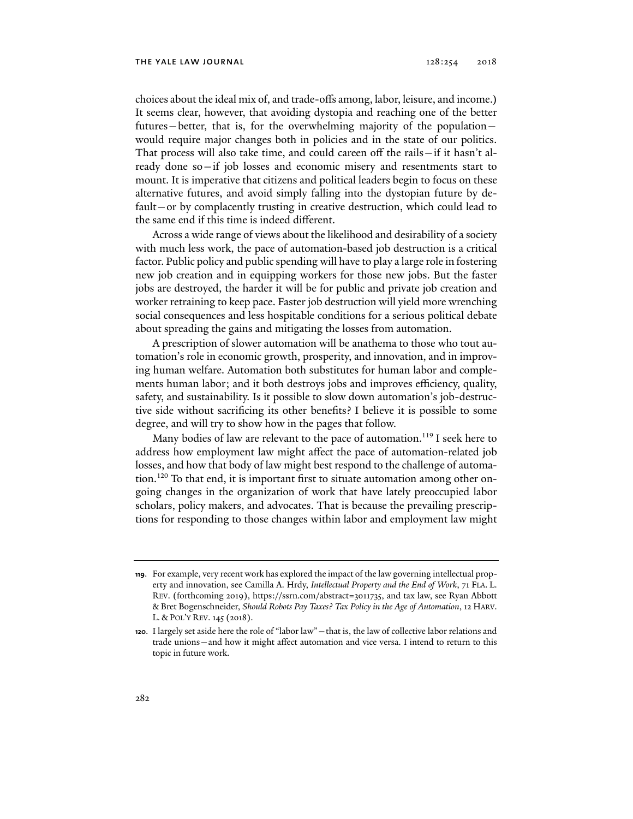choices about the ideal mix of, and trade-offs among, labor, leisure, and income.) It seems clear, however, that avoiding dystopia and reaching one of the better futures—better, that is, for the overwhelming majority of the population would require major changes both in policies and in the state of our politics. That process will also take time, and could careen off the rails—if it hasn't already done so—if job losses and economic misery and resentments start to mount. It is imperative that citizens and political leaders begin to focus on these alternative futures, and avoid simply falling into the dystopian future by default—or by complacently trusting in creative destruction, which could lead to the same end if this time is indeed different.

Across a wide range of views about the likelihood and desirability of a society with much less work, the pace of automation-based job destruction is a critical factor. Public policy and public spending will have to play a large role in fostering new job creation and in equipping workers for those new jobs. But the faster jobs are destroyed, the harder it will be for public and private job creation and worker retraining to keep pace. Faster job destruction will yield more wrenching social consequences and less hospitable conditions for a serious political debate about spreading the gains and mitigating the losses from automation.

A prescription of slower automation will be anathema to those who tout automation's role in economic growth, prosperity, and innovation, and in improving human welfare. Automation both substitutes for human labor and complements human labor; and it both destroys jobs and improves efficiency, quality, safety, and sustainability. Is it possible to slow down automation's job-destructive side without sacrificing its other benefits? I believe it is possible to some degree, and will try to show how in the pages that follow.

Many bodies of law are relevant to the pace of automation.<sup>119</sup> I seek here to address how employment law might affect the pace of automation-related job losses, and how that body of law might best respond to the challenge of automation.<sup>120</sup> To that end, it is important first to situate automation among other ongoing changes in the organization of work that have lately preoccupied labor scholars, policy makers, and advocates. That is because the prevailing prescriptions for responding to those changes within labor and employment law might

**<sup>119</sup>**. For example, very recent work has explored the impact of the law governing intellectual property and innovation, see Camilla A. Hrdy, *Intellectual Property and the End of Work*, 71 FLA. L. REV. (forthcoming 2019), https://ssrn.com/abstract=3011735, and tax law, see Ryan Abbott & Bret Bogenschneider, *Should Robots Pay Taxes? Tax Policy in the Age of Automation*, 12 HARV. L. & POL'Y REV. 145 (2018).

**<sup>120</sup>**. I largely set aside here the role of "labor law"—that is, the law of collective labor relations and trade unions—and how it might affect automation and vice versa. I intend to return to this topic in future work.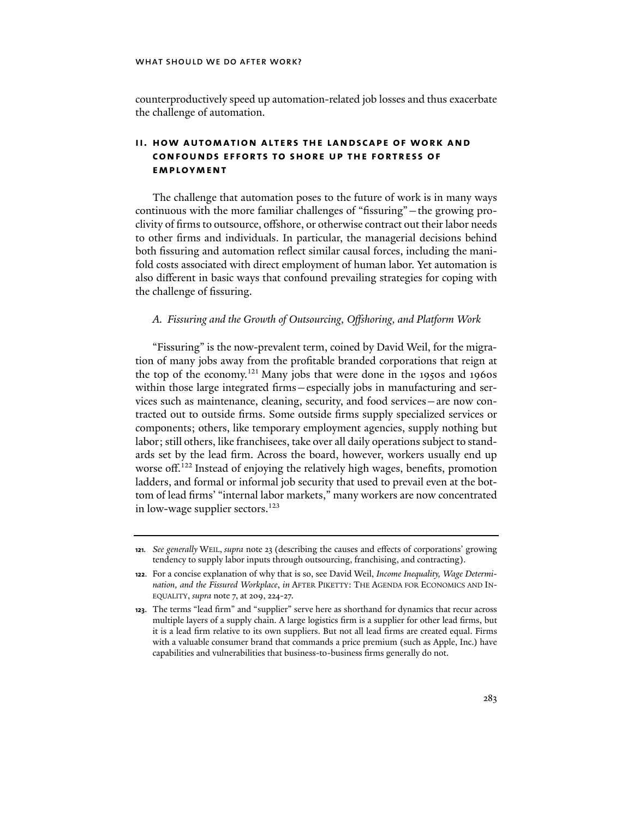counterproductively speed up automation-related job losses and thus exacerbate the challenge of automation.

## **ii. how automation alters the landscape of work and confounds efforts to shore up the fortress of employment**

The challenge that automation poses to the future of work is in many ways continuous with the more familiar challenges of "fissuring"—the growing proclivity of firms to outsource, offshore, or otherwise contract out their labor needs to other firms and individuals. In particular, the managerial decisions behind both fissuring and automation reflect similar causal forces, including the manifold costs associated with direct employment of human labor. Yet automation is also different in basic ways that confound prevailing strategies for coping with the challenge of fissuring.

## *A. Fissuring and the Growth of Outsourcing, Offshoring, and Platform Work*

"Fissuring" is the now-prevalent term, coined by David Weil, for the migration of many jobs away from the profitable branded corporations that reign at the top of the economy.<sup>121</sup> Many jobs that were done in the 1950s and 1960s within those large integrated firms—especially jobs in manufacturing and services such as maintenance, cleaning, security, and food services—are now contracted out to outside firms. Some outside firms supply specialized services or components; others, like temporary employment agencies, supply nothing but labor; still others, like franchisees, take over all daily operations subject to standards set by the lead firm. Across the board, however, workers usually end up worse off.<sup>122</sup> Instead of enjoying the relatively high wages, benefits, promotion ladders, and formal or informal job security that used to prevail even at the bottom of lead firms' "internal labor markets," many workers are now concentrated in low-wage supplier sectors.<sup>123</sup>

**<sup>121</sup>***. See generally* WEIL, *supra* note 23 (describing the causes and effects of corporations' growing tendency to supply labor inputs through outsourcing, franchising, and contracting).

**<sup>122</sup>**. For a concise explanation of why that is so, see David Weil, *Income Inequality, Wage Determination, and the Fissured Workplace*, *in* AFTER PIKETTY: THE AGENDA FOR ECONOMICS AND IN-EQUALITY, *supra* note 7, at 209, 224-27.

**<sup>123</sup>**. The terms "lead firm" and "supplier" serve here as shorthand for dynamics that recur across multiple layers of a supply chain. A large logistics firm is a supplier for other lead firms, but it is a lead firm relative to its own suppliers. But not all lead firms are created equal. Firms with a valuable consumer brand that commands a price premium (such as Apple, Inc.) have capabilities and vulnerabilities that business-to-business firms generally do not.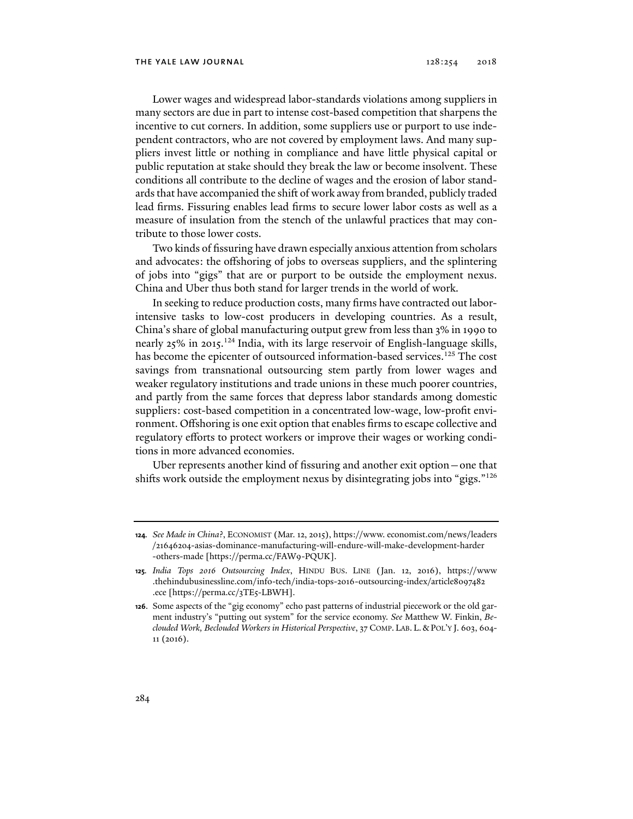Lower wages and widespread labor-standards violations among suppliers in many sectors are due in part to intense cost-based competition that sharpens the incentive to cut corners. In addition, some suppliers use or purport to use independent contractors, who are not covered by employment laws. And many suppliers invest little or nothing in compliance and have little physical capital or public reputation at stake should they break the law or become insolvent. These conditions all contribute to the decline of wages and the erosion of labor standards that have accompanied the shift of work away from branded, publicly traded lead firms. Fissuring enables lead firms to secure lower labor costs as well as a measure of insulation from the stench of the unlawful practices that may contribute to those lower costs.

Two kinds of fissuring have drawn especially anxious attention from scholars and advocates: the offshoring of jobs to overseas suppliers, and the splintering of jobs into "gigs" that are or purport to be outside the employment nexus. China and Uber thus both stand for larger trends in the world of work.

In seeking to reduce production costs, many firms have contracted out laborintensive tasks to low-cost producers in developing countries. As a result, China's share of global manufacturing output grew from less than 3% in 1990 to nearly 25% in 2015.<sup>124</sup> India, with its large reservoir of English-language skills, has become the epicenter of outsourced information-based services.<sup>125</sup> The cost savings from transnational outsourcing stem partly from lower wages and weaker regulatory institutions and trade unions in these much poorer countries, and partly from the same forces that depress labor standards among domestic suppliers: cost-based competition in a concentrated low-wage, low-profit environment. Offshoring is one exit option that enables firms to escape collective and regulatory efforts to protect workers or improve their wages or working conditions in more advanced economies.

Uber represents another kind of fissuring and another exit option—one that shifts work outside the employment nexus by disintegrating jobs into "gigs."<sup>126</sup>

**<sup>124</sup>***. See Made in China*?, ECONOMIST (Mar. 12, 2015), https://www. economist.com/news/leaders /21646204-asias-dominance-manufacturing-will-endure-will-make-development-harder -others-made [https://perma.cc/FAW9-PQUK].

**<sup>125</sup>***. India Tops 2016 Outsourcing Index*, HINDU BUS. LINE (Jan. 12, 2016), https://www .thehindubusinessline.com/info-tech/india-tops-2016-outsourcing-index/article8097482 .ece [https://perma.cc/3TE5-LBWH].

**<sup>126</sup>**. Some aspects of the "gig economy" echo past patterns of industrial piecework or the old garment industry's "putting out system" for the service economy. *See* Matthew W. Finkin, *Beclouded Work, Beclouded Workers in Historical Perspective*, 37 COMP. LAB. L.&POL'Y J. 603, 604- 11 (2016).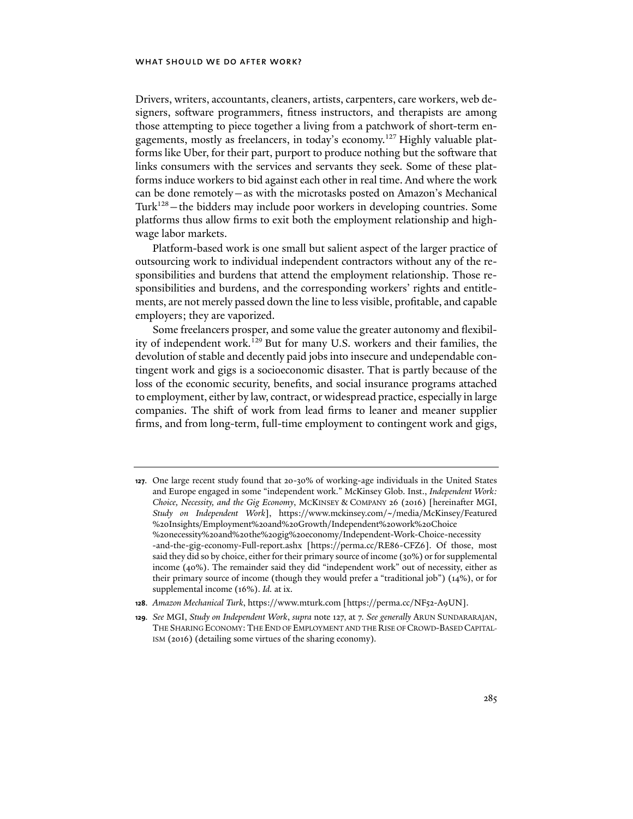Drivers, writers, accountants, cleaners, artists, carpenters, care workers, web designers, software programmers, fitness instructors, and therapists are among those attempting to piece together a living from a patchwork of short-term engagements, mostly as freelancers, in today's economy.127 Highly valuable platforms like Uber, for their part, purport to produce nothing but the software that links consumers with the services and servants they seek. Some of these platforms induce workers to bid against each other in real time. And where the work can be done remotely—as with the microtasks posted on Amazon's Mechanical Turk128—the bidders may include poor workers in developing countries. Some platforms thus allow firms to exit both the employment relationship and highwage labor markets.

Platform-based work is one small but salient aspect of the larger practice of outsourcing work to individual independent contractors without any of the responsibilities and burdens that attend the employment relationship. Those responsibilities and burdens, and the corresponding workers' rights and entitlements, are not merely passed down the line to less visible, profitable, and capable employers; they are vaporized.

Some freelancers prosper, and some value the greater autonomy and flexibility of independent work.129 But for many U.S. workers and their families, the devolution of stable and decently paid jobs into insecure and undependable contingent work and gigs is a socioeconomic disaster. That is partly because of the loss of the economic security, benefits, and social insurance programs attached to employment, either by law, contract, or widespread practice, especially in large companies. The shift of work from lead firms to leaner and meaner supplier firms, and from long-term, full-time employment to contingent work and gigs,

- **128**. *Amazon Mechanical Turk*, https://www.mturk.com [https://perma.cc/NF52-A9UN].
- **129***. See* MGI, *Study on Independent Work*, *supra* note 127, at 7. *See generally* ARUN SUNDARARAJAN, THE SHARING ECONOMY:THE END OF EMPLOYMENT AND THE RISE OF CROWD-BASED CAPITAL-ISM (2016) (detailing some virtues of the sharing economy)*.*

**<sup>127</sup>**. One large recent study found that 20-30% of working-age individuals in the United States and Europe engaged in some "independent work." McKinsey Glob. Inst., *Independent Work: Choice, Necessity, and the Gig Economy*, MCKINSEY & COMPANY 26 (2016) [hereinafter MGI, *Study on Independent Work*], https://www.mckinsey.com/~/media/McKinsey/Featured %20Insights/Employment%20and%20Growth/Independent%20work%20Choice %20necessity%20and%20the%20gig%20economy/Independent-Work-Choice-necessity -and-the-gig-economy-Full-report.ashx [https://perma.cc/RE86-CFZ6]. Of those, most said they did so by choice, either for their primary source of income (30%) or for supplemental income (40%). The remainder said they did "independent work" out of necessity, either as their primary source of income (though they would prefer a "traditional job") (14%), or for supplemental income (16%). *Id.* at ix.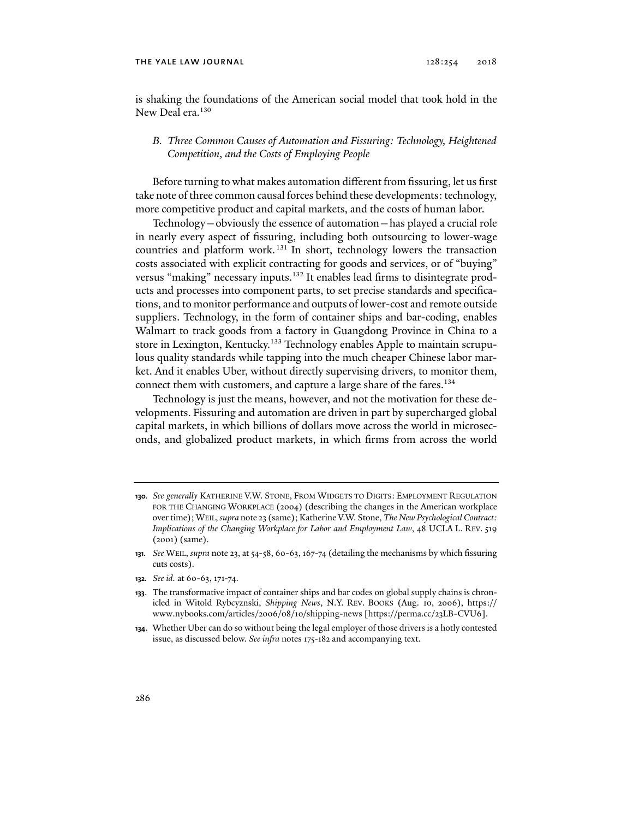### THE YALE LAW JOURNAL  $128:254$   $2018$

is shaking the foundations of the American social model that took hold in the New Deal era.<sup>130</sup>

## *B. Three Common Causes of Automation and Fissuring: Technology, Heightened Competition, and the Costs of Employing People*

Before turning to what makes automation different from fissuring, let us first take note of three common causal forces behind these developments: technology, more competitive product and capital markets, and the costs of human labor.

Technology—obviously the essence of automation—has played a crucial role in nearly every aspect of fissuring, including both outsourcing to lower-wage countries and platform work. 131 In short, technology lowers the transaction costs associated with explicit contracting for goods and services, or of "buying" versus "making" necessary inputs.<sup>132</sup> It enables lead firms to disintegrate products and processes into component parts, to set precise standards and specifications, and to monitor performance and outputs of lower-cost and remote outside suppliers. Technology, in the form of container ships and bar-coding, enables Walmart to track goods from a factory in Guangdong Province in China to a store in Lexington, Kentucky.<sup>133</sup> Technology enables Apple to maintain scrupulous quality standards while tapping into the much cheaper Chinese labor market. And it enables Uber, without directly supervising drivers, to monitor them, connect them with customers, and capture a large share of the fares.<sup>134</sup>

Technology is just the means, however, and not the motivation for these developments. Fissuring and automation are driven in part by supercharged global capital markets, in which billions of dollars move across the world in microseconds, and globalized product markets, in which firms from across the world

**132***. See id.* at 60-63, 171-74.

**<sup>130</sup>***. See generally* KATHERINE V.W. STONE, FROM WIDGETS TO DIGITS: EMPLOYMENT REGULATION FOR THE CHANGING WORKPLACE (2004) (describing the changes in the American workplace over time); WEIL, *supra* note 23 (same); Katherine V.W. Stone, *The New Psychological Contract: Implications of the Changing Workplace for Labor and Employment Law*, 48 UCLA L. REV. 519 (2001) (same).

**<sup>131</sup>***. See* WEIL, *supra* note 23, at 54-58, 60-63, 167-74 (detailing the mechanisms by which fissuring cuts costs).

**<sup>133</sup>**. The transformative impact of container ships and bar codes on global supply chains is chronicled in Witold Rybcyznski, *Shipping News*, N.Y. REV. BOOKS (Aug. 10, 2006), https:// www.nybooks.com/articles/2006/08/10/shipping-news [https://perma.cc/23LB-CVU6].

**<sup>134</sup>**. Whether Uber can do so without being the legal employer of those drivers is a hotly contested issue, as discussed below. *See infra* notes 175-182 and accompanying text.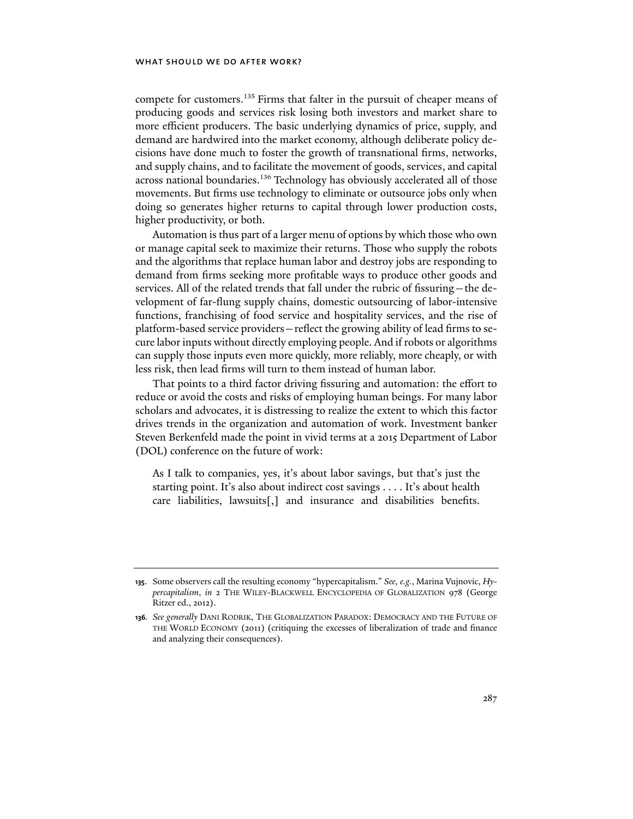compete for customers.<sup>135</sup> Firms that falter in the pursuit of cheaper means of producing goods and services risk losing both investors and market share to more efficient producers. The basic underlying dynamics of price, supply, and demand are hardwired into the market economy, although deliberate policy decisions have done much to foster the growth of transnational firms, networks, and supply chains, and to facilitate the movement of goods, services, and capital across national boundaries.<sup>136</sup> Technology has obviously accelerated all of those movements. But firms use technology to eliminate or outsource jobs only when doing so generates higher returns to capital through lower production costs, higher productivity, or both.

Automation is thus part of a larger menu of options by which those who own or manage capital seek to maximize their returns. Those who supply the robots and the algorithms that replace human labor and destroy jobs are responding to demand from firms seeking more profitable ways to produce other goods and services. All of the related trends that fall under the rubric of fissuring—the development of far-flung supply chains, domestic outsourcing of labor-intensive functions, franchising of food service and hospitality services, and the rise of platform-based service providers—reflect the growing ability of lead firms to secure labor inputs without directly employing people. And if robots or algorithms can supply those inputs even more quickly, more reliably, more cheaply, or with less risk, then lead firms will turn to them instead of human labor.

That points to a third factor driving fissuring and automation: the effort to reduce or avoid the costs and risks of employing human beings. For many labor scholars and advocates, it is distressing to realize the extent to which this factor drives trends in the organization and automation of work. Investment banker Steven Berkenfeld made the point in vivid terms at a 2015 Department of Labor (DOL) conference on the future of work:

As I talk to companies, yes, it's about labor savings, but that's just the starting point. It's also about indirect cost savings . . . . It's about health care liabilities, lawsuits[,] and insurance and disabilities benefits.

**<sup>135</sup>**. Some observers call the resulting economy "hypercapitalism." *See, e.g.*, Marina Vujnovic, *Hypercapitalism*, *in* 2 THE WILEY-BLACKWELL ENCYCLOPEDIA OF GLOBALIZATION 978 (George Ritzer ed., 2012).

**<sup>136</sup>***. See generally* DANI RODRIK, THE GLOBALIZATION PARADOX: DEMOCRACY AND THE FUTURE OF THE WORLD ECONOMY (2011) (critiquing the excesses of liberalization of trade and finance and analyzing their consequences).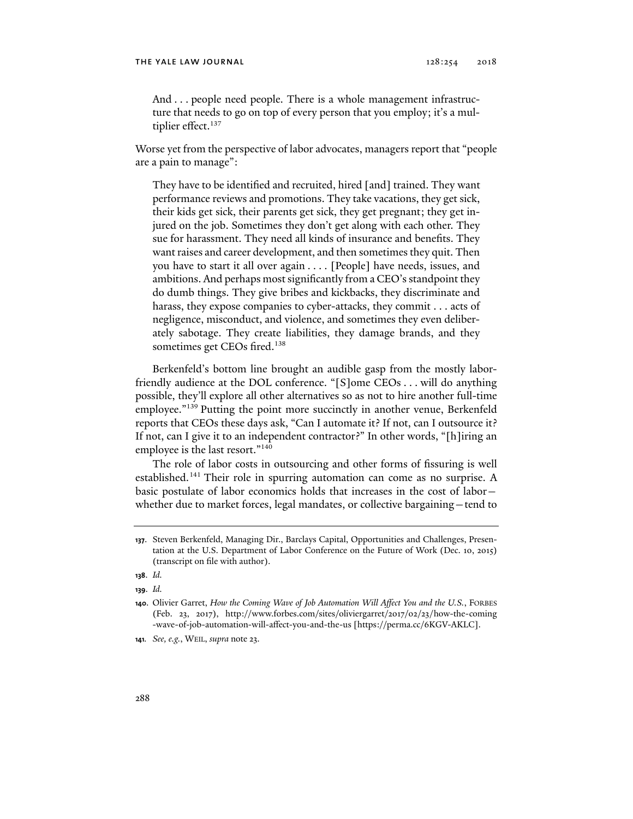And . . . people need people. There is a whole management infrastructure that needs to go on top of every person that you employ; it's a multiplier effect.<sup>137</sup>

Worse yet from the perspective of labor advocates, managers report that "people are a pain to manage":

They have to be identified and recruited, hired [and] trained. They want performance reviews and promotions. They take vacations, they get sick, their kids get sick, their parents get sick, they get pregnant; they get injured on the job. Sometimes they don't get along with each other. They sue for harassment. They need all kinds of insurance and benefits. They want raises and career development, and then sometimes they quit. Then you have to start it all over again . . . . [People] have needs, issues, and ambitions. And perhaps most significantly from a CEO's standpoint they do dumb things. They give bribes and kickbacks, they discriminate and harass, they expose companies to cyber-attacks, they commit . . . acts of negligence, misconduct, and violence, and sometimes they even deliberately sabotage. They create liabilities, they damage brands, and they sometimes get CEOs fired.<sup>138</sup>

Berkenfeld's bottom line brought an audible gasp from the mostly laborfriendly audience at the DOL conference. "[S]ome CEOs . . . will do anything possible, they'll explore all other alternatives so as not to hire another full-time employee."<sup>139</sup> Putting the point more succinctly in another venue, Berkenfeld reports that CEOs these days ask, "Can I automate it? If not, can I outsource it? If not, can I give it to an independent contractor?" In other words, "[h]iring an employee is the last resort."<sup>140</sup>

The role of labor costs in outsourcing and other forms of fissuring is well established.<sup>141</sup> Their role in spurring automation can come as no surprise. A basic postulate of labor economics holds that increases in the cost of labor whether due to market forces, legal mandates, or collective bargaining—tend to

**<sup>137</sup>**. Steven Berkenfeld, Managing Dir., Barclays Capital, Opportunities and Challenges, Presentation at the U.S. Department of Labor Conference on the Future of Work (Dec. 10, 2015) (transcript on file with author).

**<sup>138</sup>**. *Id.*

**<sup>139</sup>**. *Id.*

**<sup>140</sup>**. Olivier Garret, *How the Coming Wave of Job Automation Will Affect You and the U.S.*, FORBES (Feb. 23, 2017), http://www.forbes.com/sites/oliviergarret/2017/02/23/how-the-coming -wave-of-job-automation-will-affect-you-and-the-us [https://perma.cc/6KGV-AKLC].

**<sup>141</sup>***. See, e.g.*, WEIL, *supra* note 23.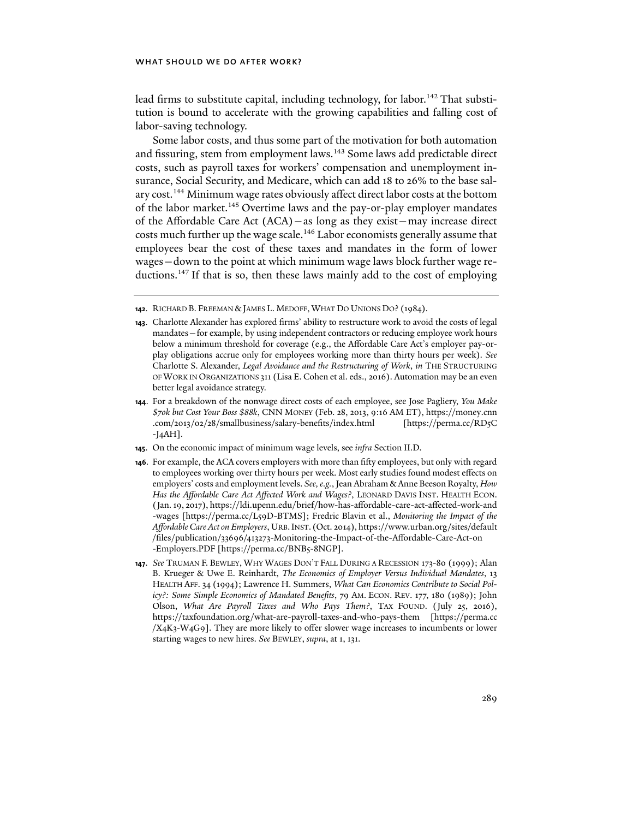lead firms to substitute capital, including technology, for labor.<sup>142</sup> That substitution is bound to accelerate with the growing capabilities and falling cost of labor-saving technology.

Some labor costs, and thus some part of the motivation for both automation and fissuring, stem from employment laws.143 Some laws add predictable direct costs, such as payroll taxes for workers' compensation and unemployment insurance, Social Security, and Medicare, which can add 18 to 26% to the base salary cost.144 Minimum wage rates obviously affect direct labor costs at the bottom of the labor market.<sup>145</sup> Overtime laws and the pay-or-play employer mandates of the Affordable Care Act (ACA)—as long as they exist—may increase direct costs much further up the wage scale.<sup>146</sup> Labor economists generally assume that employees bear the cost of these taxes and mandates in the form of lower wages—down to the point at which minimum wage laws block further wage reductions.147 If that is so, then these laws mainly add to the cost of employing

- **145**. On the economic impact of minimum wage levels, see *infra* Section II.D.
- **146**. For example, the ACA covers employers with more than fifty employees, but only with regard to employees working over thirty hours per week. Most early studies found modest effects on employers' costs and employment levels. *See, e.g.*, Jean Abraham & Anne Beeson Royalty, *How Has the Affordable Care Act Affected Work and Wages?*, LEONARD DAVIS INST. HEALTH ECON. (Jan. 19, 2017), https://ldi.upenn.edu/brief/how-has-affordable-care-act-affected-work-and -wages [https://perma.cc/L59D-BTMS]; Fredric Blavin et al., *Monitoring the Impact of the Affordable Care Act on Employers*, URB.INST. (Oct. 2014), https://www.urban.org/sites/default /files/publication/33696/413273-Monitoring-the-Impact-of-the-Affordable-Care-Act-on -Employers.PDF [https://perma.cc/BNB5-8NGP].
- **147**. *See* TRUMAN F. BEWLEY, WHY WAGES DON'T FALL DURING A RECESSION 173-80 (1999); Alan B. Krueger & Uwe E. Reinhardt, *The Economics of Employer Versus Individual Mandates*, 13 HEALTH AFF. 34 (1994); Lawrence H. Summers, *What Can Economics Contribute to Social Policy?: Some Simple Economics of Mandated Benefits*, 79 AM. ECON. REV. 177, 180 (1989); John Olson, *What Are Payroll Taxes and Who Pays Them?*, TAX FOUND. (July 25, 2016), https://taxfoundation.org/what-are-payroll-taxes-and-who-pays-them [https://perma.cc /X4K3-W4G9]. They are more likely to offer slower wage increases to incumbents or lower starting wages to new hires. *See* BEWLEY, *supra*, at 1, 131.

**<sup>142</sup>**. RICHARD B. FREEMAN & JAMES L. MEDOFF, WHAT DO UNIONS DO? (1984).

**<sup>143</sup>**. Charlotte Alexander has explored firms' ability to restructure work to avoid the costs of legal mandates—for example, by using independent contractors or reducing employee work hours below a minimum threshold for coverage (e.g., the Affordable Care Act's employer pay-orplay obligations accrue only for employees working more than thirty hours per week). *See*  Charlotte S. Alexander, *Legal Avoidance and the Restructuring of Work*, *in* THE STRUCTURING OF WORK IN ORGANIZATIONS 311 (Lisa E. Cohen et al. eds., 2016). Automation may be an even better legal avoidance strategy.

**<sup>144</sup>**. For a breakdown of the nonwage direct costs of each employee, see Jose Pagliery, *You Make \$70k but Cost Your Boss \$88k*, CNN MONEY (Feb. 28, 2013, 9:16 AM ET), https://money.cnn .com/2013/02/28/smallbusiness/salary-benefits/index.html [https://perma.cc/RD5C  $-I_4AH$ ].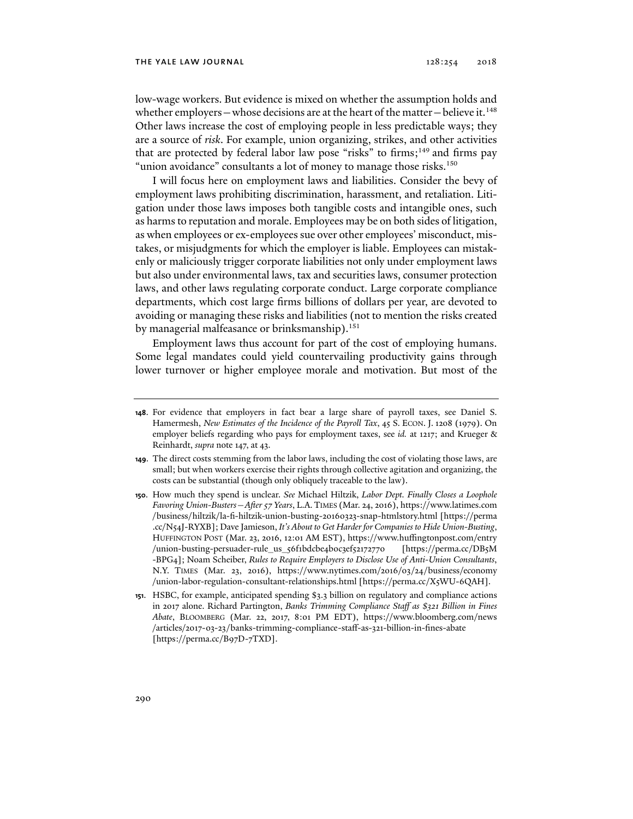#### THE YALE LAW JOURNAL  $128:254$   $2018$

low-wage workers. But evidence is mixed on whether the assumption holds and whether employers—whose decisions are at the heart of the matter—believe it.<sup>148</sup> Other laws increase the cost of employing people in less predictable ways; they are a source of *risk*. For example, union organizing, strikes, and other activities that are protected by federal labor law pose "risks" to firms;<sup>149</sup> and firms pay "union avoidance" consultants a lot of money to manage those risks.<sup>150</sup>

I will focus here on employment laws and liabilities. Consider the bevy of employment laws prohibiting discrimination, harassment, and retaliation. Litigation under those laws imposes both tangible costs and intangible ones, such as harms to reputation and morale. Employees may be on both sides of litigation, as when employees or ex-employees sue over other employees' misconduct, mistakes, or misjudgments for which the employer is liable. Employees can mistakenly or maliciously trigger corporate liabilities not only under employment laws but also under environmental laws, tax and securities laws, consumer protection laws, and other laws regulating corporate conduct. Large corporate compliance departments, which cost large firms billions of dollars per year, are devoted to avoiding or managing these risks and liabilities (not to mention the risks created by managerial malfeasance or brinksmanship).<sup>151</sup>

Employment laws thus account for part of the cost of employing humans. Some legal mandates could yield countervailing productivity gains through lower turnover or higher employee morale and motivation. But most of the

**150**. How much they spend is unclear. *See* Michael Hiltzik, *Labor Dept. Finally Closes a Loophole Favoring Union-Busters—After 57 Years*, L.A.TIMES (Mar. 24, 2016), https://www.latimes.com /business/hiltzik/la-fi-hiltzik-union-busting-20160323-snap-htmlstory.html [https://perma .cc/N54J-RYXB]; Dave Jamieson, *It's About to Get Harder for Companies to Hide Union-Busting*, HUFFINGTON POST (Mar. 23, 2016, 12:01 AM EST), https://www.huffingtonpost.com/entry /union-busting-persuader-rule\_us\_56f1bdcbe4b0c3ef52172770 [https://perma.cc/DB5M -BPG4]; Noam Scheiber, *Rules to Require Employers to Disclose Use of Anti-Union Consultants*, N.Y. TIMES (Mar. 23, 2016), https://www.nytimes.com/2016/03/24/business/economy /union-labor-regulation-consultant-relationships.html [https://perma.cc/X5WU-6QAH].

**<sup>148</sup>**. For evidence that employers in fact bear a large share of payroll taxes, see Daniel S. Hamermesh, *New Estimates of the Incidence of the Payroll Tax*, 45 S. ECON. J. 1208 (1979). On employer beliefs regarding who pays for employment taxes, see *id.* at 1217; and Krueger & Reinhardt, *supra* note 147, at 43.

**<sup>149</sup>**. The direct costs stemming from the labor laws, including the cost of violating those laws, are small; but when workers exercise their rights through collective agitation and organizing, the costs can be substantial (though only obliquely traceable to the law).

**<sup>151</sup>**. HSBC, for example, anticipated spending \$3.3 billion on regulatory and compliance actions in 2017 alone. Richard Partington, *Banks Trimming Compliance Staff as \$321 Billion in Fines Abate*, BLOOMBERG (Mar. 22, 2017, 8:01 PM EDT), https://www.bloomberg.com/news /articles/2017-03-23/banks-trimming-compliance-staff-as-321-billion-in-fines-abate [https://perma.cc/B97D-7TXD].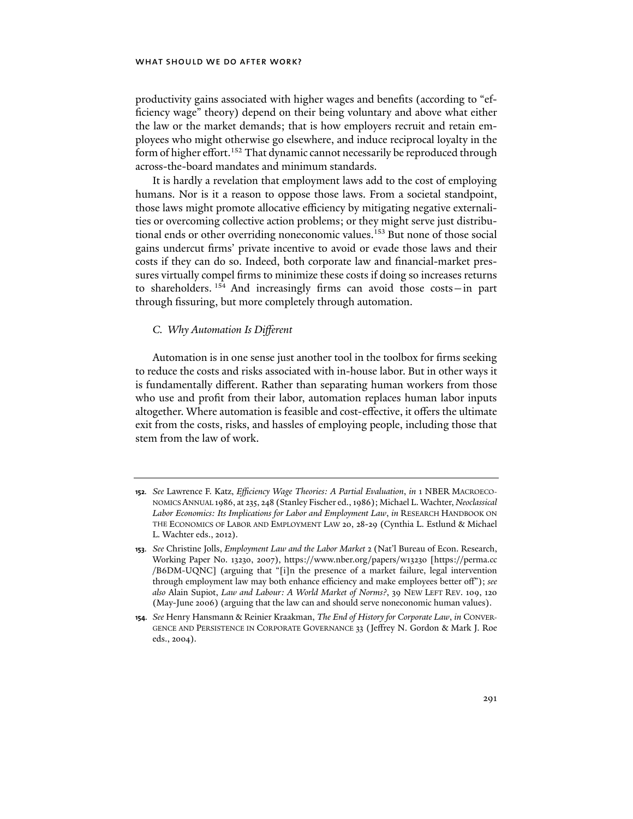productivity gains associated with higher wages and benefits (according to "efficiency wage" theory) depend on their being voluntary and above what either the law or the market demands; that is how employers recruit and retain employees who might otherwise go elsewhere, and induce reciprocal loyalty in the form of higher effort.<sup>152</sup> That dynamic cannot necessarily be reproduced through across-the-board mandates and minimum standards.

It is hardly a revelation that employment laws add to the cost of employing humans. Nor is it a reason to oppose those laws. From a societal standpoint, those laws might promote allocative efficiency by mitigating negative externalities or overcoming collective action problems; or they might serve just distributional ends or other overriding noneconomic values.153 But none of those social gains undercut firms' private incentive to avoid or evade those laws and their costs if they can do so. Indeed, both corporate law and financial-market pressures virtually compel firms to minimize these costs if doing so increases returns to shareholders. 154 And increasingly firms can avoid those costs—in part through fissuring, but more completely through automation.

### *C. Why Automation Is Different*

Automation is in one sense just another tool in the toolbox for firms seeking to reduce the costs and risks associated with in-house labor. But in other ways it is fundamentally different. Rather than separating human workers from those who use and profit from their labor, automation replaces human labor inputs altogether. Where automation is feasible and cost-effective, it offers the ultimate exit from the costs, risks, and hassles of employing people, including those that stem from the law of work.

**<sup>152</sup>***. See* Lawrence F. Katz, *Efficiency Wage Theories: A Partial Evaluation*, *in* 1 NBER MACROECO-NOMICS ANNUAL 1986, at 235, 248 (Stanley Fischer ed., 1986); Michael L. Wachter, *Neoclassical Labor Economics: Its Implications for Labor and Employment Law*, *in* RESEARCH HANDBOOK ON THE ECONOMICS OF LABOR AND EMPLOYMENT LAW 20, 28-29 (Cynthia L. Estlund & Michael L. Wachter eds., 2012).

**<sup>153</sup>***. See* Christine Jolls, *Employment Law and the Labor Market* 2 (Nat'l Bureau of Econ. Research, Working Paper No. 13230, 2007), https://www.nber.org/papers/w13230 [https://perma.cc /B6DM-UQNC] (arguing that "[i]n the presence of a market failure, legal intervention through employment law may both enhance efficiency and make employees better off"); *see also* Alain Supiot, *Law and Labour: A World Market of Norms?*, 39 NEW LEFT REV. 109, 120 (May-June 2006) (arguing that the law can and should serve noneconomic human values).

**<sup>154</sup>***. See* Henry Hansmann & Reinier Kraakman, *The End of History for Corporate Law*, *in* CONVER-GENCE AND PERSISTENCE IN CORPORATE GOVERNANCE 33 (Jeffrey N. Gordon & Mark J. Roe eds., 2004).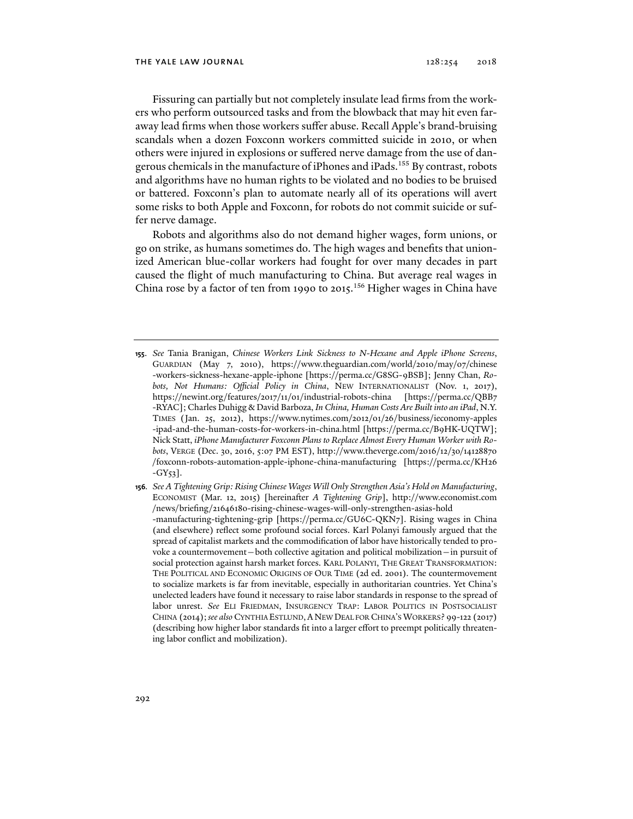Fissuring can partially but not completely insulate lead firms from the workers who perform outsourced tasks and from the blowback that may hit even faraway lead firms when those workers suffer abuse. Recall Apple's brand-bruising scandals when a dozen Foxconn workers committed suicide in 2010, or when others were injured in explosions or suffered nerve damage from the use of dangerous chemicals in the manufacture of iPhones and iPads.<sup>155</sup> By contrast, robots and algorithms have no human rights to be violated and no bodies to be bruised or battered. Foxconn's plan to automate nearly all of its operations will avert some risks to both Apple and Foxconn, for robots do not commit suicide or suffer nerve damage.

Robots and algorithms also do not demand higher wages, form unions, or go on strike, as humans sometimes do. The high wages and benefits that unionized American blue-collar workers had fought for over many decades in part caused the flight of much manufacturing to China. But average real wages in China rose by a factor of ten from 1990 to 2015.<sup>156</sup> Higher wages in China have

- **155**. *See* Tania Branigan, *Chinese Workers Link Sickness to N-Hexane and Apple iPhone Screens*, GUARDIAN (May 7, 2010), https://www.theguardian.com/world/2010/may/07/chinese -workers-sickness-hexane-apple-iphone [https://perma.cc/G8SG-9BSB]; Jenny Chan, *Robots, Not Humans: Official Policy in China*, NEW INTERNATIONALIST (Nov. 1, 2017), https://newint.org/features/2017/11/01/industrial-robots-china [https://perma.cc/QBB7 -RYAC]; Charles Duhigg & David Barboza, *In China, Human Costs Are Built into an iPad*, N.Y. TIMES (Jan. 25, 2012), https://www.nytimes.com/2012/01/26/business/ieconomy-apples -ipad-and-the-human-costs-for-workers-in-china.html [https://perma.cc/B9HK-UQTW]; Nick Statt, *iPhone Manufacturer Foxconn Plans to Replace Almost Every Human Worker with Robots*, VERGE (Dec. 30, 2016, 5:07 PM EST), http://www.theverge.com/2016/12/30/14128870 /foxconn-robots-automation-apple-iphone-china-manufacturing [https://perma.cc/KH26  $-GY_{53}$ ].
- **156***. See A Tightening Grip: Rising Chinese Wages Will Only Strengthen Asia's Hold on Manufacturing*, ECONOMIST (Mar. 12, 2015) [hereinafter *A Tightening Grip*], http://www.economist.com /news/briefing/21646180-rising-chinese-wages-will-only-strengthen-asias-hold -manufacturing-tightening-grip [https://perma.cc/GU6C-QKN7]. Rising wages in China (and elsewhere) reflect some profound social forces. Karl Polanyi famously argued that the spread of capitalist markets and the commodification of labor have historically tended to provoke a countermovement—both collective agitation and political mobilization—in pursuit of social protection against harsh market forces. KARL POLANYI, THE GREAT TRANSFORMATION: THE POLITICAL AND ECONOMIC ORIGINS OF OUR TIME (2d ed. 2001). The countermovement to socialize markets is far from inevitable, especially in authoritarian countries. Yet China's unelected leaders have found it necessary to raise labor standards in response to the spread of labor unrest. *See* ELI FRIEDMAN, INSURGENCY TRAP: LABOR POLITICS IN POSTSOCIALIST CHINA (2014);*see also* CYNTHIA ESTLUND,ANEW DEAL FOR CHINA'S WORKERS? 99-122 (2017) (describing how higher labor standards fit into a larger effort to preempt politically threatening labor conflict and mobilization).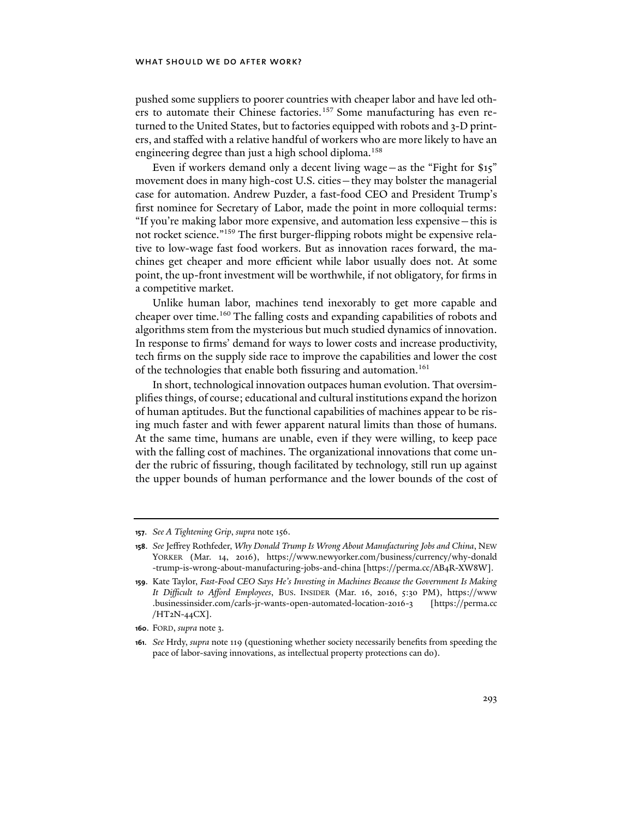pushed some suppliers to poorer countries with cheaper labor and have led others to automate their Chinese factories.<sup>157</sup> Some manufacturing has even returned to the United States, but to factories equipped with robots and 3-D printers, and staffed with a relative handful of workers who are more likely to have an engineering degree than just a high school diploma.<sup>158</sup>

Even if workers demand only a decent living wage—as the "Fight for \$15" movement does in many high-cost U.S. cities—they may bolster the managerial case for automation. Andrew Puzder, a fast-food CEO and President Trump's first nominee for Secretary of Labor, made the point in more colloquial terms: "If you're making labor more expensive, and automation less expensive—this is not rocket science."159 The first burger-flipping robots might be expensive relative to low-wage fast food workers. But as innovation races forward, the machines get cheaper and more efficient while labor usually does not. At some point, the up-front investment will be worthwhile, if not obligatory, for firms in a competitive market.

Unlike human labor, machines tend inexorably to get more capable and cheaper over time.<sup>160</sup> The falling costs and expanding capabilities of robots and algorithms stem from the mysterious but much studied dynamics of innovation. In response to firms' demand for ways to lower costs and increase productivity, tech firms on the supply side race to improve the capabilities and lower the cost of the technologies that enable both fissuring and automation.<sup>161</sup>

In short, technological innovation outpaces human evolution. That oversimplifies things, of course; educational and cultural institutions expand the horizon of human aptitudes. But the functional capabilities of machines appear to be rising much faster and with fewer apparent natural limits than those of humans. At the same time, humans are unable, even if they were willing, to keep pace with the falling cost of machines. The organizational innovations that come under the rubric of fissuring, though facilitated by technology, still run up against the upper bounds of human performance and the lower bounds of the cost of

**<sup>157</sup>**. *See A Tightening Grip*, *supra* note 156.

**<sup>158</sup>**. *See* Jeffrey Rothfeder, *Why Donald Trump Is Wrong About Manufacturing Jobs and China*, NEW YORKER (Mar. 14, 2016), https://www.newyorker.com/business/currency/why-donald -trump-is-wrong-about-manufacturing-jobs-and-china [https://perma.cc/AB4R-XW8W].

**<sup>159</sup>**. Kate Taylor, *Fast-Food CEO Says He's Investing in Machines Because the Government Is Making It Difficult to Afford Employees*, BUS. INSIDER (Mar. 16, 2016, 5:30 PM), https://www .businessinsider.com/carls-jr-wants-open-automated-location-2016-3 [https://perma.cc /HT2N-44CX].

**<sup>160</sup>**. FORD, *supra* note 3.

**<sup>161</sup>***. See* Hrdy, *supra* note 119 (questioning whether society necessarily benefits from speeding the pace of labor-saving innovations, as intellectual property protections can do).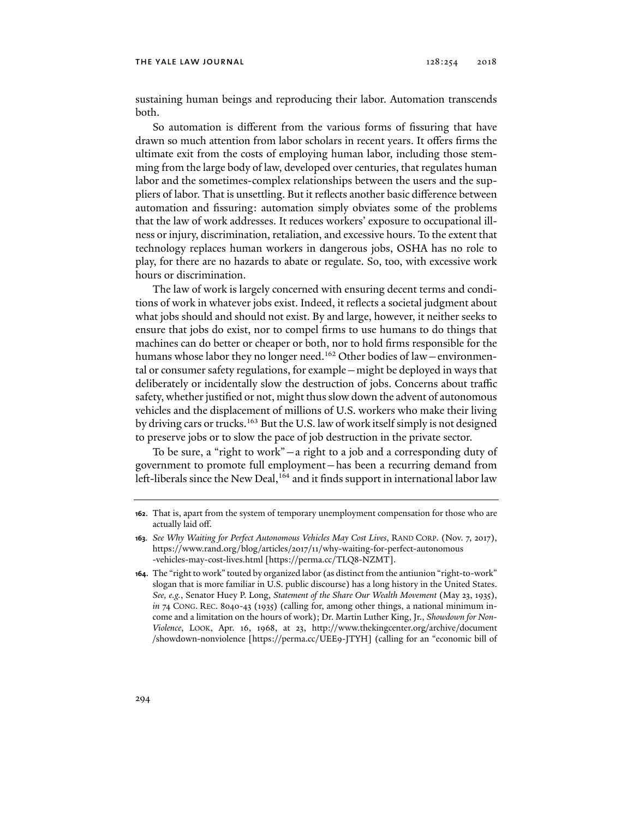sustaining human beings and reproducing their labor. Automation transcends both.

So automation is different from the various forms of fissuring that have drawn so much attention from labor scholars in recent years. It offers firms the ultimate exit from the costs of employing human labor, including those stemming from the large body of law, developed over centuries, that regulates human labor and the sometimes-complex relationships between the users and the suppliers of labor. That is unsettling. But it reflects another basic difference between automation and fissuring: automation simply obviates some of the problems that the law of work addresses. It reduces workers' exposure to occupational illness or injury, discrimination, retaliation, and excessive hours. To the extent that technology replaces human workers in dangerous jobs, OSHA has no role to play, for there are no hazards to abate or regulate. So, too, with excessive work hours or discrimination.

The law of work is largely concerned with ensuring decent terms and conditions of work in whatever jobs exist. Indeed, it reflects a societal judgment about what jobs should and should not exist. By and large, however, it neither seeks to ensure that jobs do exist, nor to compel firms to use humans to do things that machines can do better or cheaper or both, nor to hold firms responsible for the humans whose labor they no longer need.<sup>162</sup> Other bodies of law - environmental or consumer safety regulations, for example—might be deployed in ways that deliberately or incidentally slow the destruction of jobs. Concerns about traffic safety, whether justified or not, might thus slow down the advent of autonomous vehicles and the displacement of millions of U.S. workers who make their living by driving cars or trucks.<sup>163</sup> But the U.S. law of work itself simply is not designed to preserve jobs or to slow the pace of job destruction in the private sector.

To be sure, a "right to work"—a right to a job and a corresponding duty of government to promote full employment—has been a recurring demand from left-liberals since the New Deal,<sup>164</sup> and it finds support in international labor law

**<sup>162</sup>**. That is, apart from the system of temporary unemployment compensation for those who are actually laid off.

**<sup>163</sup>***. See Why Waiting for Perfect Autonomous Vehicles May Cost Lives*, RAND CORP. (Nov. 7, 2017), https://www.rand.org/blog/articles/2017/11/why-waiting-for-perfect-autonomous -vehicles-may-cost-lives.html [https://perma.cc/TLQ8-NZMT].

**<sup>164</sup>**. The "right to work" touted by organized labor (as distinct from the antiunion "right-to-work" slogan that is more familiar in U.S. public discourse) has a long history in the United States. *See, e.g.*, Senator Huey P. Long, *Statement of the Share Our Wealth Movement* (May 23, 1935), *in* 74 CONG. REC. 8040-43 (1935) (calling for, among other things, a national minimum income and a limitation on the hours of work); Dr. Martin Luther King, Jr., *Showdown for Non-Violence*, LOOK, Apr. 16, 1968, at 23, http://www.thekingcenter.org/archive/document /showdown-nonviolence [https://perma.cc/UEE9-JTYH] (calling for an "economic bill of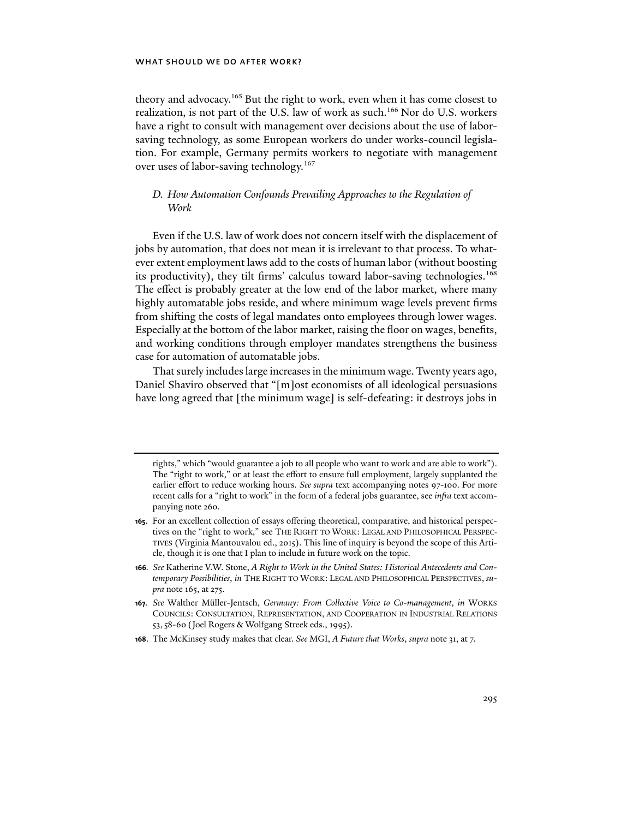theory and advocacy.<sup>165</sup> But the right to work, even when it has come closest to realization, is not part of the U.S. law of work as such.<sup>166</sup> Nor do U.S. workers have a right to consult with management over decisions about the use of laborsaving technology, as some European workers do under works-council legislation. For example, Germany permits workers to negotiate with management over uses of labor-saving technology.167

# *D. How Automation Confounds Prevailing Approaches to the Regulation of Work*

Even if the U.S. law of work does not concern itself with the displacement of jobs by automation, that does not mean it is irrelevant to that process. To whatever extent employment laws add to the costs of human labor (without boosting its productivity), they tilt firms' calculus toward labor-saving technologies.<sup>168</sup> The effect is probably greater at the low end of the labor market, where many highly automatable jobs reside, and where minimum wage levels prevent firms from shifting the costs of legal mandates onto employees through lower wages. Especially at the bottom of the labor market, raising the floor on wages, benefits, and working conditions through employer mandates strengthens the business case for automation of automatable jobs.

That surely includes large increases in the minimum wage. Twenty years ago, Daniel Shaviro observed that "[m]ost economists of all ideological persuasions have long agreed that [the minimum wage] is self-defeating: it destroys jobs in

**168**. The McKinsey study makes that clear. *See* MGI, *A Future that Works*, *supra* note 31, at 7.

rights," which "would guarantee a job to all people who want to work and are able to work"). The "right to work," or at least the effort to ensure full employment, largely supplanted the earlier effort to reduce working hours. *See supra* text accompanying notes 97-100. For more recent calls for a "right to work" in the form of a federal jobs guarantee, see *infra* text accompanying note 260.

**<sup>165</sup>**. For an excellent collection of essays offering theoretical, comparative, and historical perspectives on the "right to work," see THE RIGHT TO WORK: LEGAL AND PHILOSOPHICAL PERSPEC-TIVES (Virginia Mantouvalou ed., 2015). This line of inquiry is beyond the scope of this Article, though it is one that I plan to include in future work on the topic.

**<sup>166</sup>***. See* Katherine V.W. Stone, *A Right to Work in the United States: Historical Antecedents and Contemporary Possibilities*, *in* THE RIGHT TO WORK: LEGAL AND PHILOSOPHICAL PERSPECTIVES, *supra* note 165, at 275.

**<sup>167</sup>***. See* Walther Müller-Jentsch, *Germany: From Collective Voice to Co-management*, *in* WORKS COUNCILS: CONSULTATION, REPRESENTATION, AND COOPERATION IN INDUSTRIAL RELATIONS 53,58-60 (Joel Rogers & Wolfgang Streek eds., 1995).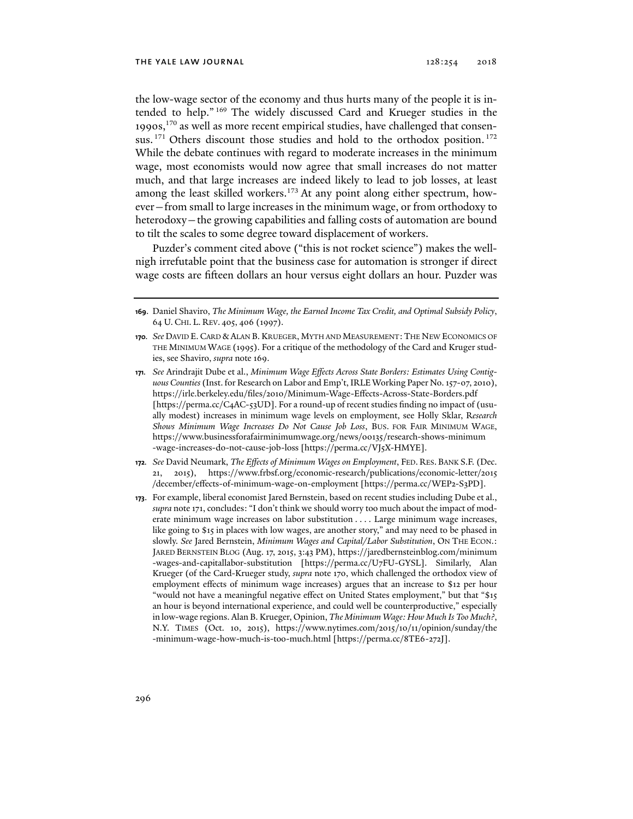the low-wage sector of the economy and thus hurts many of the people it is intended to help." 169 The widely discussed Card and Krueger studies in the 1990s,170 as well as more recent empirical studies, have challenged that consensus. <sup>171</sup> Others discount those studies and hold to the orthodox position. <sup>172</sup> While the debate continues with regard to moderate increases in the minimum wage, most economists would now agree that small increases do not matter much, and that large increases are indeed likely to lead to job losses, at least among the least skilled workers.<sup>173</sup> At any point along either spectrum, however—from small to large increases in the minimum wage, or from orthodoxy to heterodoxy—the growing capabilities and falling costs of automation are bound to tilt the scales to some degree toward displacement of workers.

Puzder's comment cited above ("this is not rocket science") makes the wellnigh irrefutable point that the business case for automation is stronger if direct wage costs are fifteen dollars an hour versus eight dollars an hour. Puzder was

- **172***. See* David Neumark, *The Effects of Minimum Wages on Employment*, FED. RES. BANK S.F. (Dec. 2015), https://www.frbsf.org/economic-research/publications/economic-letter/2015 /december/effects-of-minimum-wage-on-employment [https://perma.cc/WEP2-S3PD].
- **173**. For example, liberal economist Jared Bernstein, based on recent studies including Dube et al., *supra* note 171, concludes: "I don't think we should worry too much about the impact of moderate minimum wage increases on labor substitution . . . . Large minimum wage increases, like going to \$15 in places with low wages, are another story," and may need to be phased in slowly. *See* Jared Bernstein, *Minimum Wages and Capital/Labor Substitution*, ON THE ECON.: JARED BERNSTEIN BLOG (Aug. 17, 2015, 3:43 PM), https://jaredbernsteinblog.com/minimum -wages-and-capitallabor-substitution [https://perma.cc/U7FU-GYSL]. Similarly, Alan Krueger (of the Card-Krueger study, *supra* note 170, which challenged the orthodox view of employment effects of minimum wage increases) argues that an increase to \$12 per hour "would not have a meaningful negative effect on United States employment," but that "\$15 an hour is beyond international experience, and could well be counterproductive," especially in low-wage regions. Alan B. Krueger, Opinion, *The Minimum Wage: How Much Is Too Much?*, N.Y. TIMES (Oct. 10, 2015), https://www.nytimes.com/2015/10/11/opinion/sunday/the -minimum-wage-how-much-is-too-much.html [https://perma.cc/8TE6-272J].

**<sup>169</sup>**. Daniel Shaviro, *The Minimum Wage, the Earned Income Tax Credit, and Optimal Subsidy Policy*, 64 U. CHI. L. REV. 405, 406 (1997).

**<sup>170</sup>***. See* DAVID E. CARD & ALAN B. KRUEGER, MYTH AND MEASUREMENT:THE NEW ECONOMICS OF THE MINIMUM WAGE (1995). For a critique of the methodology of the Card and Kruger studies, see Shaviro, *supra* note 169.

**<sup>171</sup>***. See* Arindrajit Dube et al., *Minimum Wage Effects Across State Borders: Estimates Using Contiguous Counties* (Inst. for Research on Labor and Emp't, IRLE Working Paper No. 157-07, 2010), https://irle.berkeley.edu/files/2010/Minimum-Wage-Effects-Across-State-Borders.pdf [https://perma.cc/C4AC-53UD]. For a round-up of recent studies finding no impact of (usually modest) increases in minimum wage levels on employment, see Holly Sklar, R*esearch Shows Minimum Wage Increases Do Not Cause Job Loss*, BUS. FOR FAIR MINIMUM WAGE, https://www.businessforafairminimumwage.org/news/00135/research-shows-minimum -wage-increases-do-not-cause-job-loss [https://perma.cc/VJ5X-HMYE].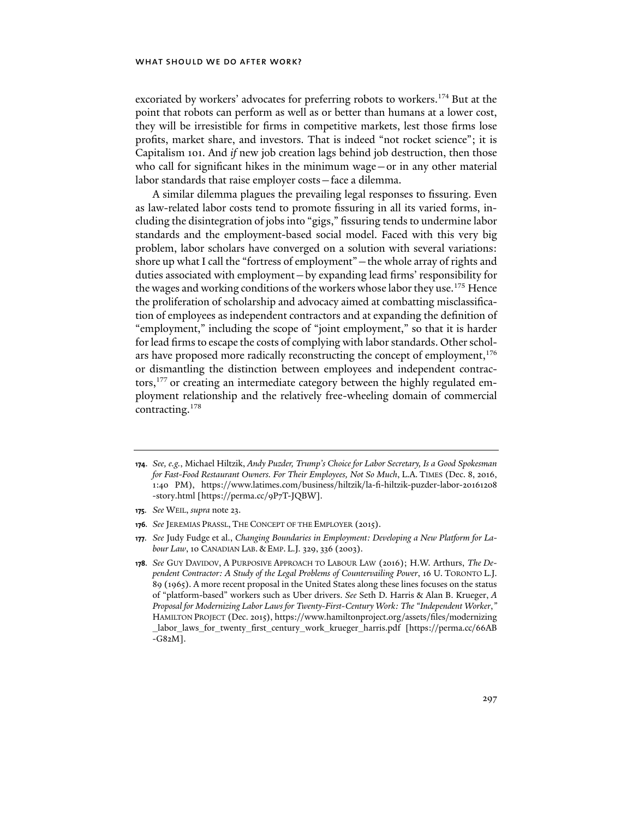excoriated by workers' advocates for preferring robots to workers.<sup>174</sup> But at the point that robots can perform as well as or better than humans at a lower cost, they will be irresistible for firms in competitive markets, lest those firms lose profits, market share, and investors. That is indeed "not rocket science"; it is Capitalism 101. And *if* new job creation lags behind job destruction, then those who call for significant hikes in the minimum wage—or in any other material labor standards that raise employer costs—face a dilemma.

A similar dilemma plagues the prevailing legal responses to fissuring. Even as law-related labor costs tend to promote fissuring in all its varied forms, including the disintegration of jobs into "gigs," fissuring tends to undermine labor standards and the employment-based social model. Faced with this very big problem, labor scholars have converged on a solution with several variations: shore up what I call the "fortress of employment"—the whole array of rights and duties associated with employment—by expanding lead firms' responsibility for the wages and working conditions of the workers whose labor they use.<sup>175</sup> Hence the proliferation of scholarship and advocacy aimed at combatting misclassification of employees as independent contractors and at expanding the definition of "employment," including the scope of "joint employment," so that it is harder for lead firms to escape the costs of complying with labor standards. Other scholars have proposed more radically reconstructing the concept of employment, $176$ or dismantling the distinction between employees and independent contractors,177 or creating an intermediate category between the highly regulated employment relationship and the relatively free-wheeling domain of commercial contracting.178

**<sup>174</sup>**. *See, e.g.*, Michael Hiltzik, *Andy Puzder, Trump's Choice for Labor Secretary, Is a Good Spokesman for Fast-Food Restaurant Owners. For Their Employees, Not So Much*, L.A. TIMES (Dec. 8, 2016, 1:40 PM), https://www.latimes.com/business/hiltzik/la-fi-hiltzik-puzder-labor-20161208 -story.html [https://perma.cc/9P7T-JQBW].

**<sup>175</sup>***. See* WEIL, *supra* note 23.

**<sup>176</sup>***. See* JEREMIAS PRASSL, THE CONCEPT OF THE EMPLOYER (2015).

**<sup>177</sup>***. See* Judy Fudge et al., *Changing Boundaries in Employment: Developing a New Platform for Labour Law*, 10 CANADIAN LAB. & EMP. L.J*.* 329, 336 (2003).

**<sup>178</sup>***. See* GUY DAVIDOV, A PURPOSIVE APPROACH TO LABOUR LAW (2016); H.W. Arthurs, *The Dependent Contractor: A Study of the Legal Problems of Countervailing Power*, 16 U. TORONTO L.J. 89 (1965). A more recent proposal in the United States along these lines focuses on the status of "platform-based" workers such as Uber drivers. *See* Seth D. Harris & Alan B. Krueger, *A Proposal for Modernizing Labor Laws for Twenty-First-Century Work: The "Independent Worker*,*"* HAMILTON PROJECT (Dec. 2015), https://www.hamiltonproject.org/assets/files/modernizing \_labor\_laws\_for\_twenty\_first\_century\_work\_krueger\_harris.pdf [https://perma.cc/66AB -G82M].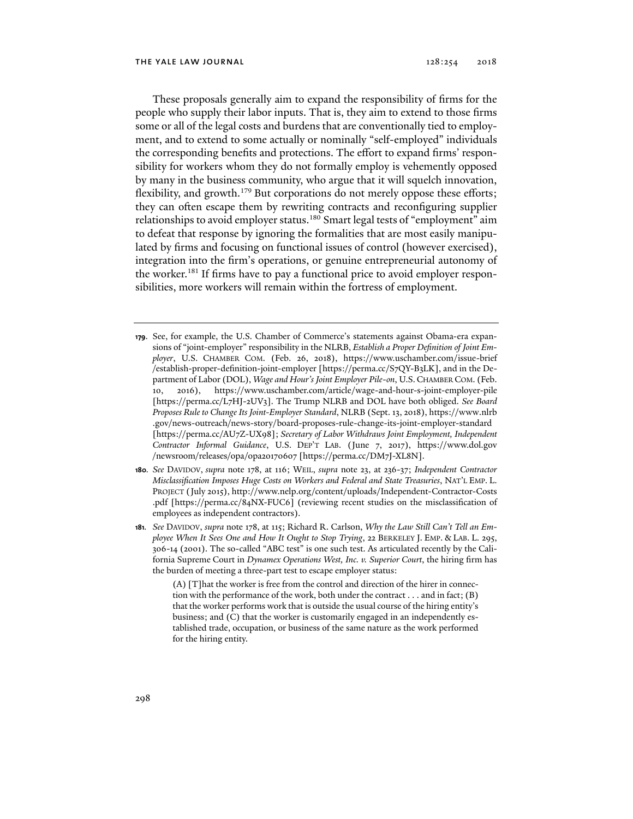These proposals generally aim to expand the responsibility of firms for the people who supply their labor inputs. That is, they aim to extend to those firms some or all of the legal costs and burdens that are conventionally tied to employment, and to extend to some actually or nominally "self-employed" individuals the corresponding benefits and protections. The effort to expand firms' responsibility for workers whom they do not formally employ is vehemently opposed by many in the business community, who argue that it will squelch innovation, flexibility, and growth.<sup>179</sup> But corporations do not merely oppose these efforts; they can often escape them by rewriting contracts and reconfiguring supplier relationships to avoid employer status.<sup>180</sup> Smart legal tests of "employment" aim to defeat that response by ignoring the formalities that are most easily manipulated by firms and focusing on functional issues of control (however exercised), integration into the firm's operations, or genuine entrepreneurial autonomy of the worker.<sup>181</sup> If firms have to pay a functional price to avoid employer responsibilities, more workers will remain within the fortress of employment.

- **179**. See, for example, the U.S. Chamber of Commerce's statements against Obama-era expansions of "joint-employer" responsibility in the NLRB, *Establish a Proper Definition of Joint Employer*, U.S. CHAMBER COM. (Feb. 26, 2018), https://www.uschamber.com/issue-brief /establish-proper-definition-joint-employer [https://perma.cc/S7QY-B3LK], and in the Department of Labor (DOL), *Wage and Hour's Joint Employer Pile-on*, U.S.CHAMBER COM. (Feb. 10, 2016), https://www.uschamber.com/article/wage-and-hour-s-joint-employer-pile [https://perma.cc/L7HJ-2UV3]. The Trump NLRB and DOL have both obliged. *See Board Proposes Rule to Change Its Joint-Employer Standard*, NLRB (Sept. 13, 2018), https://www.nlrb .gov/news-outreach/news-story/board-proposes-rule-change-its-joint-employer-standard [https://perma.cc/AU7Z-UX98]; *Secretary of Labor Withdraws Joint Employment, Independent Contractor Informal Guidance*, U.S. DEP'T LAB. (June 7, 2017), https://www.dol.gov /newsroom/releases/opa/opa20170607 [https://perma.cc/DM7J-XL8N].
- **180***. See* DAVIDOV, *supra* note 178, at 116; WEIL, *supra* note 23, at 236-37; *Independent Contractor Misclassification Imposes Huge Costs on Workers and Federal and State Treasuries*, NAT'L EMP. L. PROJECT (July 2015), http://www.nelp.org/content/uploads/Independent-Contractor-Costs .pdf [https://perma.cc/84NX-FUC6] (reviewing recent studies on the misclassification of employees as independent contractors).
- **181***. See* DAVIDOV, *supra* note 178, at 115; Richard R. Carlson, *Why the Law Still Can't Tell an Employee When It Sees One and How It Ought to Stop Trying*, 22 BERKELEY J. EMP. & LAB. L. 295, 306-14 (2001). The so-called "ABC test" is one such test. As articulated recently by the California Supreme Court in *Dynamex Operations West, Inc. v. Superior Court*, the hiring firm has the burden of meeting a three-part test to escape employer status:

(A) [T]hat the worker is free from the control and direction of the hirer in connection with the performance of the work, both under the contract . . . and in fact; (B) that the worker performs work that is outside the usual course of the hiring entity's business; and (C) that the worker is customarily engaged in an independently established trade, occupation, or business of the same nature as the work performed for the hiring entity.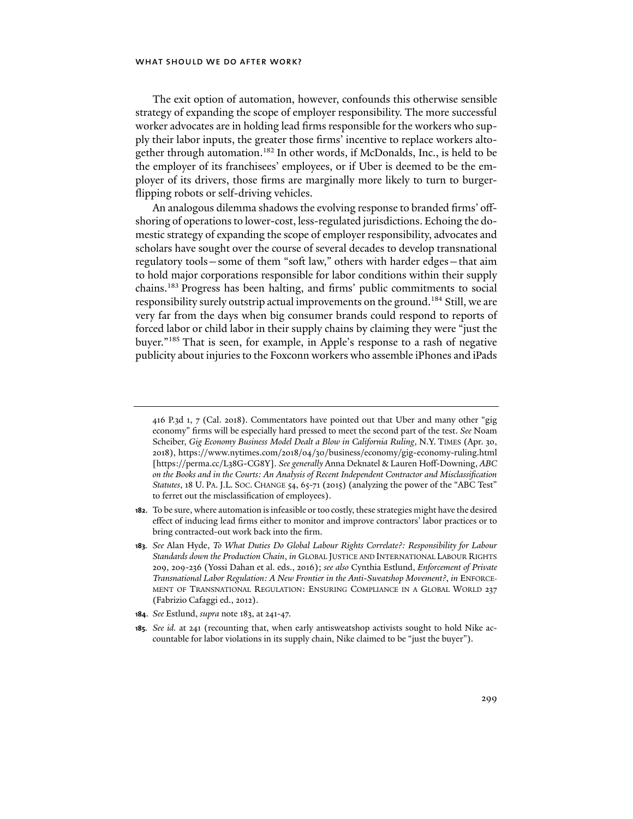The exit option of automation, however, confounds this otherwise sensible strategy of expanding the scope of employer responsibility. The more successful worker advocates are in holding lead firms responsible for the workers who supply their labor inputs, the greater those firms' incentive to replace workers altogether through automation.<sup>182</sup> In other words, if McDonalds, Inc., is held to be the employer of its franchisees' employees, or if Uber is deemed to be the employer of its drivers, those firms are marginally more likely to turn to burgerflipping robots or self-driving vehicles.

An analogous dilemma shadows the evolving response to branded firms' offshoring of operations to lower-cost, less-regulated jurisdictions. Echoing the domestic strategy of expanding the scope of employer responsibility, advocates and scholars have sought over the course of several decades to develop transnational regulatory tools—some of them "soft law," others with harder edges—that aim to hold major corporations responsible for labor conditions within their supply chains.183 Progress has been halting, and firms' public commitments to social responsibility surely outstrip actual improvements on the ground.<sup>184</sup> Still, we are very far from the days when big consumer brands could respond to reports of forced labor or child labor in their supply chains by claiming they were "just the buyer."185 That is seen, for example, in Apple's response to a rash of negative publicity about injuries to the Foxconn workers who assemble iPhones and iPads

**182**. To be sure, where automation is infeasible or too costly, these strategies might have the desired effect of inducing lead firms either to monitor and improve contractors' labor practices or to bring contracted-out work back into the firm.

- **184**. *See* Estlund, *supra* note 183, at 241-47.
- **185***. See id.* at 241 (recounting that, when early antisweatshop activists sought to hold Nike accountable for labor violations in its supply chain, Nike claimed to be "just the buyer").

<sup>416</sup> P.3d 1, 7 (Cal. 2018). Commentators have pointed out that Uber and many other "gig economy" firms will be especially hard pressed to meet the second part of the test. *See* Noam Scheiber, *Gig Economy Business Model Dealt a Blow in California Ruling*, N.Y. TIMES (Apr. 30, 2018), https://www.nytimes.com/2018/04/30/business/economy/gig-economy-ruling.html [https://perma.cc/L38G-CG8Y]. *See generally* Anna Deknatel & Lauren Hoff-Downing, *ABC on the Books and in the Courts: An Analysis of Recent Independent Contractor and Misclassification Statutes*, 18 U. PA. J.L. SOC. CHANGE 54, 65-71 (2015) (analyzing the power of the "ABC Test" to ferret out the misclassification of employees).

**<sup>183</sup>***. See* Alan Hyde, *To What Duties Do Global Labour Rights Correlate?: Responsibility for Labour Standards down the Production Chain*, *in* GLOBAL JUSTICE AND INTERNATIONAL LABOUR RIGHTS 209, 209-236 (Yossi Dahan et al. eds., 2016); *see also* Cynthia Estlund, *Enforcement of Private Transnational Labor Regulation: A New Frontier in the Anti-Sweatshop Movement?*, *in* ENFORCE-MENT OF TRANSNATIONAL REGULATION: ENSURING COMPLIANCE IN A GLOBAL WORLD 237 (Fabrizio Cafaggi ed., 2012).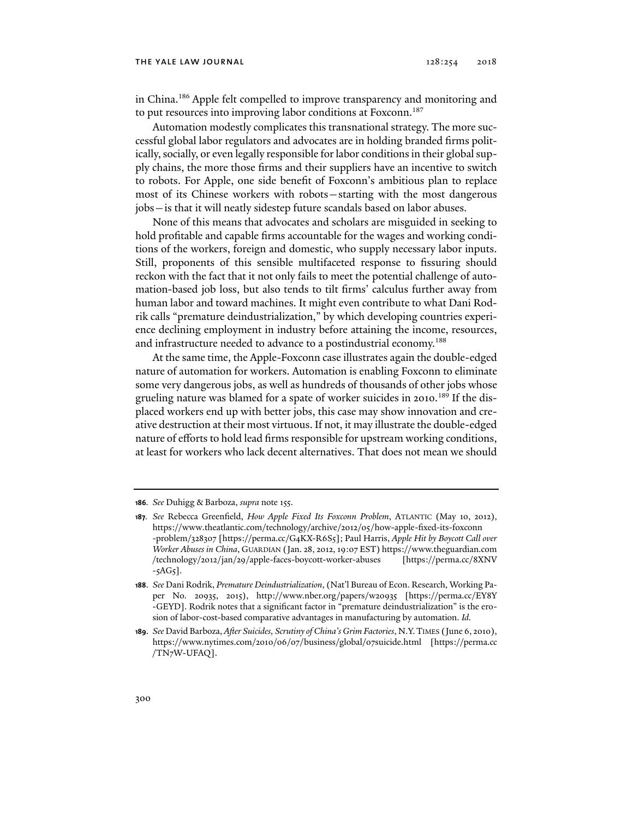#### THE YALE LAW JOURNAL  $128:254$   $2018$

in China.<sup>186</sup> Apple felt compelled to improve transparency and monitoring and to put resources into improving labor conditions at Foxconn.<sup>187</sup>

Automation modestly complicates this transnational strategy. The more successful global labor regulators and advocates are in holding branded firms politically, socially, or even legally responsible for labor conditions in their global supply chains, the more those firms and their suppliers have an incentive to switch to robots. For Apple, one side benefit of Foxconn's ambitious plan to replace most of its Chinese workers with robots—starting with the most dangerous jobs—is that it will neatly sidestep future scandals based on labor abuses.

None of this means that advocates and scholars are misguided in seeking to hold profitable and capable firms accountable for the wages and working conditions of the workers, foreign and domestic, who supply necessary labor inputs. Still, proponents of this sensible multifaceted response to fissuring should reckon with the fact that it not only fails to meet the potential challenge of automation-based job loss, but also tends to tilt firms' calculus further away from human labor and toward machines. It might even contribute to what Dani Rodrik calls "premature deindustrialization," by which developing countries experience declining employment in industry before attaining the income, resources, and infrastructure needed to advance to a postindustrial economy.<sup>188</sup>

At the same time, the Apple-Foxconn case illustrates again the double-edged nature of automation for workers. Automation is enabling Foxconn to eliminate some very dangerous jobs, as well as hundreds of thousands of other jobs whose grueling nature was blamed for a spate of worker suicides in 2010.<sup>189</sup> If the displaced workers end up with better jobs, this case may show innovation and creative destruction at their most virtuous. If not, it may illustrate the double-edged nature of efforts to hold lead firms responsible for upstream working conditions, at least for workers who lack decent alternatives. That does not mean we should

**<sup>186</sup>***. See* Duhigg & Barboza, *supra* note 155.

**<sup>187</sup>***. See* Rebecca Greenfield, *How Apple Fixed Its Foxconn Problem*, ATLANTIC (May 10, 2012), https://www.theatlantic.com/technology/archive/2012/05/how-apple-fixed-its-foxconn -problem/328307 [https://perma.cc/G4KX-R6S5]; Paul Harris, *Apple Hit by Boycott Call over Worker Abuses in China*, GUARDIAN (Jan. 28, 2012, 19:07 EST) https://www.theguardian.com /technology/2012/jan/29/apple-faces-boycott-worker-abuses [https://perma.cc/8XNV  $-5AG5$ ].

**<sup>188</sup>**. *See* Dani Rodrik, *Premature Deindustrialization*, (Nat'l Bureau of Econ. Research, Working Paper No. 20935, 2015), http://www.nber.org/papers/w20935 [https://perma.cc/EY8Y -GEYD]. Rodrik notes that a significant factor in "premature deindustrialization" is the erosion of labor-cost-based comparative advantages in manufacturing by automation. *Id.*

**<sup>189</sup>**. *See* David Barboza, *After Suicides, Scrutiny of China's Grim Factories*, N.Y.TIMES (June 6, 2010), https://www.nytimes.com/2010/06/07/business/global/07suicide.html [https://perma.cc /TN7W-UFAQ].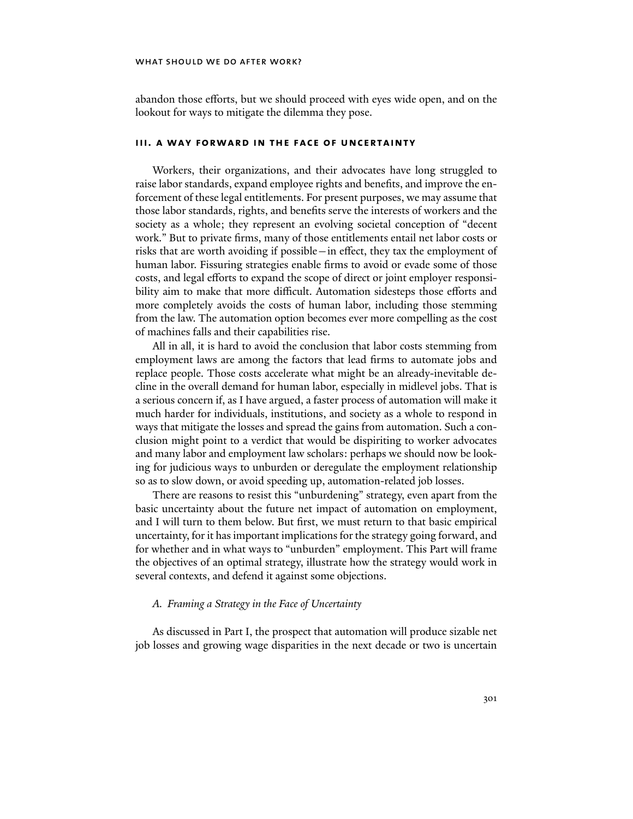abandon those efforts, but we should proceed with eyes wide open, and on the lookout for ways to mitigate the dilemma they pose.

## **iii. a way forward in the face of uncertainty**

Workers, their organizations, and their advocates have long struggled to raise labor standards, expand employee rights and benefits, and improve the enforcement of these legal entitlements. For present purposes, we may assume that those labor standards, rights, and benefits serve the interests of workers and the society as a whole; they represent an evolving societal conception of "decent work." But to private firms, many of those entitlements entail net labor costs or risks that are worth avoiding if possible—in effect, they tax the employment of human labor. Fissuring strategies enable firms to avoid or evade some of those costs, and legal efforts to expand the scope of direct or joint employer responsibility aim to make that more difficult. Automation sidesteps those efforts and more completely avoids the costs of human labor, including those stemming from the law. The automation option becomes ever more compelling as the cost of machines falls and their capabilities rise.

All in all, it is hard to avoid the conclusion that labor costs stemming from employment laws are among the factors that lead firms to automate jobs and replace people. Those costs accelerate what might be an already-inevitable decline in the overall demand for human labor, especially in midlevel jobs. That is a serious concern if, as I have argued, a faster process of automation will make it much harder for individuals, institutions, and society as a whole to respond in ways that mitigate the losses and spread the gains from automation. Such a conclusion might point to a verdict that would be dispiriting to worker advocates and many labor and employment law scholars: perhaps we should now be looking for judicious ways to unburden or deregulate the employment relationship so as to slow down, or avoid speeding up, automation-related job losses.

There are reasons to resist this "unburdening" strategy, even apart from the basic uncertainty about the future net impact of automation on employment, and I will turn to them below. But first, we must return to that basic empirical uncertainty, for it has important implications for the strategy going forward, and for whether and in what ways to "unburden" employment. This Part will frame the objectives of an optimal strategy, illustrate how the strategy would work in several contexts, and defend it against some objections.

### *A. Framing a Strategy in the Face of Uncertainty*

As discussed in Part I, the prospect that automation will produce sizable net job losses and growing wage disparities in the next decade or two is uncertain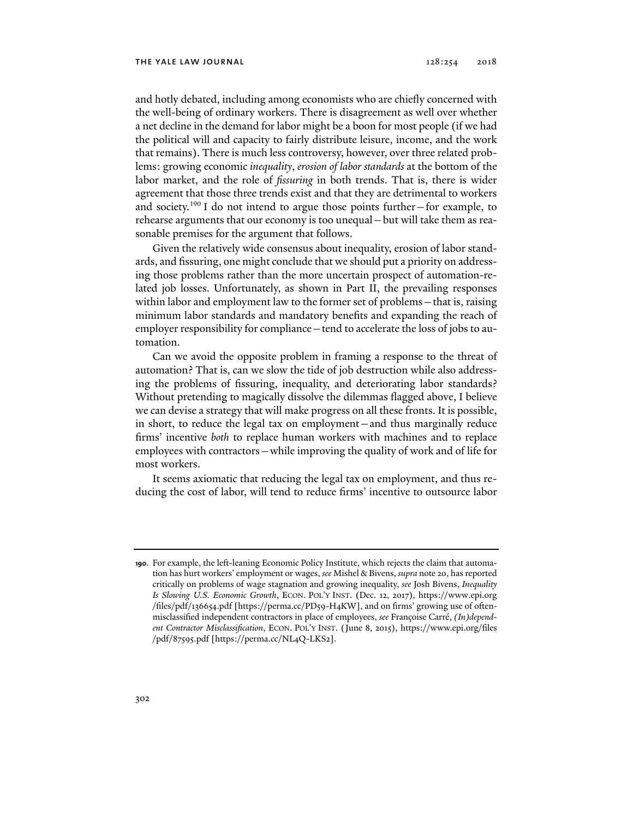and hotly debated, including among economists who are chiefly concerned with the well-being of ordinary workers. There is disagreement as well over whether a net decline in the demand for labor might be a boon for most people (if we had the political will and capacity to fairly distribute leisure, income, and the work that remains). There is much less controversy, however, over three related problems: growing economic *inequality*, *erosion of labor standards* at the bottom of the labor market, and the role of *fissuring* in both trends. That is, there is wider agreement that those three trends exist and that they are detrimental to workers and society.<sup>190</sup> I do not intend to argue those points further–for example, to rehearse arguments that our economy is too unequal—but will take them as reasonable premises for the argument that follows.

Given the relatively wide consensus about inequality, erosion of labor standards, and fissuring, one might conclude that we should put a priority on addressing those problems rather than the more uncertain prospect of automation-related job losses. Unfortunately, as shown in Part II, the prevailing responses within labor and employment law to the former set of problems—that is, raising minimum labor standards and mandatory benefits and expanding the reach of employer responsibility for compliance—tend to accelerate the loss of jobs to automation.

Can we avoid the opposite problem in framing a response to the threat of automation? That is, can we slow the tide of job destruction while also addressing the problems of fissuring, inequality, and deteriorating labor standards? Without pretending to magically dissolve the dilemmas flagged above, I believe we can devise a strategy that will make progress on all these fronts. It is possible, in short, to reduce the legal tax on employment—and thus marginally reduce firms' incentive *both* to replace human workers with machines and to replace employees with contractors—while improving the quality of work and of life for most workers.

It seems axiomatic that reducing the legal tax on employment, and thus reducing the cost of labor, will tend to reduce firms' incentive to outsource labor

**<sup>190</sup>**. For example, the left-leaning Economic Policy Institute, which rejects the claim that automation has hurt workers' employment or wages, *see* Mishel & Bivens, *supra* note 20, has reported critically on problems of wage stagnation and growing inequality, *see* Josh Bivens, *Inequality Is Slowing U.S. Economic Growth*, ECON. POL'Y INST. (Dec. 12, 2017), https://www.epi.org /files/pdf/136654.pdf [https://perma.cc/PD59-H4KW], and on firms' growing use of oftenmisclassified independent contractors in place of employees, *see* Françoise Carré, *(In)dependent Contractor Misclassification*, ECON. POL'Y INST. (June 8, 2015), https://www.epi.org/files /pdf/87595.pdf [https://perma.cc/NL4Q-LKS2].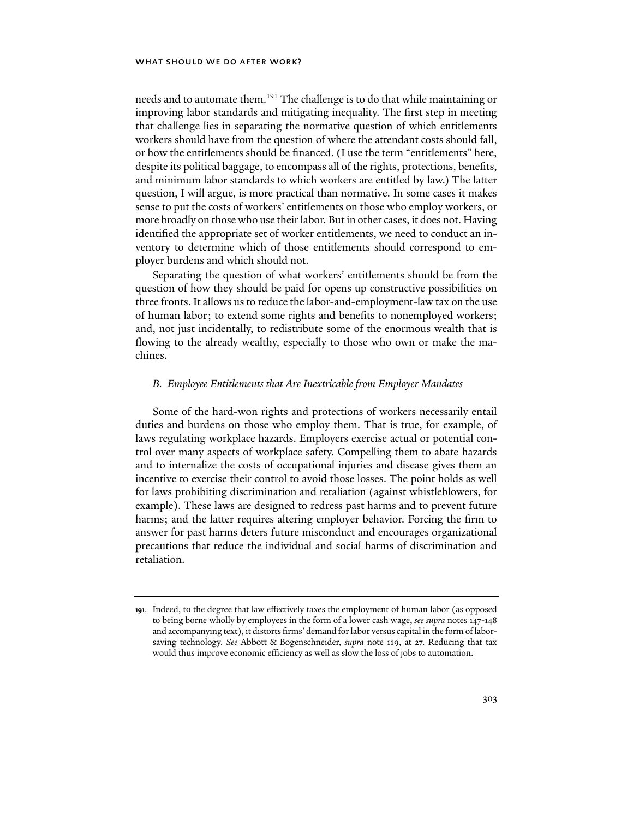needs and to automate them.<sup>191</sup> The challenge is to do that while maintaining or improving labor standards and mitigating inequality. The first step in meeting that challenge lies in separating the normative question of which entitlements workers should have from the question of where the attendant costs should fall, or how the entitlements should be financed. (I use the term "entitlements" here, despite its political baggage, to encompass all of the rights, protections, benefits, and minimum labor standards to which workers are entitled by law.) The latter question, I will argue, is more practical than normative. In some cases it makes sense to put the costs of workers' entitlements on those who employ workers, or more broadly on those who use their labor. But in other cases, it does not. Having identified the appropriate set of worker entitlements, we need to conduct an inventory to determine which of those entitlements should correspond to employer burdens and which should not.

Separating the question of what workers' entitlements should be from the question of how they should be paid for opens up constructive possibilities on three fronts. It allows us to reduce the labor-and-employment-law tax on the use of human labor; to extend some rights and benefits to nonemployed workers; and, not just incidentally, to redistribute some of the enormous wealth that is flowing to the already wealthy, especially to those who own or make the machines.

### *B. Employee Entitlements that Are Inextricable from Employer Mandates*

Some of the hard-won rights and protections of workers necessarily entail duties and burdens on those who employ them. That is true, for example, of laws regulating workplace hazards. Employers exercise actual or potential control over many aspects of workplace safety. Compelling them to abate hazards and to internalize the costs of occupational injuries and disease gives them an incentive to exercise their control to avoid those losses. The point holds as well for laws prohibiting discrimination and retaliation (against whistleblowers, for example). These laws are designed to redress past harms and to prevent future harms; and the latter requires altering employer behavior. Forcing the firm to answer for past harms deters future misconduct and encourages organizational precautions that reduce the individual and social harms of discrimination and retaliation.

**<sup>191</sup>**. Indeed, to the degree that law effectively taxes the employment of human labor (as opposed to being borne wholly by employees in the form of a lower cash wage, *see supra* notes 147-148 and accompanying text), it distorts firms' demand for labor versus capital in the form of laborsaving technology. *See* Abbott & Bogenschneider, *supra* note 119, at 27. Reducing that tax would thus improve economic efficiency as well as slow the loss of jobs to automation.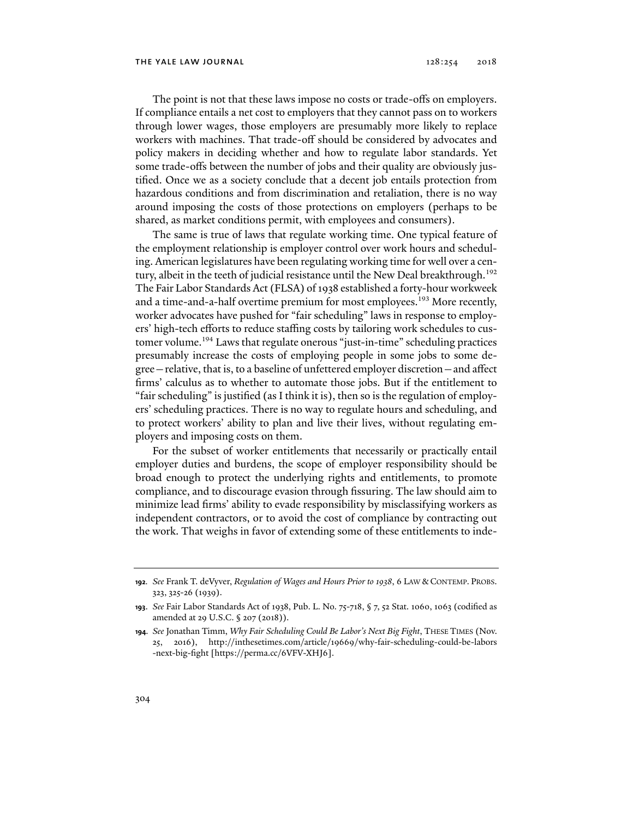The point is not that these laws impose no costs or trade-offs on employers. If compliance entails a net cost to employers that they cannot pass on to workers through lower wages, those employers are presumably more likely to replace workers with machines. That trade-off should be considered by advocates and policy makers in deciding whether and how to regulate labor standards. Yet some trade-offs between the number of jobs and their quality are obviously justified. Once we as a society conclude that a decent job entails protection from hazardous conditions and from discrimination and retaliation, there is no way around imposing the costs of those protections on employers (perhaps to be shared, as market conditions permit, with employees and consumers).

The same is true of laws that regulate working time. One typical feature of the employment relationship is employer control over work hours and scheduling. American legislatures have been regulating working time for well over a century, albeit in the teeth of judicial resistance until the New Deal breakthrough.<sup>192</sup> The Fair Labor Standards Act (FLSA) of 1938 established a forty-hour workweek and a time-and-a-half overtime premium for most employees.<sup>193</sup> More recently, worker advocates have pushed for "fair scheduling" laws in response to employers' high-tech efforts to reduce staffing costs by tailoring work schedules to customer volume.<sup>194</sup> Laws that regulate onerous "just-in-time" scheduling practices presumably increase the costs of employing people in some jobs to some degree—relative, that is, to a baseline of unfettered employer discretion—and affect firms' calculus as to whether to automate those jobs. But if the entitlement to "fair scheduling" is justified (as I think it is), then so is the regulation of employers' scheduling practices. There is no way to regulate hours and scheduling, and to protect workers' ability to plan and live their lives, without regulating employers and imposing costs on them.

For the subset of worker entitlements that necessarily or practically entail employer duties and burdens, the scope of employer responsibility should be broad enough to protect the underlying rights and entitlements, to promote compliance, and to discourage evasion through fissuring. The law should aim to minimize lead firms' ability to evade responsibility by misclassifying workers as independent contractors, or to avoid the cost of compliance by contracting out the work. That weighs in favor of extending some of these entitlements to inde-

**<sup>192</sup>***. See* Frank T. deVyver, *Regulation of Wages and Hours Prior to 1938*, 6 LAW & CONTEMP. PROBS. 323, 325-26 (1939).

**<sup>193</sup>**. *See* Fair Labor Standards Act of 1938, Pub. L. No. 75-718, § 7, 52 Stat. 1060, 1063 (codified as amended at 29 U.S.C. § 207 (2018)).

**<sup>194</sup>***. See* Jonathan Timm, *Why Fair Scheduling Could Be Labor's Next Big Fight*, THESE TIMES (Nov. 25, 2016), http://inthesetimes.com/article/19669/why-fair-scheduling-could-be-labors -next-big-fight [https://perma.cc/6VFV-XHJ6].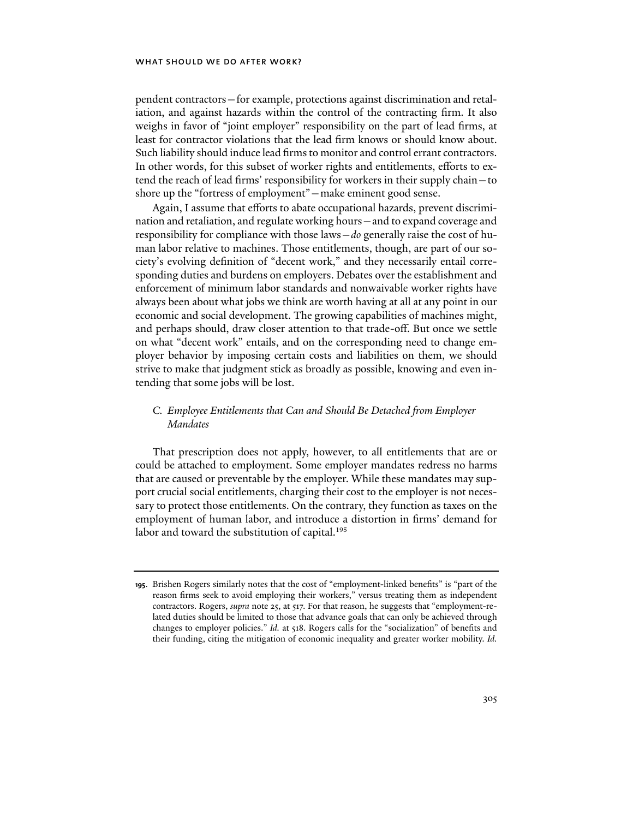pendent contractors—for example, protections against discrimination and retaliation, and against hazards within the control of the contracting firm. It also weighs in favor of "joint employer" responsibility on the part of lead firms, at least for contractor violations that the lead firm knows or should know about. Such liability should induce lead firms to monitor and control errant contractors. In other words, for this subset of worker rights and entitlements, efforts to extend the reach of lead firms' responsibility for workers in their supply chain—to shore up the "fortress of employment"—make eminent good sense.

Again, I assume that efforts to abate occupational hazards, prevent discrimination and retaliation, and regulate working hours—and to expand coverage and responsibility for compliance with those laws—*do* generally raise the cost of human labor relative to machines. Those entitlements, though, are part of our society's evolving definition of "decent work," and they necessarily entail corresponding duties and burdens on employers. Debates over the establishment and enforcement of minimum labor standards and nonwaivable worker rights have always been about what jobs we think are worth having at all at any point in our economic and social development. The growing capabilities of machines might, and perhaps should, draw closer attention to that trade-off. But once we settle on what "decent work" entails, and on the corresponding need to change employer behavior by imposing certain costs and liabilities on them, we should strive to make that judgment stick as broadly as possible, knowing and even intending that some jobs will be lost.

# *C. Employee Entitlements that Can and Should Be Detached from Employer Mandates*

That prescription does not apply, however, to all entitlements that are or could be attached to employment. Some employer mandates redress no harms that are caused or preventable by the employer. While these mandates may support crucial social entitlements, charging their cost to the employer is not necessary to protect those entitlements. On the contrary, they function as taxes on the employment of human labor, and introduce a distortion in firms' demand for labor and toward the substitution of capital.<sup>195</sup>

**<sup>195</sup>**. Brishen Rogers similarly notes that the cost of "employment-linked benefits" is "part of the reason firms seek to avoid employing their workers," versus treating them as independent contractors. Rogers, *supra* note 25, at 517. For that reason, he suggests that "employment-related duties should be limited to those that advance goals that can only be achieved through changes to employer policies." *Id.* at 518. Rogers calls for the "socialization" of benefits and their funding, citing the mitigation of economic inequality and greater worker mobility. *Id.*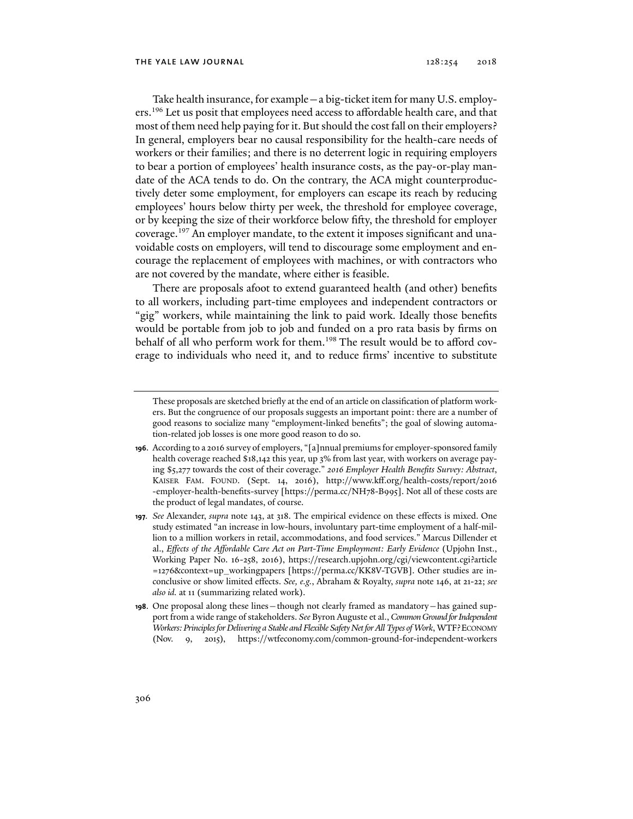Take health insurance, for example—a big-ticket item for many U.S. employers.<sup>196</sup> Let us posit that employees need access to affordable health care, and that most of them need help paying for it. But should the cost fall on their employers? In general, employers bear no causal responsibility for the health-care needs of workers or their families; and there is no deterrent logic in requiring employers to bear a portion of employees' health insurance costs, as the pay-or-play mandate of the ACA tends to do. On the contrary, the ACA might counterproductively deter some employment, for employers can escape its reach by reducing employees' hours below thirty per week, the threshold for employee coverage, or by keeping the size of their workforce below fifty, the threshold for employer coverage.<sup>197</sup> An employer mandate, to the extent it imposes significant and unavoidable costs on employers, will tend to discourage some employment and encourage the replacement of employees with machines, or with contractors who are not covered by the mandate, where either is feasible.

There are proposals afoot to extend guaranteed health (and other) benefits to all workers, including part-time employees and independent contractors or "gig" workers, while maintaining the link to paid work. Ideally those benefits would be portable from job to job and funded on a pro rata basis by firms on behalf of all who perform work for them.<sup>198</sup> The result would be to afford coverage to individuals who need it, and to reduce firms' incentive to substitute

These proposals are sketched briefly at the end of an article on classification of platform workers. But the congruence of our proposals suggests an important point: there are a number of good reasons to socialize many "employment-linked benefits"; the goal of slowing automation-related job losses is one more good reason to do so.

**<sup>196</sup>**. According to a 2016 survey of employers, "[a]nnual premiums for employer-sponsored family health coverage reached \$18,142 this year, up 3% from last year, with workers on average paying \$5,277 towards the cost of their coverage." *2016 Employer Health Benefits Survey: Abstract*, KAISER FAM. FOUND. (Sept. 14, 2016), http://www.kff.org/health-costs/report/2016 -employer-health-benefits-survey [https://perma.cc/NH78-B995]. Not all of these costs are the product of legal mandates, of course.

**<sup>197</sup>***. See* Alexander, *supra* note 143, at 318. The empirical evidence on these effects is mixed. One study estimated "an increase in low-hours, involuntary part-time employment of a half-million to a million workers in retail, accommodations, and food services." Marcus Dillender et al., *Effects of the Affordable Care Act on Part-Time Employment: Early Evidence* (Upjohn Inst., Working Paper No. 16-258, 2016), https://research.upjohn.org/cgi/viewcontent.cgi?article =1276&context=up\_workingpapers [https://perma.cc/KK8V-TGVB]. Other studies are inconclusive or show limited effects. *See, e.g.*, Abraham & Royalty, *supra* note 146, at 21-22; *see also id.* at 11 (summarizing related work).

**<sup>198</sup>**. One proposal along these lines—though not clearly framed as mandatory—has gained support from a wide range of stakeholders. *See* Byron Auguste et al., *Common Ground for Independent Workers: Principles for Delivering a Stable and Flexible Safety Net for All Types of Work*, WTF?ECONOMY (Nov. 9, 2015), https://wtfeconomy.com/common-ground-for-independent-workers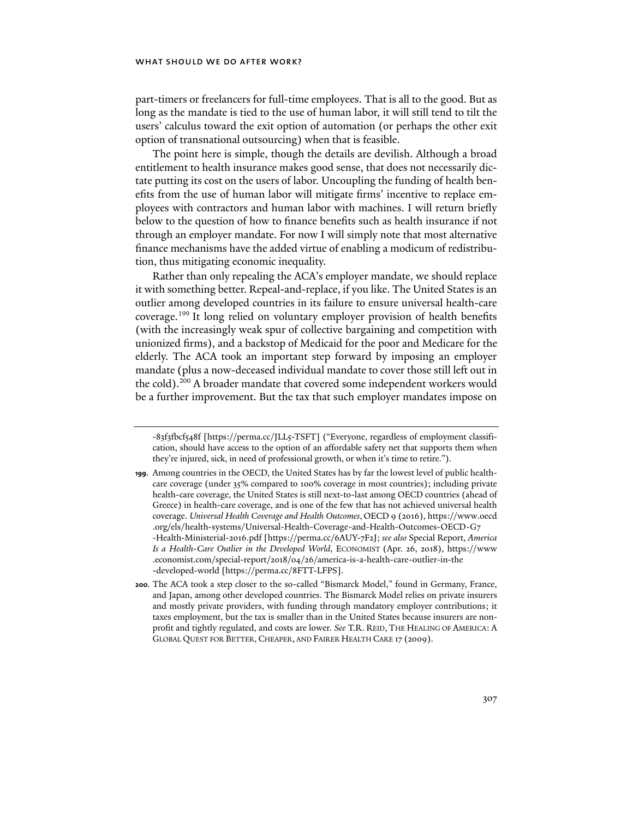part-timers or freelancers for full-time employees. That is all to the good. But as long as the mandate is tied to the use of human labor, it will still tend to tilt the users' calculus toward the exit option of automation (or perhaps the other exit option of transnational outsourcing) when that is feasible.

The point here is simple, though the details are devilish. Although a broad entitlement to health insurance makes good sense, that does not necessarily dictate putting its cost on the users of labor. Uncoupling the funding of health benefits from the use of human labor will mitigate firms' incentive to replace employees with contractors and human labor with machines. I will return briefly below to the question of how to finance benefits such as health insurance if not through an employer mandate. For now I will simply note that most alternative finance mechanisms have the added virtue of enabling a modicum of redistribution, thus mitigating economic inequality.

Rather than only repealing the ACA's employer mandate, we should replace it with something better. Repeal-and-replace, if you like. The United States is an outlier among developed countries in its failure to ensure universal health-care coverage.<sup>199</sup> It long relied on voluntary employer provision of health benefits (with the increasingly weak spur of collective bargaining and competition with unionized firms), and a backstop of Medicaid for the poor and Medicare for the elderly. The ACA took an important step forward by imposing an employer mandate (plus a now-deceased individual mandate to cover those still left out in the cold).<sup>200</sup> A broader mandate that covered some independent workers would be a further improvement. But the tax that such employer mandates impose on

<sup>-83</sup>f3fbcf548f [https://perma.cc/JLL5-TSFT] ("Everyone, regardless of employment classification, should have access to the option of an affordable safety net that supports them when they're injured, sick, in need of professional growth, or when it's time to retire.").

**<sup>199</sup>**. Among countries in the OECD, the United States has by far the lowest level of public healthcare coverage (under 35% compared to 100% coverage in most countries); including private health-care coverage, the United States is still next-to-last among OECD countries (ahead of Greece) in health-care coverage, and is one of the few that has not achieved universal health coverage. *Universal Health Coverage and Health Outcomes*, OECD 9 (2016), https://www.oecd .org/els/health-systems/Universal-Health-Coverage-and-Health-Outcomes-OECD-G7 -Health-Ministerial-2016.pdf [https://perma.cc/6AUY-7F2J; *see also* Special Report, *America Is a Health-Care Outlier in the Developed World*, ECONOMIST (Apr. 26, 2018), https://www .economist.com/special-report/2018/04/26/america-is-a-health-care-outlier-in-the -developed-world [https://perma.cc/8FTT-LFPS].

**<sup>200</sup>**. The ACA took a step closer to the so-called "Bismarck Model," found in Germany, France, and Japan, among other developed countries. The Bismarck Model relies on private insurers and mostly private providers, with funding through mandatory employer contributions; it taxes employment, but the tax is smaller than in the United States because insurers are nonprofit and tightly regulated, and costs are lower. *See* T.R. REID, THE HEALING OF AMERICA: A GLOBAL QUEST FOR BETTER, CHEAPER, AND FAIRER HEALTH CARE 17 (2009).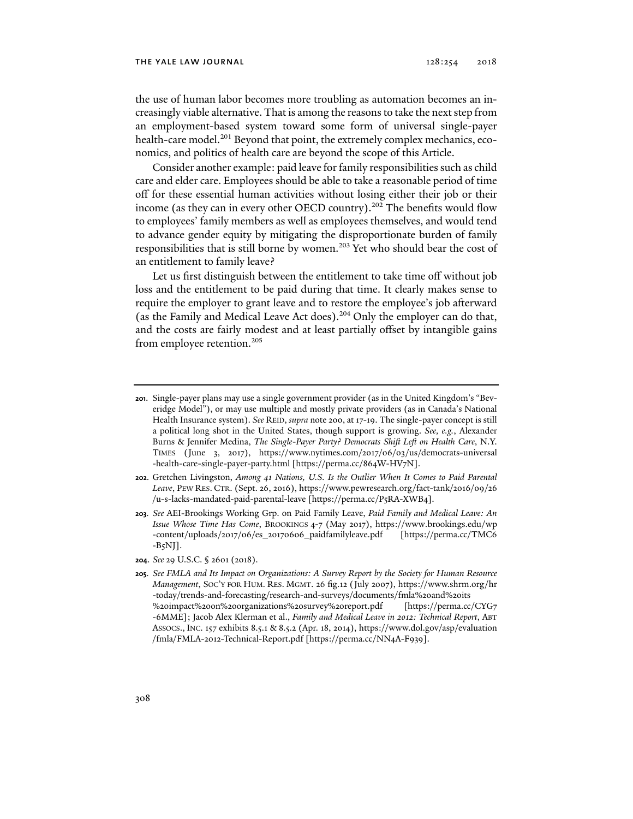the use of human labor becomes more troubling as automation becomes an increasingly viable alternative. That is among the reasons to take the next step from an employment-based system toward some form of universal single-payer health-care model.<sup>201</sup> Beyond that point, the extremely complex mechanics, economics, and politics of health care are beyond the scope of this Article.

Consider another example: paid leave for family responsibilities such as child care and elder care. Employees should be able to take a reasonable period of time off for these essential human activities without losing either their job or their income (as they can in every other OECD country).<sup>202</sup> The benefits would flow to employees' family members as well as employees themselves, and would tend to advance gender equity by mitigating the disproportionate burden of family responsibilities that is still borne by women.<sup>203</sup> Yet who should bear the cost of an entitlement to family leave?

Let us first distinguish between the entitlement to take time off without job loss and the entitlement to be paid during that time. It clearly makes sense to require the employer to grant leave and to restore the employee's job afterward (as the Family and Medical Leave Act does).204 Only the employer can do that, and the costs are fairly modest and at least partially offset by intangible gains from employee retention.205

**202**. Gretchen Livingston, *Among 41 Nations, U.S. Is the Outlier When It Comes to Paid Parental Leave*, PEW RES. CTR. (Sept. 26, 2016), https://www.pewresearch.org/fact-tank/2016/09/26 /u-s-lacks-mandated-paid-parental-leave [https://perma.cc/P5RA-XWB4].

**203***. See* AEI-Brookings Working Grp. on Paid Family Leave, *Paid Family and Medical Leave: An Issue Whose Time Has Come*, BROOKINGS 4-7 (May 2017), https://www.brookings.edu/wp -content/uploads/2017/06/es\_20170606\_paidfamilyleave.pdf [https://perma.cc/TMC6  $-B<sub>5</sub>NJ$ ].

**204**. *See* 29 U.S.C. § 2601 (2018).

**<sup>201</sup>**. Single-payer plans may use a single government provider (as in the United Kingdom's "Beveridge Model"), or may use multiple and mostly private providers (as in Canada's National Health Insurance system). *See* REID, *supra* note 200, at 17-19. The single-payer concept is still a political long shot in the United States, though support is growing. *See, e.g.*, Alexander Burns & Jennifer Medina, *The Single-Payer Party? Democrats Shift Left on Health Care*, N.Y. TIMES (June 3, 2017), https://www.nytimes.com/2017/06/03/us/democrats-universal -health-care-single-payer-party.html [https://perma.cc/864W-HV7N].

**<sup>205</sup>***. See FMLA and Its Impact on Organizations: A Survey Report by the Society for Human Resource Management*, SOC'Y FOR HUM. RES. MGMT. 26 fig.12 (July 2007), https://www.shrm.org/hr -today/trends-and-forecasting/research-and-surveys/documents/fmla%20and%20its %20impact%20on%20organizations%20survey%20report.pdf [https://perma.cc/CYG7 -6MME]; Jacob Alex Klerman et al., *Family and Medical Leave in 2012: Technical Report*, ABT ASSOCS., INC. 157 exhibits 8.5.1 & 8.5.2 (Apr. 18, 2014), https://www.dol.gov/asp/evaluation /fmla/FMLA-2012-Technical-Report.pdf [https://perma.cc/NN4A-F939].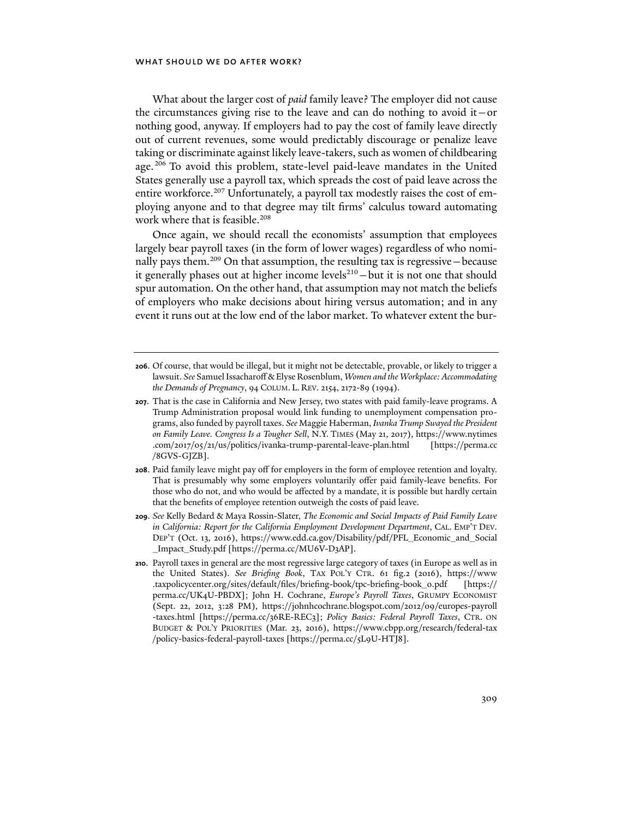What about the larger cost of *paid* family leave? The employer did not cause the circumstances giving rise to the leave and can do nothing to avoid it—or nothing good, anyway. If employers had to pay the cost of family leave directly out of current revenues, some would predictably discourage or penalize leave taking or discriminate against likely leave-takers, such as women of childbearing age.206 To avoid this problem, state-level paid-leave mandates in the United States generally use a payroll tax, which spreads the cost of paid leave across the entire workforce.<sup>207</sup> Unfortunately, a payroll tax modestly raises the cost of employing anyone and to that degree may tilt firms' calculus toward automating work where that is feasible.<sup>208</sup>

Once again, we should recall the economists' assumption that employees largely bear payroll taxes (in the form of lower wages) regardless of who nominally pays them.<sup>209</sup> On that assumption, the resulting tax is regressive – because it generally phases out at higher income levels<sup>210</sup>-but it is not one that should spur automation. On the other hand, that assumption may not match the beliefs of employers who make decisions about hiring versus automation; and in any event it runs out at the low end of the labor market. To whatever extent the bur-

- **208**. Paid family leave might pay off for employers in the form of employee retention and loyalty. That is presumably why some employers voluntarily offer paid family-leave benefits. For those who do not, and who would be affected by a mandate, it is possible but hardly certain that the benefits of employee retention outweigh the costs of paid leave.
- **209**. *See* Kelly Bedard & Maya Rossin-Slater, *The Economic and Social Impacts of Paid Family Leave in California: Report for the California Employment Development Department*, CAL. EMP'T DEV. DEP'T (Oct. 13, 2016), https://www.edd.ca.gov/Disability/pdf/PFL\_Economic\_and\_Social \_Impact\_Study.pdf [https://perma.cc/MU6V-D3AP].
- **210**. Payroll taxes in general are the most regressive large category of taxes (in Europe as well as in the United States). *See Briefing Book*, TAX POL'Y CTR. 61 fig.2 (2016), https://www .taxpolicycenter.org/sites/default/files/briefing-book/tpc-briefing-book\_0.pdf [https:// perma.cc/UK4U-PBDX]; John H. Cochrane, *Europe's Payroll Taxes*, GRUMPY ECONOMIST (Sept. 22, 2012, 3:28 PM), https://johnhcochrane.blogspot.com/2012/09/europes-payroll -taxes.html [https://perma.cc/36RE-REC3]; *Policy Basics: Federal Payroll Taxes*, CTR. ON BUDGET & POL'Y PRIORITIES (Mar. 23, 2016), https://www.cbpp.org/research/federal-tax /policy-basics-federal-payroll-taxes [https://perma.cc/5L9U-HTJ8].

**<sup>206</sup>**. Of course, that would be illegal, but it might not be detectable, provable, or likely to trigger a lawsuit. *See* Samuel Issacharoff & Elyse Rosenblum, *Women and the Workplace: Accommodating the Demands of Pregnancy*, 94 COLUM. L. REV. 2154, 2172-89 (1994).

**<sup>207</sup>**. That is the case in California and New Jersey, two states with paid family-leave programs. A Trump Administration proposal would link funding to unemployment compensation programs, also funded by payroll taxes. *See* Maggie Haberman, *Ivanka Trump Swayed the President on Family Leave. Congress Is a Tougher Sell*, N.Y. TIMES (May 21, 2017), https://www.nytimes .com/2017/05/21/us/politics/ivanka-trump-parental-leave-plan.html [https://perma.cc /8GVS-GJZB].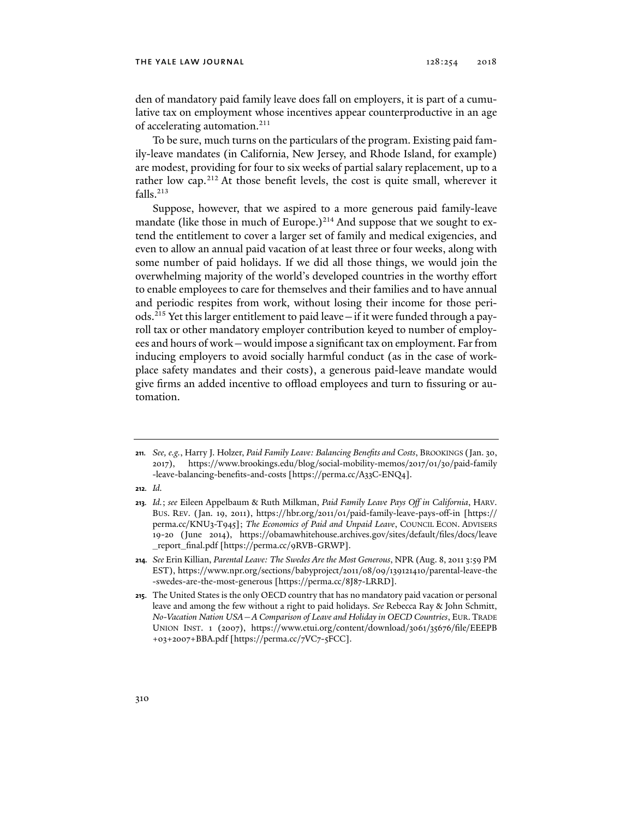den of mandatory paid family leave does fall on employers, it is part of a cumulative tax on employment whose incentives appear counterproductive in an age of accelerating automation.<sup>211</sup>

To be sure, much turns on the particulars of the program. Existing paid family-leave mandates (in California, New Jersey, and Rhode Island, for example) are modest, providing for four to six weeks of partial salary replacement, up to a rather low cap.<sup>212</sup> At those benefit levels, the cost is quite small, wherever it falls.213

Suppose, however, that we aspired to a more generous paid family-leave mandate (like those in much of Europe.) $2^{14}$  And suppose that we sought to extend the entitlement to cover a larger set of family and medical exigencies, and even to allow an annual paid vacation of at least three or four weeks, along with some number of paid holidays. If we did all those things, we would join the overwhelming majority of the world's developed countries in the worthy effort to enable employees to care for themselves and their families and to have annual and periodic respites from work, without losing their income for those periods.215 Yet this larger entitlement to paid leave—if it were funded through a payroll tax or other mandatory employer contribution keyed to number of employees and hours of work—would impose a significant tax on employment. Far from inducing employers to avoid socially harmful conduct (as in the case of workplace safety mandates and their costs), a generous paid-leave mandate would give firms an added incentive to offload employees and turn to fissuring or automation.

**212***. Id.*

**214***. See* Erin Killian, *Parental Leave: The Swedes Are the Most Generous*, NPR (Aug. 8, 2011 3:59 PM EST), https://www.npr.org/sections/babyproject/2011/08/09/139121410/parental-leave-the -swedes-are-the-most-generous [https://perma.cc/8J87-LRRD].

**<sup>211</sup>***. See, e.g.*, Harry J. Holzer, *Paid Family Leave: Balancing Benefits and Costs*, BROOKINGS (Jan. 30, 2017), https://www.brookings.edu/blog/social-mobility-memos/2017/01/30/paid-family -leave-balancing-benefits-and-costs [https://perma.cc/A33C-ENQ4].

**<sup>213</sup>***. Id.*; *see* Eileen Appelbaum & Ruth Milkman, *Paid Family Leave Pays Off in California*, HARV. BUS. REV. (Jan. 19, 2011), https://hbr.org/2011/01/paid-family-leave-pays-off-in [https:// perma.cc/KNU3-T945]; *The Economics of Paid and Unpaid Leave*, COUNCIL ECON. ADVISERS 19-20 (June 2014), https://obamawhitehouse.archives.gov/sites/default/files/docs/leave \_report\_final.pdf [https://perma.cc/9RVB-GRWP].

**<sup>215</sup>**. The United States is the only OECD country that has no mandatory paid vacation or personal leave and among the few without a right to paid holidays. *See* Rebecca Ray & John Schmitt, *No-Vacation Nation USA—A Comparison of Leave and Holiday in OECD Countries*, EUR.TRADE UNION INST. 1 (2007), https://www.etui.org/content/download/3061/35676/file/EEEPB +03+2007+BBA.pdf [https://perma.cc/7VC7-5FCC].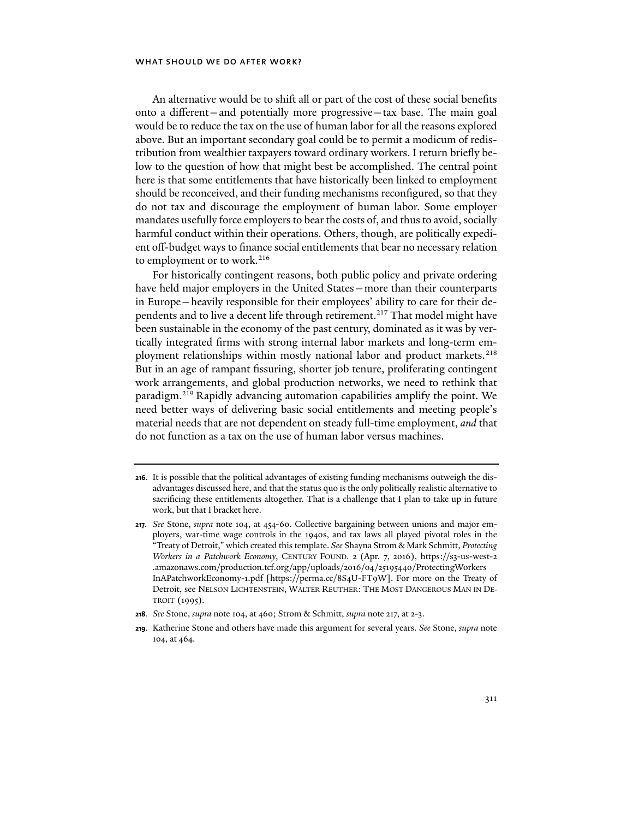An alternative would be to shift all or part of the cost of these social benefits onto a different—and potentially more progressive—tax base. The main goal would be to reduce the tax on the use of human labor for all the reasons explored above. But an important secondary goal could be to permit a modicum of redistribution from wealthier taxpayers toward ordinary workers. I return briefly below to the question of how that might best be accomplished. The central point here is that some entitlements that have historically been linked to employment should be reconceived, and their funding mechanisms reconfigured, so that they do not tax and discourage the employment of human labor. Some employer mandates usefully force employers to bear the costs of, and thus to avoid, socially harmful conduct within their operations. Others, though, are politically expedient off-budget ways to finance social entitlements that bear no necessary relation to employment or to work.<sup>216</sup>

For historically contingent reasons, both public policy and private ordering have held major employers in the United States—more than their counterparts in Europe—heavily responsible for their employees' ability to care for their dependents and to live a decent life through retirement.<sup>217</sup> That model might have been sustainable in the economy of the past century, dominated as it was by vertically integrated firms with strong internal labor markets and long-term employment relationships within mostly national labor and product markets.<sup>218</sup> But in an age of rampant fissuring, shorter job tenure, proliferating contingent work arrangements, and global production networks, we need to rethink that paradigm.219 Rapidly advancing automation capabilities amplify the point. We need better ways of delivering basic social entitlements and meeting people's material needs that are not dependent on steady full-time employment, *and* that do not function as a tax on the use of human labor versus machines.

**<sup>216</sup>**. It is possible that the political advantages of existing funding mechanisms outweigh the disadvantages discussed here, and that the status quo is the only politically realistic alternative to sacrificing these entitlements altogether. That is a challenge that I plan to take up in future work, but that I bracket here.

**<sup>217</sup>***. See* Stone, *supra* note 104, at 454-60. Collective bargaining between unions and major employers, war-time wage controls in the 1940s, and tax laws all played pivotal roles in the "Treaty of Detroit," which created this template. *See* Shayna Strom & Mark Schmitt, *Protecting Workers in a Patchwork Economy*, CENTURY FOUND. 2 (Apr. 7, 2016), https://s3-us-west-2 .amazonaws.com/production.tcf.org/app/uploads/2016/04/25195440/ProtectingWorkers InAPatchworkEconomy-1.pdf [https://perma.cc/8S4U-FT9W]. For more on the Treaty of Detroit, see NELSON LICHTENSTEIN, WALTER REUTHER: THE MOST DANGEROUS MAN IN DE-TROIT (1995).

**<sup>218</sup>***. See* Stone, *supra* note 104, at 460; Strom & Schmitt, *supra* note 217, at 2-3.

**<sup>219</sup>**. Katherine Stone and others have made this argument for several years. *See* Stone, *supra* note 104, at 464.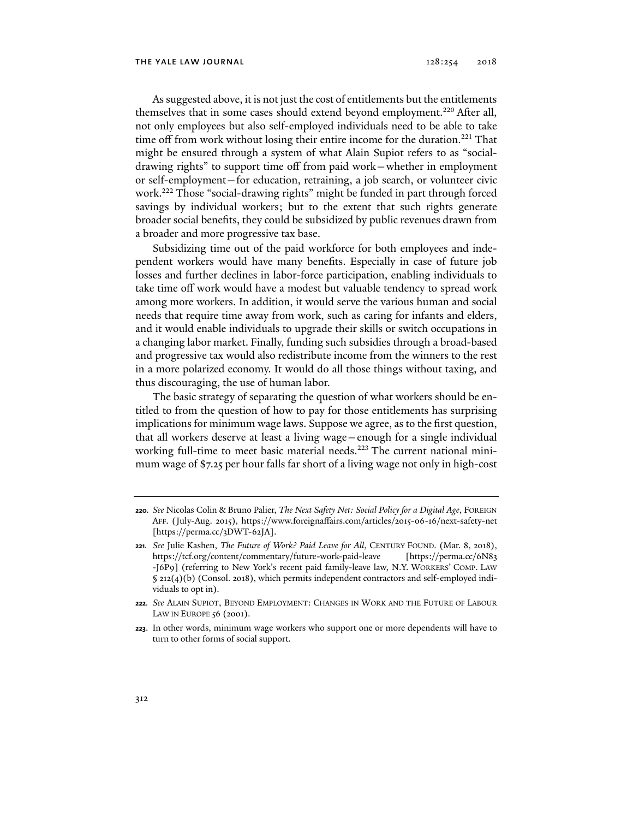As suggested above, it is not just the cost of entitlements but the entitlements themselves that in some cases should extend beyond employment.<sup>220</sup> After all, not only employees but also self-employed individuals need to be able to take time off from work without losing their entire income for the duration.<sup>221</sup> That might be ensured through a system of what Alain Supiot refers to as "socialdrawing rights" to support time off from paid work—whether in employment or self-employment—for education, retraining, a job search, or volunteer civic work.222 Those "social-drawing rights" might be funded in part through forced savings by individual workers; but to the extent that such rights generate broader social benefits, they could be subsidized by public revenues drawn from a broader and more progressive tax base.

Subsidizing time out of the paid workforce for both employees and independent workers would have many benefits. Especially in case of future job losses and further declines in labor-force participation, enabling individuals to take time off work would have a modest but valuable tendency to spread work among more workers. In addition, it would serve the various human and social needs that require time away from work, such as caring for infants and elders, and it would enable individuals to upgrade their skills or switch occupations in a changing labor market. Finally, funding such subsidies through a broad-based and progressive tax would also redistribute income from the winners to the rest in a more polarized economy. It would do all those things without taxing, and thus discouraging, the use of human labor.

The basic strategy of separating the question of what workers should be entitled to from the question of how to pay for those entitlements has surprising implications for minimum wage laws. Suppose we agree, as to the first question, that all workers deserve at least a living wage—enough for a single individual working full-time to meet basic material needs.<sup>223</sup> The current national minimum wage of \$7.25 per hour falls far short of a living wage not only in high-cost

**<sup>220</sup>***. See* Nicolas Colin & Bruno Palier, *The Next Safety Net: Social Policy for a Digital Age*, FOREIGN AFF. (July-Aug. 2015), https://www.foreignaffairs.com/articles/2015-06-16/next-safety-net [https://perma.cc/3DWT-62JA].

**<sup>221</sup>***. See* Julie Kashen, *The Future of Work? Paid Leave for All*, CENTURY FOUND. (Mar. 8, 2018), https://tcf.org/content/commentary/future-work-paid-leave [https://perma.cc/6N83 -J6P9] (referring to New York's recent paid family-leave law, N.Y. WORKERS' COMP. LAW § 212(4)(b) (Consol. 2018), which permits independent contractors and self-employed individuals to opt in).

**<sup>222</sup>***. See* ALAIN SUPIOT, BEYOND EMPLOYMENT: CHANGES IN WORK AND THE FUTURE OF LABOUR LAW IN EUROPE 56 (2001).

**<sup>223</sup>**. In other words, minimum wage workers who support one or more dependents will have to turn to other forms of social support.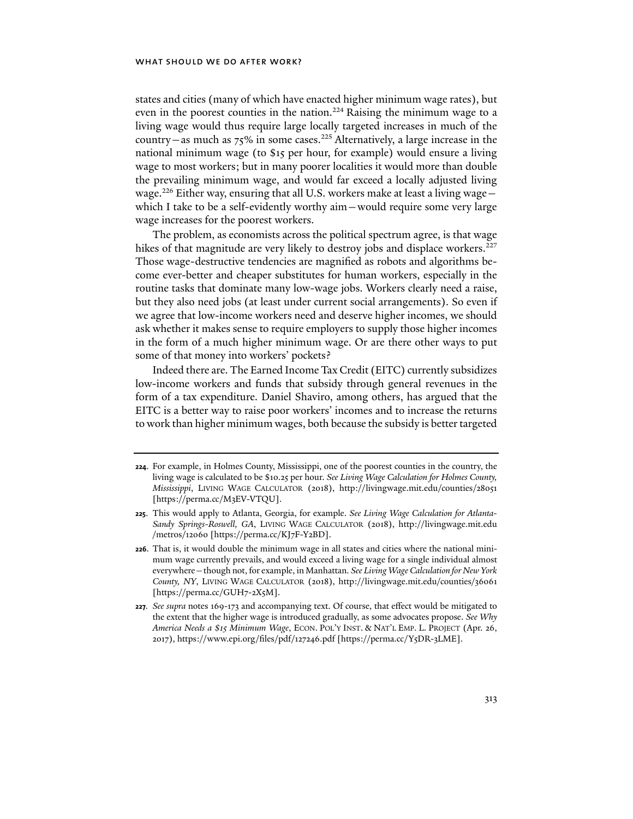states and cities (many of which have enacted higher minimum wage rates), but even in the poorest counties in the nation.<sup>224</sup> Raising the minimum wage to a living wage would thus require large locally targeted increases in much of the country—as much as  $75\%$  in some cases.<sup>225</sup> Alternatively, a large increase in the national minimum wage (to \$15 per hour, for example) would ensure a living wage to most workers; but in many poorer localities it would more than double the prevailing minimum wage, and would far exceed a locally adjusted living wage.<sup>226</sup> Either way, ensuring that all U.S. workers make at least a living wage which I take to be a self-evidently worthy aim—would require some very large wage increases for the poorest workers.

The problem, as economists across the political spectrum agree, is that wage hikes of that magnitude are very likely to destroy jobs and displace workers.<sup>227</sup> Those wage-destructive tendencies are magnified as robots and algorithms become ever-better and cheaper substitutes for human workers, especially in the routine tasks that dominate many low-wage jobs. Workers clearly need a raise, but they also need jobs (at least under current social arrangements). So even if we agree that low-income workers need and deserve higher incomes, we should ask whether it makes sense to require employers to supply those higher incomes in the form of a much higher minimum wage. Or are there other ways to put some of that money into workers' pockets?

Indeed there are. The Earned Income Tax Credit (EITC) currently subsidizes low-income workers and funds that subsidy through general revenues in the form of a tax expenditure. Daniel Shaviro, among others, has argued that the EITC is a better way to raise poor workers' incomes and to increase the returns to work than higher minimum wages, both because the subsidy is better targeted

**<sup>224</sup>**. For example, in Holmes County, Mississippi, one of the poorest counties in the country, the living wage is calculated to be \$10.25 per hour. *See Living Wage Calculation for Holmes County, Mississippi*, LIVING WAGE CALCULATOR (2018), http://livingwage.mit.edu/counties/28051 [https://perma.cc/M3EV-VTQU].

**<sup>225</sup>**. This would apply to Atlanta, Georgia, for example. *See Living Wage Calculation for Atlanta-Sandy Springs-Roswell, GA*, LIVING WAGE CALCULATOR (2018), http://livingwage.mit.edu /metros/12060 [https://perma.cc/KJ7F-Y2BD].

**<sup>226</sup>**. That is, it would double the minimum wage in all states and cities where the national minimum wage currently prevails, and would exceed a living wage for a single individual almost everywhere—though not, for example, in Manhattan. *See Living Wage Calculation for New York County, NY*, LIVING WAGE CALCULATOR (2018), http://livingwage.mit.edu/counties/36061 [https://perma.cc/GUH7-2X5M].

**<sup>227</sup>***. See supra* notes 169-173 and accompanying text. Of course, that effect would be mitigated to the extent that the higher wage is introduced gradually, as some advocates propose. *See Why America Needs a \$15 Minimum Wage*, ECON. POL'Y INST. & NAT'L EMP. L. PROJECT (Apr. 26, 2017), https://www.epi.org/files/pdf/127246.pdf [https://perma.cc/Y5DR-3LME].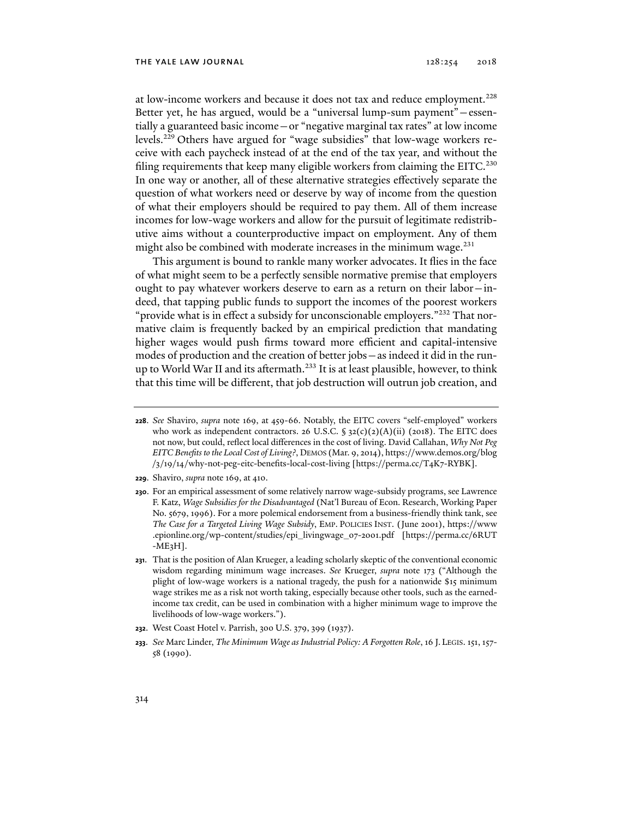at low-income workers and because it does not tax and reduce employment.<sup>228</sup> Better yet, he has argued, would be a "universal lump-sum payment"—essentially a guaranteed basic income—or "negative marginal tax rates" at low income levels.229 Others have argued for "wage subsidies" that low-wage workers receive with each paycheck instead of at the end of the tax year, and without the filing requirements that keep many eligible workers from claiming the EITC.<sup>230</sup> In one way or another, all of these alternative strategies effectively separate the question of what workers need or deserve by way of income from the question of what their employers should be required to pay them. All of them increase incomes for low-wage workers and allow for the pursuit of legitimate redistributive aims without a counterproductive impact on employment. Any of them might also be combined with moderate increases in the minimum wage. $^{231}$ 

This argument is bound to rankle many worker advocates. It flies in the face of what might seem to be a perfectly sensible normative premise that employers ought to pay whatever workers deserve to earn as a return on their labor—indeed, that tapping public funds to support the incomes of the poorest workers "provide what is in effect a subsidy for unconscionable employers."<sup>232</sup> That normative claim is frequently backed by an empirical prediction that mandating higher wages would push firms toward more efficient and capital-intensive modes of production and the creation of better jobs—as indeed it did in the runup to World War II and its aftermath.<sup>233</sup> It is at least plausible, however, to think that this time will be different, that job destruction will outrun job creation, and

- **229**. Shaviro, *supra* note 169, at 410.
- **230**. For an empirical assessment of some relatively narrow wage-subsidy programs, see Lawrence F. Katz, *Wage Subsidies for the Disadvantaged* (Nat'l Bureau of Econ. Research, Working Paper No. 5679, 1996). For a more polemical endorsement from a business-friendly think tank, see *The Case for a Targeted Living Wage Subsidy*, EMP. POLICIES INST. (June 2001), https://www .epionline.org/wp-content/studies/epi\_livingwage\_07-2001.pdf [https://perma.cc/6RUT  $-ME<sub>3</sub>H$ ].
- **231**. That is the position of Alan Krueger, a leading scholarly skeptic of the conventional economic wisdom regarding minimum wage increases. *See* Krueger, *supra* note 173 ("Although the plight of low-wage workers is a national tragedy, the push for a nationwide \$15 minimum wage strikes me as a risk not worth taking, especially because other tools, such as the earnedincome tax credit, can be used in combination with a higher minimum wage to improve the livelihoods of low-wage workers.").
- **232**. West Coast Hotel v. Parrish, 300 U.S. 379, 399 (1937).
- **233**. *See* Marc Linder, *The Minimum Wage as Industrial Policy: A Forgotten Role*, 16 J. LEGIS. 151, 157- 58 (1990).

**<sup>228</sup>**. *See* Shaviro, *supra* note 169, at 459-66. Notably, the EITC covers "self-employed" workers who work as independent contractors. 26 U.S.C.  $\S$  32(c)(2)(A)(ii) (2018). The EITC does not now, but could, reflect local differences in the cost of living. David Callahan, *Why Not Peg EITC Benefits to the Local Cost of Living?*, DEMOS (Mar. 9, 2014), https://www.demos.org/blog /3/19/14/why-not-peg-eitc-benefits-local-cost-living [https://perma.cc/T4K7-RYBK].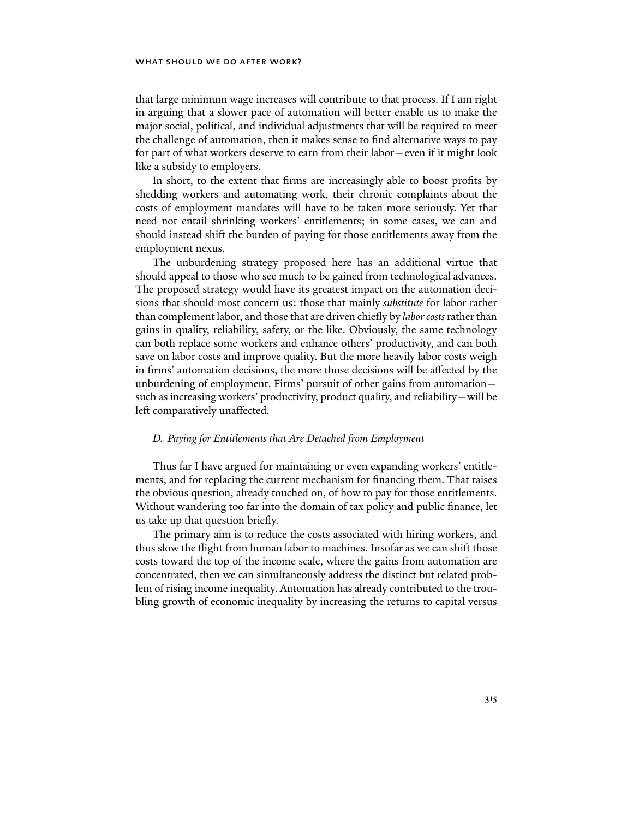that large minimum wage increases will contribute to that process. If I am right in arguing that a slower pace of automation will better enable us to make the major social, political, and individual adjustments that will be required to meet the challenge of automation, then it makes sense to find alternative ways to pay for part of what workers deserve to earn from their labor—even if it might look like a subsidy to employers.

In short, to the extent that firms are increasingly able to boost profits by shedding workers and automating work, their chronic complaints about the costs of employment mandates will have to be taken more seriously. Yet that need not entail shrinking workers' entitlements; in some cases, we can and should instead shift the burden of paying for those entitlements away from the employment nexus.

The unburdening strategy proposed here has an additional virtue that should appeal to those who see much to be gained from technological advances. The proposed strategy would have its greatest impact on the automation decisions that should most concern us: those that mainly *substitute* for labor rather than complement labor, and those that are driven chiefly by *labor costs* rather than gains in quality, reliability, safety, or the like. Obviously, the same technology can both replace some workers and enhance others' productivity, and can both save on labor costs and improve quality. But the more heavily labor costs weigh in firms' automation decisions, the more those decisions will be affected by the unburdening of employment. Firms' pursuit of other gains from automation such as increasing workers' productivity, product quality, and reliability—will be left comparatively unaffected.

## *D. Paying for Entitlements that Are Detached from Employment*

Thus far I have argued for maintaining or even expanding workers' entitlements, and for replacing the current mechanism for financing them. That raises the obvious question, already touched on, of how to pay for those entitlements. Without wandering too far into the domain of tax policy and public finance, let us take up that question briefly.

The primary aim is to reduce the costs associated with hiring workers, and thus slow the flight from human labor to machines. Insofar as we can shift those costs toward the top of the income scale, where the gains from automation are concentrated, then we can simultaneously address the distinct but related problem of rising income inequality. Automation has already contributed to the troubling growth of economic inequality by increasing the returns to capital versus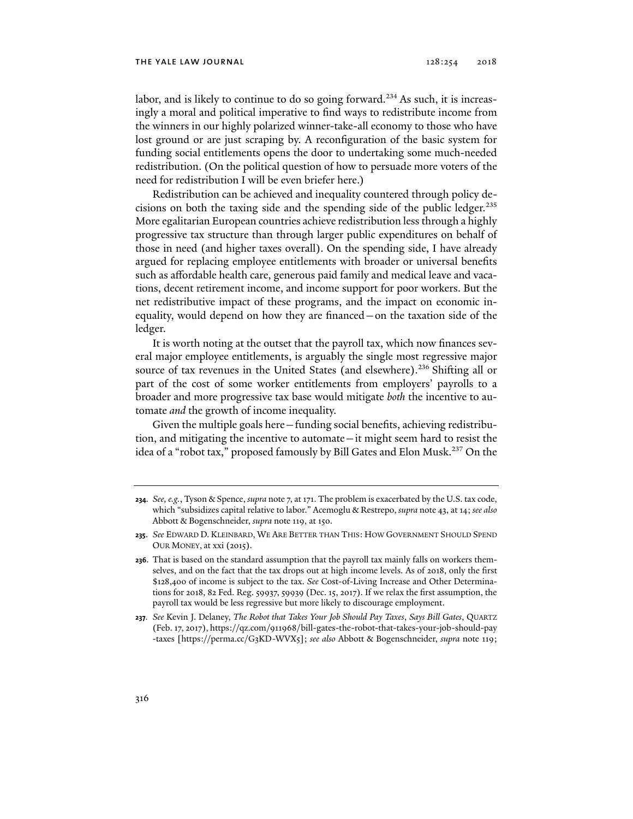#### THE YALE LAW JOURNAL  $128:254$   $2018$

labor, and is likely to continue to do so going forward.<sup>234</sup> As such, it is increasingly a moral and political imperative to find ways to redistribute income from the winners in our highly polarized winner-take-all economy to those who have lost ground or are just scraping by. A reconfiguration of the basic system for funding social entitlements opens the door to undertaking some much-needed redistribution. (On the political question of how to persuade more voters of the need for redistribution I will be even briefer here.)

Redistribution can be achieved and inequality countered through policy decisions on both the taxing side and the spending side of the public ledger.<sup>235</sup> More egalitarian European countries achieve redistribution less through a highly progressive tax structure than through larger public expenditures on behalf of those in need (and higher taxes overall). On the spending side, I have already argued for replacing employee entitlements with broader or universal benefits such as affordable health care, generous paid family and medical leave and vacations, decent retirement income, and income support for poor workers. But the net redistributive impact of these programs, and the impact on economic inequality, would depend on how they are financed—on the taxation side of the ledger.

It is worth noting at the outset that the payroll tax, which now finances several major employee entitlements, is arguably the single most regressive major source of tax revenues in the United States (and elsewhere).<sup>236</sup> Shifting all or part of the cost of some worker entitlements from employers' payrolls to a broader and more progressive tax base would mitigate *both* the incentive to automate *and* the growth of income inequality.

Given the multiple goals here—funding social benefits, achieving redistribution, and mitigating the incentive to automate—it might seem hard to resist the idea of a "robot tax," proposed famously by Bill Gates and Elon Musk.<sup>237</sup> On the

**<sup>234</sup>***. See, e.g.*, Tyson & Spence, *supra* note 7, at 171. The problem is exacerbated by the U.S. tax code, which "subsidizes capital relative to labor." Acemoglu & Restrepo, *supra* note 43, at 14; *see also* Abbott & Bogenschneider, *supra* note 119, at 150.

**<sup>235</sup>**. *See* EDWARD D. KLEINBARD, WE ARE BETTER THAN THIS: HOW GOVERNMENT SHOULD SPEND OUR MONEY, at xxi (2015).

**<sup>236</sup>**. That is based on the standard assumption that the payroll tax mainly falls on workers themselves, and on the fact that the tax drops out at high income levels. As of 2018, only the first \$128,400 of income is subject to the tax. *See* Cost-of-Living Increase and Other Determinations for 2018, 82 Fed. Reg. 59937, 59939 (Dec. 15, 2017). If we relax the first assumption, the payroll tax would be less regressive but more likely to discourage employment.

**<sup>237</sup>***. See* Kevin J. Delaney, *The Robot that Takes Your Job Should Pay Taxes*, *Says Bill Gates*, QUARTZ (Feb. 17, 2017), https://qz.com/911968/bill-gates-the-robot-that-takes-your-job-should-pay -taxes [https://perma.cc/G3KD-WVX5]; *see also* Abbott & Bogenschneider, *supra* note 119;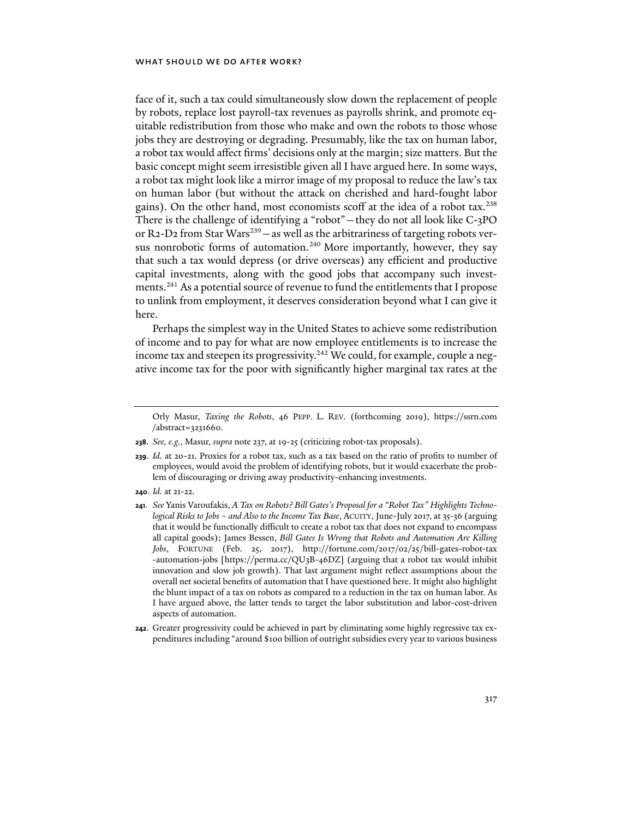face of it, such a tax could simultaneously slow down the replacement of people by robots, replace lost payroll-tax revenues as payrolls shrink, and promote equitable redistribution from those who make and own the robots to those whose jobs they are destroying or degrading. Presumably, like the tax on human labor, a robot tax would affect firms' decisions only at the margin; size matters. But the basic concept might seem irresistible given all I have argued here. In some ways, a robot tax might look like a mirror image of my proposal to reduce the law's tax on human labor (but without the attack on cherished and hard-fought labor gains). On the other hand, most economists scoff at the idea of a robot tax.<sup>238</sup> There is the challenge of identifying a "robot"—they do not all look like C-3PO or R2-D2 from Star Wars<sup>239</sup> – as well as the arbitrariness of targeting robots versus nonrobotic forms of automation.<sup>240</sup> More importantly, however, they say that such a tax would depress (or drive overseas) any efficient and productive capital investments, along with the good jobs that accompany such investments.241 As a potential source of revenue to fund the entitlements that I propose to unlink from employment, it deserves consideration beyond what I can give it here.

Perhaps the simplest way in the United States to achieve some redistribution of income and to pay for what are now employee entitlements is to increase the income tax and steepen its progressivity.<sup>242</sup> We could, for example, couple a negative income tax for the poor with significantly higher marginal tax rates at the

- **238**. *See, e.g.*, Masur, *supra* note 237, at 19-25 (criticizing robot-tax proposals).
- **239**. *Id.* at 20-21. Proxies for a robot tax, such as a tax based on the ratio of profits to number of employees, would avoid the problem of identifying robots, but it would exacerbate the problem of discouraging or driving away productivity-enhancing investments.
- **240**. *Id.* at 21-22.
- **241**. *See* Yanis Varoufakis, *A Tax on Robots? Bill Gates's Proposal for a "Robot Tax" Highlights Technological Risks to Jobs – and Also to the Income Tax Base*, ACUITY, June-July 2017, at 35-36 (arguing that it would be functionally difficult to create a robot tax that does not expand to encompass all capital goods); James Bessen, *Bill Gates Is Wrong that Robots and Automation Are Killing Jobs*, FORTUNE (Feb. 25, 2017), http://fortune.com/2017/02/25/bill-gates-robot-tax -automation-jobs [https://perma.cc/QU3B-46DZ] (arguing that a robot tax would inhibit innovation and slow job growth). That last argument might reflect assumptions about the overall net societal benefits of automation that I have questioned here. It might also highlight the blunt impact of a tax on robots as compared to a reduction in the tax on human labor. As I have argued above, the latter tends to target the labor substitution and labor-cost-driven aspects of automation.
- **242**. Greater progressivity could be achieved in part by eliminating some highly regressive tax expenditures including "around \$100 billion of outright subsidies every year to various business

Orly Masur, *Taxing the Robots*, 46 PEPP. L. REV. (forthcoming 2019), https://ssrn.com /abstract=3231660.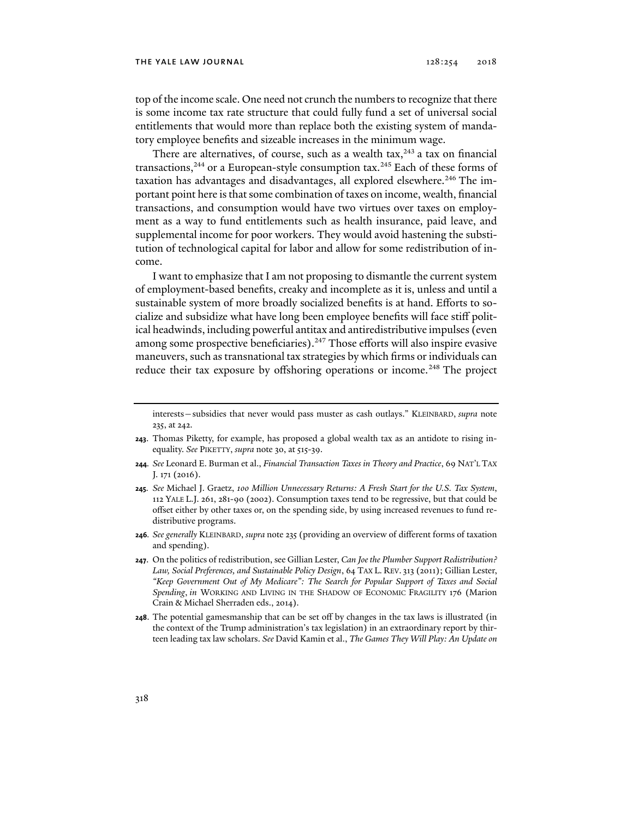top of the income scale. One need not crunch the numbers to recognize that there is some income tax rate structure that could fully fund a set of universal social entitlements that would more than replace both the existing system of mandatory employee benefits and sizeable increases in the minimum wage.

There are alternatives, of course, such as a wealth tax, $243$  a tax on financial transactions,<sup>244</sup> or a European-style consumption tax.<sup>245</sup> Each of these forms of taxation has advantages and disadvantages, all explored elsewhere.<sup>246</sup> The important point here is that some combination of taxes on income, wealth, financial transactions, and consumption would have two virtues over taxes on employment as a way to fund entitlements such as health insurance, paid leave, and supplemental income for poor workers. They would avoid hastening the substitution of technological capital for labor and allow for some redistribution of income.

I want to emphasize that I am not proposing to dismantle the current system of employment-based benefits, creaky and incomplete as it is, unless and until a sustainable system of more broadly socialized benefits is at hand. Efforts to socialize and subsidize what have long been employee benefits will face stiff political headwinds, including powerful antitax and antiredistributive impulses (even among some prospective beneficiaries).<sup>247</sup> Those efforts will also inspire evasive maneuvers, such as transnational tax strategies by which firms or individuals can reduce their tax exposure by offshoring operations or income.<sup>248</sup> The project

- **243**. Thomas Piketty, for example, has proposed a global wealth tax as an antidote to rising inequality. *See* PIKETTY, *supra* note 30, at 515-39.
- **244***. See* Leonard E. Burman et al., *Financial Transaction Taxes in Theory and Practice*, 69 NAT'L TAX J. 171 (2016).
- **245***. See* Michael J. Graetz, *100 Million Unnecessary Returns: A Fresh Start for the U.S. Tax System*, 112 YALE L.J. 261, 281-90 (2002). Consumption taxes tend to be regressive, but that could be offset either by other taxes or, on the spending side, by using increased revenues to fund redistributive programs.
- **246***. See generally* KLEINBARD, *supra* note 235 (providing an overview of different forms of taxation and spending).
- **247**. On the politics of redistribution, see Gillian Lester, *Can Joe the Plumber Support Redistribution? Law, Social Preferences, and Sustainable Policy Design*, 64 TAX L. REV. 313 (2011); Gillian Lester, *"Keep Government Out of My Medicare": The Search for Popular Support of Taxes and Social Spending*, *in* WORKING AND LIVING IN THE SHADOW OF ECONOMIC FRAGILITY 176 (Marion Crain & Michael Sherraden eds., 2014).
- **248**. The potential gamesmanship that can be set off by changes in the tax laws is illustrated (in the context of the Trump administration's tax legislation) in an extraordinary report by thirteen leading tax law scholars. *See* David Kamin et al., *The Games They Will Play: An Update on*

interests—subsidies that never would pass muster as cash outlays." KLEINBARD, *supra* note 235, at 242.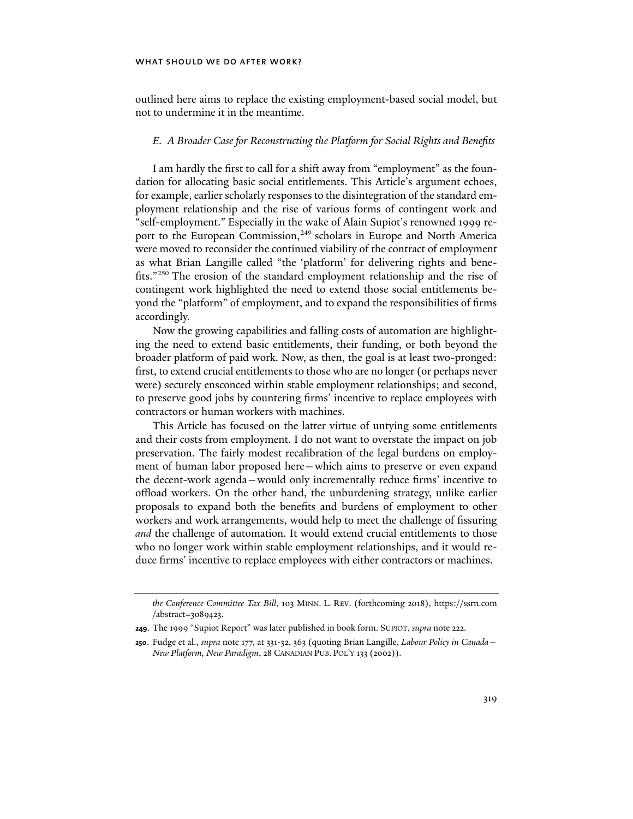outlined here aims to replace the existing employment-based social model, but not to undermine it in the meantime.

### *E. A Broader Case for Reconstructing the Platform for Social Rights and Benefits*

I am hardly the first to call for a shift away from "employment" as the foundation for allocating basic social entitlements. This Article's argument echoes, for example, earlier scholarly responses to the disintegration of the standard employment relationship and the rise of various forms of contingent work and "self-employment." Especially in the wake of Alain Supiot's renowned 1999 report to the European Commission,<sup>249</sup> scholars in Europe and North America were moved to reconsider the continued viability of the contract of employment as what Brian Langille called "the 'platform' for delivering rights and benefits."250 The erosion of the standard employment relationship and the rise of contingent work highlighted the need to extend those social entitlements beyond the "platform" of employment, and to expand the responsibilities of firms accordingly.

Now the growing capabilities and falling costs of automation are highlighting the need to extend basic entitlements, their funding, or both beyond the broader platform of paid work. Now, as then, the goal is at least two-pronged: first, to extend crucial entitlements to those who are no longer (or perhaps never were) securely ensconced within stable employment relationships; and second, to preserve good jobs by countering firms' incentive to replace employees with contractors or human workers with machines.

This Article has focused on the latter virtue of untying some entitlements and their costs from employment. I do not want to overstate the impact on job preservation. The fairly modest recalibration of the legal burdens on employment of human labor proposed here—which aims to preserve or even expand the decent-work agenda—would only incrementally reduce firms' incentive to offload workers. On the other hand, the unburdening strategy, unlike earlier proposals to expand both the benefits and burdens of employment to other workers and work arrangements, would help to meet the challenge of fissuring *and* the challenge of automation. It would extend crucial entitlements to those who no longer work within stable employment relationships, and it would reduce firms' incentive to replace employees with either contractors or machines.

*the Conference Committee Tax Bill*, 103 MINN. L. REV. (forthcoming 2018), https://ssrn.com /abstract=3089423.

**<sup>249</sup>**. The 1999 "Supiot Report" was later published in book form. SUPIOT, *supra* note 222.

**<sup>250</sup>**. Fudge et al., *supra* note 177, at 331-32, 363 (quoting Brian Langille, *Labour Policy in Canada— New Platform, New Paradigm*, 28 CANADIAN PUB. POL'Y 133 (2002)).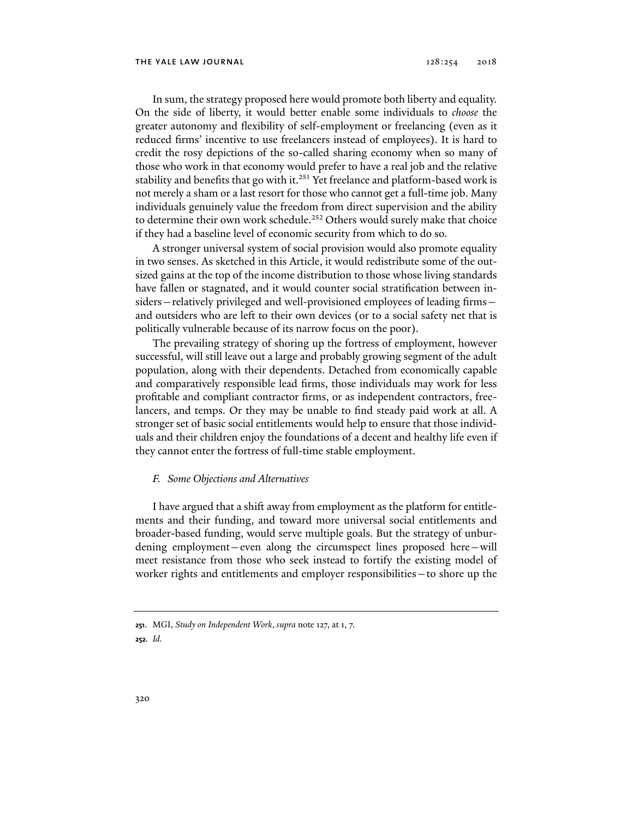In sum, the strategy proposed here would promote both liberty and equality. On the side of liberty, it would better enable some individuals to *choose* the greater autonomy and flexibility of self-employment or freelancing (even as it reduced firms' incentive to use freelancers instead of employees). It is hard to credit the rosy depictions of the so-called sharing economy when so many of those who work in that economy would prefer to have a real job and the relative stability and benefits that go with it.<sup>251</sup> Yet freelance and platform-based work is not merely a sham or a last resort for those who cannot get a full-time job. Many individuals genuinely value the freedom from direct supervision and the ability to determine their own work schedule.<sup>252</sup> Others would surely make that choice if they had a baseline level of economic security from which to do so.

A stronger universal system of social provision would also promote equality in two senses. As sketched in this Article, it would redistribute some of the outsized gains at the top of the income distribution to those whose living standards have fallen or stagnated, and it would counter social stratification between insiders—relatively privileged and well-provisioned employees of leading firms and outsiders who are left to their own devices (or to a social safety net that is politically vulnerable because of its narrow focus on the poor).

The prevailing strategy of shoring up the fortress of employment, however successful, will still leave out a large and probably growing segment of the adult population, along with their dependents. Detached from economically capable and comparatively responsible lead firms, those individuals may work for less profitable and compliant contractor firms, or as independent contractors, freelancers, and temps. Or they may be unable to find steady paid work at all. A stronger set of basic social entitlements would help to ensure that those individuals and their children enjoy the foundations of a decent and healthy life even if they cannot enter the fortress of full-time stable employment.

#### *F. Some Objections and Alternatives*

I have argued that a shift away from employment as the platform for entitlements and their funding, and toward more universal social entitlements and broader-based funding, would serve multiple goals. But the strategy of unburdening employment—even along the circumspect lines proposed here—will meet resistance from those who seek instead to fortify the existing model of worker rights and entitlements and employer responsibilities—to shore up the

**<sup>251</sup>**. MGI, *Study on Independent Work*, *supra* note 127, at 1, 7. **252***. Id.*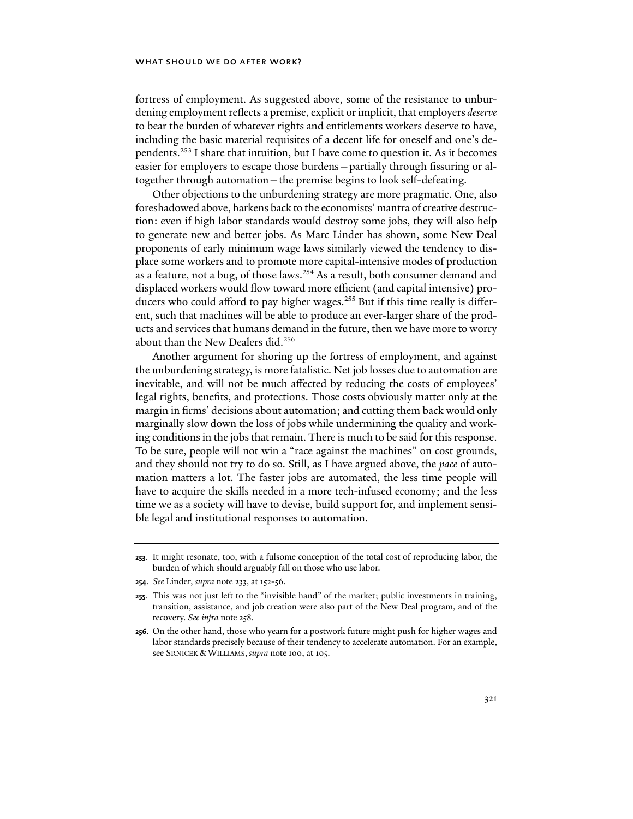fortress of employment. As suggested above, some of the resistance to unburdening employment reflects a premise, explicit or implicit, that employers *deserve* to bear the burden of whatever rights and entitlements workers deserve to have, including the basic material requisites of a decent life for oneself and one's dependents.253 I share that intuition, but I have come to question it. As it becomes easier for employers to escape those burdens—partially through fissuring or altogether through automation—the premise begins to look self-defeating.

Other objections to the unburdening strategy are more pragmatic. One, also foreshadowed above, harkens back to the economists' mantra of creative destruction: even if high labor standards would destroy some jobs, they will also help to generate new and better jobs. As Marc Linder has shown, some New Deal proponents of early minimum wage laws similarly viewed the tendency to displace some workers and to promote more capital-intensive modes of production as a feature, not a bug, of those laws.254 As a result, both consumer demand and displaced workers would flow toward more efficient (and capital intensive) producers who could afford to pay higher wages.<sup>255</sup> But if this time really is different, such that machines will be able to produce an ever-larger share of the products and services that humans demand in the future, then we have more to worry about than the New Dealers did.<sup>256</sup>

Another argument for shoring up the fortress of employment, and against the unburdening strategy, is more fatalistic. Net job losses due to automation are inevitable, and will not be much affected by reducing the costs of employees' legal rights, benefits, and protections. Those costs obviously matter only at the margin in firms' decisions about automation; and cutting them back would only marginally slow down the loss of jobs while undermining the quality and working conditions in the jobs that remain. There is much to be said for this response. To be sure, people will not win a "race against the machines" on cost grounds, and they should not try to do so. Still, as I have argued above, the *pace* of automation matters a lot. The faster jobs are automated, the less time people will have to acquire the skills needed in a more tech-infused economy; and the less time we as a society will have to devise, build support for, and implement sensible legal and institutional responses to automation.

**<sup>253</sup>**. It might resonate, too, with a fulsome conception of the total cost of reproducing labor, the burden of which should arguably fall on those who use labor.

**<sup>254</sup>**. *See* Linder, *supra* note 233, at 152-56.

**<sup>255</sup>**. This was not just left to the "invisible hand" of the market; public investments in training, transition, assistance, and job creation were also part of the New Deal program, and of the recovery. *See infra* note 258.

**<sup>256</sup>**. On the other hand, those who yearn for a postwork future might push for higher wages and labor standards precisely because of their tendency to accelerate automation. For an example, see SRNICEK & WILLIAMS, *supra* note 100, at 105.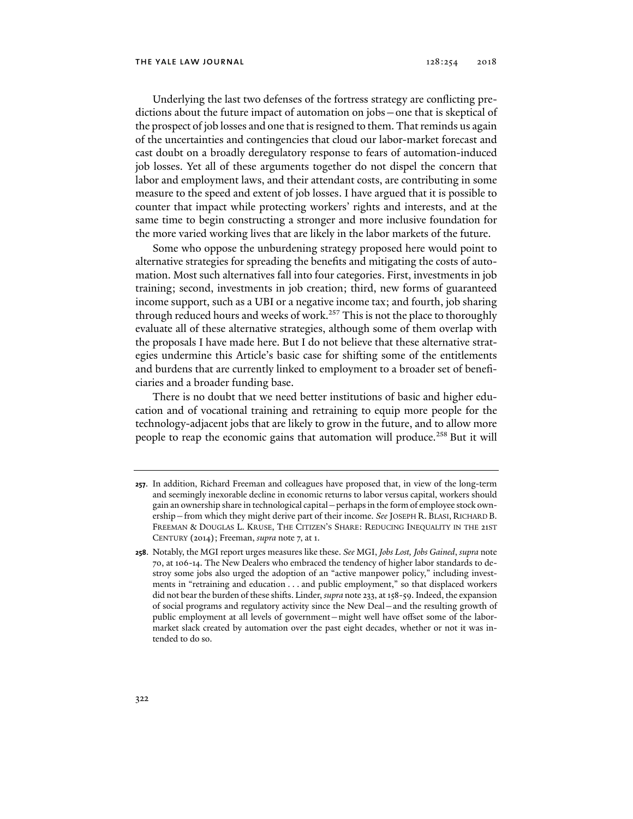Underlying the last two defenses of the fortress strategy are conflicting predictions about the future impact of automation on jobs—one that is skeptical of the prospect of job losses and one that is resigned to them. That reminds us again of the uncertainties and contingencies that cloud our labor-market forecast and cast doubt on a broadly deregulatory response to fears of automation-induced job losses. Yet all of these arguments together do not dispel the concern that labor and employment laws, and their attendant costs, are contributing in some measure to the speed and extent of job losses. I have argued that it is possible to counter that impact while protecting workers' rights and interests, and at the same time to begin constructing a stronger and more inclusive foundation for the more varied working lives that are likely in the labor markets of the future.

Some who oppose the unburdening strategy proposed here would point to alternative strategies for spreading the benefits and mitigating the costs of automation. Most such alternatives fall into four categories. First, investments in job training; second, investments in job creation; third, new forms of guaranteed income support, such as a UBI or a negative income tax; and fourth, job sharing through reduced hours and weeks of work.<sup>257</sup> This is not the place to thoroughly evaluate all of these alternative strategies, although some of them overlap with the proposals I have made here. But I do not believe that these alternative strategies undermine this Article's basic case for shifting some of the entitlements and burdens that are currently linked to employment to a broader set of beneficiaries and a broader funding base.

There is no doubt that we need better institutions of basic and higher education and of vocational training and retraining to equip more people for the technology-adjacent jobs that are likely to grow in the future, and to allow more people to reap the economic gains that automation will produce.<sup>258</sup> But it will

**<sup>257</sup>**. In addition, Richard Freeman and colleagues have proposed that, in view of the long-term and seemingly inexorable decline in economic returns to labor versus capital, workers should gain an ownership share in technological capital—perhaps in the form of employee stock ownership—from which they might derive part of their income. *See* JOSEPH R. BLASI, RICHARD B. FREEMAN & DOUGLAS L. KRUSE, THE CITIZEN'S SHARE: REDUCING INEQUALITY IN THE 21ST CENTURY (2014); Freeman, *supra* note 7, at 1.

**<sup>258</sup>**. Notably, the MGI report urges measures like these. *See* MGI, *Jobs Lost, Jobs Gained*, *supra* note 70, at 106-14. The New Dealers who embraced the tendency of higher labor standards to destroy some jobs also urged the adoption of an "active manpower policy," including investments in "retraining and education . . . and public employment," so that displaced workers did not bear the burden of these shifts. Linder, *supra* note 233, at 158-59. Indeed, the expansion of social programs and regulatory activity since the New Deal—and the resulting growth of public employment at all levels of government—might well have offset some of the labormarket slack created by automation over the past eight decades, whether or not it was intended to do so.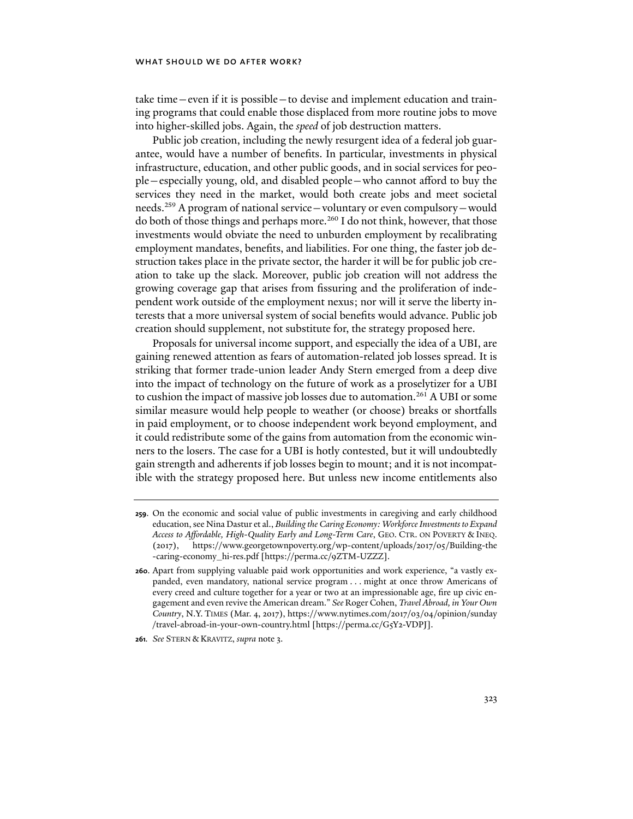take time—even if it is possible—to devise and implement education and training programs that could enable those displaced from more routine jobs to move into higher-skilled jobs. Again, the *speed* of job destruction matters.

Public job creation, including the newly resurgent idea of a federal job guarantee, would have a number of benefits. In particular, investments in physical infrastructure, education, and other public goods, and in social services for people—especially young, old, and disabled people—who cannot afford to buy the services they need in the market, would both create jobs and meet societal needs.259 A program of national service—voluntary or even compulsory—would do both of those things and perhaps more.<sup>260</sup> I do not think, however, that those investments would obviate the need to unburden employment by recalibrating employment mandates, benefits, and liabilities. For one thing, the faster job destruction takes place in the private sector, the harder it will be for public job creation to take up the slack. Moreover, public job creation will not address the growing coverage gap that arises from fissuring and the proliferation of independent work outside of the employment nexus; nor will it serve the liberty interests that a more universal system of social benefits would advance. Public job creation should supplement, not substitute for, the strategy proposed here.

Proposals for universal income support, and especially the idea of a UBI, are gaining renewed attention as fears of automation-related job losses spread. It is striking that former trade-union leader Andy Stern emerged from a deep dive into the impact of technology on the future of work as a proselytizer for a UBI to cushion the impact of massive job losses due to automation.<sup>261</sup> A UBI or some similar measure would help people to weather (or choose) breaks or shortfalls in paid employment, or to choose independent work beyond employment, and it could redistribute some of the gains from automation from the economic winners to the losers. The case for a UBI is hotly contested, but it will undoubtedly gain strength and adherents if job losses begin to mount; and it is not incompatible with the strategy proposed here. But unless new income entitlements also

**<sup>259</sup>**. On the economic and social value of public investments in caregiving and early childhood education, see Nina Dastur et al., *Building the Caring Economy: Workforce Investments to Expand Access to Affordable, High-Quality Early and Long-Term Care*, GEO. CTR. ON POVERTY & INEQ. (2017), https://www.georgetownpoverty.org/wp-content/uploads/2017/05/Building-the -caring-economy\_hi-res.pdf [https://perma.cc/9ZTM-UZZZ].

**<sup>260</sup>**. Apart from supplying valuable paid work opportunities and work experience, "a vastly expanded, even mandatory, national service program . . . might at once throw Americans of every creed and culture together for a year or two at an impressionable age, fire up civic engagement and even revive the American dream." *See* Roger Cohen, *Travel Abroad, in Your Own Country*, N.Y. TIMES (Mar. 4, 2017), https://www.nytimes.com/2017/03/04/opinion/sunday /travel-abroad-in-your-own-country.html [https://perma.cc/G5Y2-VDPJ].

**<sup>261</sup>***. See* STERN & KRAVITZ, *supra* note 3.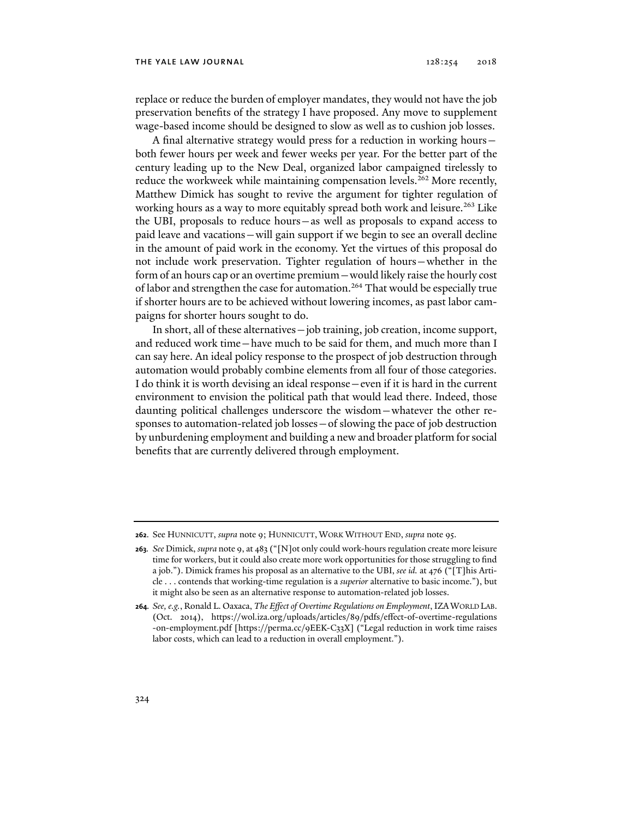replace or reduce the burden of employer mandates, they would not have the job preservation benefits of the strategy I have proposed. Any move to supplement wage-based income should be designed to slow as well as to cushion job losses.

A final alternative strategy would press for a reduction in working hours both fewer hours per week and fewer weeks per year. For the better part of the century leading up to the New Deal, organized labor campaigned tirelessly to reduce the workweek while maintaining compensation levels.<sup>262</sup> More recently, Matthew Dimick has sought to revive the argument for tighter regulation of working hours as a way to more equitably spread both work and leisure.<sup>263</sup> Like the UBI, proposals to reduce hours—as well as proposals to expand access to paid leave and vacations—will gain support if we begin to see an overall decline in the amount of paid work in the economy. Yet the virtues of this proposal do not include work preservation. Tighter regulation of hours—whether in the form of an hours cap or an overtime premium—would likely raise the hourly cost of labor and strengthen the case for automation.<sup>264</sup> That would be especially true if shorter hours are to be achieved without lowering incomes, as past labor campaigns for shorter hours sought to do.

In short, all of these alternatives—job training, job creation, income support, and reduced work time—have much to be said for them, and much more than I can say here. An ideal policy response to the prospect of job destruction through automation would probably combine elements from all four of those categories. I do think it is worth devising an ideal response—even if it is hard in the current environment to envision the political path that would lead there. Indeed, those daunting political challenges underscore the wisdom—whatever the other responses to automation-related job losses—of slowing the pace of job destruction by unburdening employment and building a new and broader platform for social benefits that are currently delivered through employment.

**<sup>262</sup>**. See HUNNICUTT, *supra* note 9; HUNNICUTT, WORK WITHOUT END, *supra* note 95.

**<sup>263</sup>***. See* Dimick, *supra* note 9, at 483 ("[N]ot only could work-hours regulation create more leisure time for workers, but it could also create more work opportunities for those struggling to find a job."). Dimick frames his proposal as an alternative to the UBI, *see id.* at 476 ("[T]his Article . . . contends that working-time regulation is a *superior* alternative to basic income."), but it might also be seen as an alternative response to automation-related job losses.

**<sup>264</sup>***. See, e.g.*, Ronald L. Oaxaca, *The Effect of Overtime Regulations on Employment*, IZAWORLD LAB. (Oct. 2014), https://wol.iza.org/uploads/articles/89/pdfs/effect-of-overtime-regulations -on-employment.pdf [https://perma.cc/9EEK-C33X] ("Legal reduction in work time raises labor costs, which can lead to a reduction in overall employment.").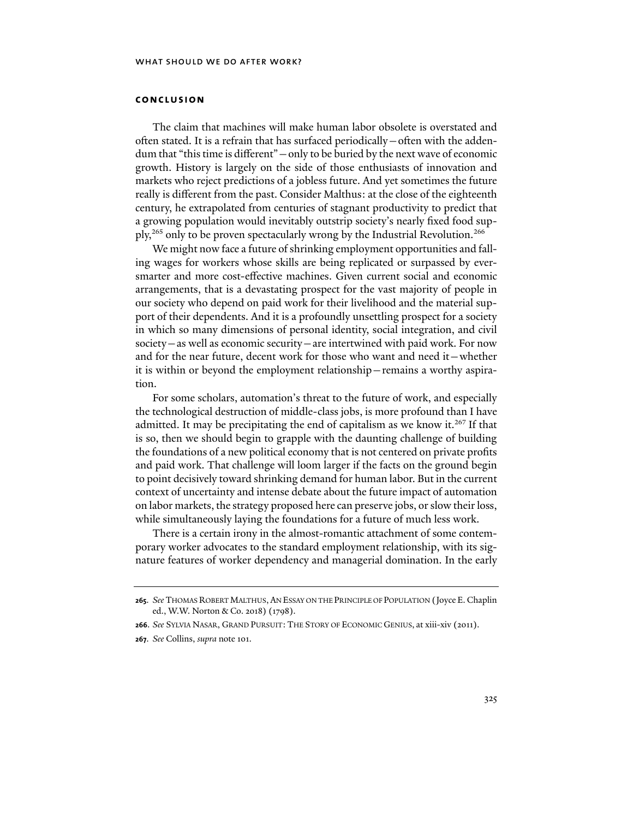## **conclusion**

The claim that machines will make human labor obsolete is overstated and often stated. It is a refrain that has surfaced periodically—often with the addendum that "this time is different"—only to be buried by the next wave of economic growth. History is largely on the side of those enthusiasts of innovation and markets who reject predictions of a jobless future. And yet sometimes the future really is different from the past. Consider Malthus: at the close of the eighteenth century, he extrapolated from centuries of stagnant productivity to predict that a growing population would inevitably outstrip society's nearly fixed food supply,265 only to be proven spectacularly wrong by the Industrial Revolution.266

We might now face a future of shrinking employment opportunities and falling wages for workers whose skills are being replicated or surpassed by eversmarter and more cost-effective machines. Given current social and economic arrangements, that is a devastating prospect for the vast majority of people in our society who depend on paid work for their livelihood and the material support of their dependents. And it is a profoundly unsettling prospect for a society in which so many dimensions of personal identity, social integration, and civil society—as well as economic security—are intertwined with paid work. For now and for the near future, decent work for those who want and need it—whether it is within or beyond the employment relationship—remains a worthy aspiration.

For some scholars, automation's threat to the future of work, and especially the technological destruction of middle-class jobs, is more profound than I have admitted. It may be precipitating the end of capitalism as we know it.<sup>267</sup> If that is so, then we should begin to grapple with the daunting challenge of building the foundations of a new political economy that is not centered on private profits and paid work. That challenge will loom larger if the facts on the ground begin to point decisively toward shrinking demand for human labor. But in the current context of uncertainty and intense debate about the future impact of automation on labor markets, the strategy proposed here can preserve jobs, or slow their loss, while simultaneously laying the foundations for a future of much less work.

There is a certain irony in the almost-romantic attachment of some contemporary worker advocates to the standard employment relationship, with its signature features of worker dependency and managerial domination. In the early

**<sup>265</sup>**. *See* THOMAS ROBERT MALTHUS, AN ESSAY ON THE PRINCIPLE OF POPULATION (Joyce E. Chaplin ed., W.W. Norton & Co. 2018) (1798).

**<sup>266</sup>**. *See* SYLVIA NASAR, GRAND PURSUIT: THE STORY OF ECONOMIC GENIUS, at xiii-xiv (2011).

**<sup>267</sup>**. *See* Collins, *supra* note 101.